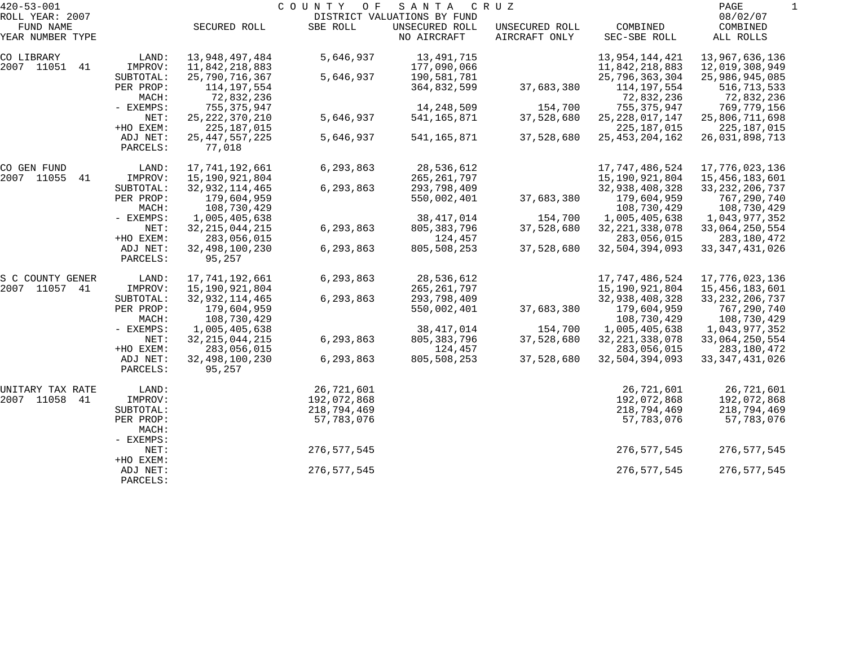| $420 - 53 - 001$              |                      |                             | COUNTY<br>O F | SANTA                         | C R U Z                         |                           | PAGE                      |  |
|-------------------------------|----------------------|-----------------------------|---------------|-------------------------------|---------------------------------|---------------------------|---------------------------|--|
| ROLL YEAR: 2007               |                      |                             |               | DISTRICT VALUATIONS BY FUND   |                                 |                           | 08/02/07                  |  |
| FUND NAME<br>YEAR NUMBER TYPE |                      | SECURED ROLL                | SBE ROLL      | UNSECURED ROLL<br>NO AIRCRAFT | UNSECURED ROLL<br>AIRCRAFT ONLY | COMBINED<br>SEC-SBE ROLL  | COMBINED<br>ALL ROLLS     |  |
| CO LIBRARY                    | LAND:                | 13,948,497,484              | 5,646,937     | 13,491,715                    |                                 | 13,954,144,421            | 13,967,636,136            |  |
| 2007 11051<br>41              | IMPROV:              | 11,842,218,883              |               | 177,090,066                   |                                 | 11,842,218,883            | 12,019,308,949            |  |
|                               | SUBTOTAL:            | 25,790,716,367              | 5,646,937     | 190,581,781                   |                                 | 25,796,363,304            | 25,986,945,085            |  |
|                               | PER PROP:<br>MACH:   | 114,197,554<br>72,832,236   |               | 364,832,599                   | 37,683,380                      | 114,197,554<br>72,832,236 | 516,713,533<br>72,832,236 |  |
|                               | - EXEMPS:            | 755,375,947                 |               | 14,248,509                    | 154,700                         | 755, 375, 947             | 769,779,156               |  |
|                               | NET:                 | 25, 222, 370, 210           | 5,646,937     | 541,165,871                   | 37,528,680                      | 25, 228, 017, 147         | 25,806,711,698            |  |
|                               | +HO EXEM:            | 225,187,015                 |               |                               |                                 | 225, 187, 015             | 225,187,015               |  |
|                               | ADJ NET:<br>PARCELS: | 25, 447, 557, 225<br>77,018 | 5,646,937     | 541, 165, 871                 | 37,528,680                      | 25, 453, 204, 162         | 26,031,898,713            |  |
| CO GEN FUND                   | LAND:                | 17,741,192,661              | 6,293,863     | 28,536,612                    |                                 | 17, 747, 486, 524         | 17,776,023,136            |  |
| 2007 11055<br>41              | IMPROV:              | 15,190,921,804              |               | 265,261,797                   |                                 | 15,190,921,804            | 15,456,183,601            |  |
|                               | SUBTOTAL:            | 32, 932, 114, 465           | 6,293,863     | 293,798,409                   |                                 | 32,938,408,328            | 33, 232, 206, 737         |  |
|                               | PER PROP:            | 179,604,959                 |               | 550,002,401                   | 37,683,380                      | 179,604,959               | 767,290,740               |  |
|                               | MACH:                | 108,730,429                 |               |                               |                                 | 108,730,429               | 108,730,429               |  |
|                               | - EXEMPS:            | 1,005,405,638               |               | 38, 417, 014                  | 154,700                         | 1,005,405,638             | 1,043,977,352             |  |
|                               | NET:                 | 32, 215, 044, 215           | 6,293,863     | 805, 383, 796                 | 37,528,680                      | 32, 221, 338, 078         | 33,064,250,554            |  |
|                               | +HO EXEM:            | 283,056,015                 |               | 124,457                       |                                 | 283,056,015               | 283,180,472               |  |
|                               | ADJ NET:<br>PARCELS: | 32, 498, 100, 230<br>95,257 | 6,293,863     | 805,508,253                   | 37,528,680                      | 32,504,394,093            | 33, 347, 431, 026         |  |
| S C COUNTY GENER              | LAND:                | 17,741,192,661              | 6,293,863     | 28,536,612                    |                                 | 17, 747, 486, 524         | 17,776,023,136            |  |
| 2007 11057 41                 | IMPROV:              | 15,190,921,804              |               | 265,261,797                   |                                 | 15,190,921,804            | 15,456,183,601            |  |
|                               | SUBTOTAL:            | 32, 932, 114, 465           | 6,293,863     | 293,798,409                   |                                 | 32,938,408,328            | 33, 232, 206, 737         |  |
|                               | PER PROP:            | 179,604,959                 |               | 550,002,401                   | 37,683,380                      | 179,604,959               | 767,290,740               |  |
|                               | MACH:                | 108,730,429                 |               |                               |                                 | 108,730,429               | 108,730,429               |  |
|                               | - EXEMPS:            | 1,005,405,638               |               | 38, 417, 014                  | 154,700                         | 1,005,405,638             | 1,043,977,352             |  |
|                               | NET:                 | 32, 215, 044, 215           | 6,293,863     | 805, 383, 796                 | 37,528,680                      | 32, 221, 338, 078         | 33,064,250,554            |  |
|                               | +HO EXEM:            | 283,056,015                 |               | 124,457                       |                                 | 283,056,015               | 283,180,472               |  |
|                               | ADJ NET:<br>PARCELS: | 32, 498, 100, 230<br>95,257 | 6,293,863     | 805,508,253                   | 37,528,680                      | 32,504,394,093            | 33, 347, 431, 026         |  |
| UNITARY TAX RATE              | LAND:                |                             | 26,721,601    |                               |                                 | 26,721,601                | 26,721,601                |  |
| 2007 11058<br>41              | IMPROV:              |                             | 192,072,868   |                               |                                 | 192,072,868               | 192,072,868               |  |
|                               | SUBTOTAL:            |                             | 218,794,469   |                               |                                 | 218,794,469               | 218,794,469               |  |
|                               | PER PROP:<br>MACH:   |                             | 57,783,076    |                               |                                 | 57,783,076                | 57,783,076                |  |
|                               | - EXEMPS:            |                             |               |                               |                                 |                           |                           |  |
|                               | NET:<br>+HO EXEM:    |                             | 276,577,545   |                               |                                 | 276, 577, 545             | 276,577,545               |  |
|                               | ADJ NET:<br>PARCELS: |                             | 276,577,545   |                               |                                 | 276, 577, 545             | 276,577,545               |  |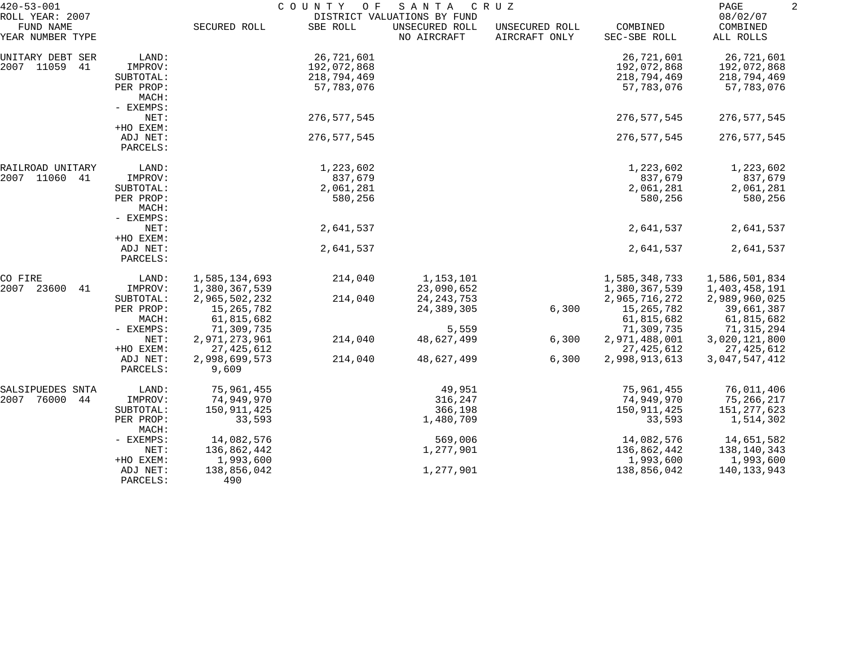| $420 - 53 - 001$<br>ROLL YEAR: 2007 |                                   |                        | COUNTY<br>O F | SANTA<br>DISTRICT VALUATIONS BY FUND | CRUZ                            |                          | PAGE<br>08/02/07      |  |
|-------------------------------------|-----------------------------------|------------------------|---------------|--------------------------------------|---------------------------------|--------------------------|-----------------------|--|
| FUND NAME<br>YEAR NUMBER TYPE       |                                   | SECURED ROLL           | SBE ROLL      | UNSECURED ROLL<br>NO AIRCRAFT        | UNSECURED ROLL<br>AIRCRAFT ONLY | COMBINED<br>SEC-SBE ROLL | COMBINED<br>ALL ROLLS |  |
| UNITARY DEBT SER                    | LAND:                             |                        | 26,721,601    |                                      |                                 | 26,721,601               | 26,721,601            |  |
| 2007 11059<br>41                    | IMPROV:                           |                        | 192,072,868   |                                      |                                 | 192,072,868              | 192,072,868           |  |
|                                     | SUBTOTAL:                         |                        | 218,794,469   |                                      |                                 | 218,794,469              | 218,794,469           |  |
|                                     | PER PROP:<br>MACH:<br>- EXEMPS:   |                        | 57,783,076    |                                      |                                 | 57,783,076               | 57,783,076            |  |
|                                     | NET:                              |                        | 276, 577, 545 |                                      |                                 | 276, 577, 545            | 276, 577, 545         |  |
|                                     | +HO EXEM:                         |                        |               |                                      |                                 |                          |                       |  |
|                                     | ADJ NET:<br>PARCELS:              |                        | 276, 577, 545 |                                      |                                 | 276, 577, 545            | 276,577,545           |  |
| RAILROAD UNITARY                    | LAND:                             |                        | 1,223,602     |                                      |                                 | 1,223,602                | 1,223,602             |  |
| 2007 11060<br>41                    | IMPROV:                           |                        | 837,679       |                                      |                                 | 837,679                  | 837,679               |  |
|                                     | SUBTOTAL:                         |                        | 2,061,281     |                                      |                                 | 2,061,281                | 2,061,281             |  |
|                                     | PER PROP:<br>MACH:<br>- EXEMPS:   |                        | 580,256       |                                      |                                 | 580,256                  | 580,256               |  |
|                                     | NET:                              |                        | 2,641,537     |                                      |                                 | 2,641,537                | 2,641,537             |  |
|                                     | +HO EXEM:<br>ADJ NET:<br>PARCELS: |                        | 2,641,537     |                                      |                                 | 2,641,537                | 2,641,537             |  |
| CO FIRE                             | LAND:                             | 1,585,134,693          | 214,040       | 1,153,101                            |                                 | 1,585,348,733            | 1,586,501,834         |  |
| 2007<br>23600<br>41                 | IMPROV:                           | 1,380,367,539          |               | 23,090,652                           |                                 | 1,380,367,539            | 1,403,458,191         |  |
|                                     | SUBTOTAL:                         | 2,965,502,232          | 214,040       | 24, 243, 753                         |                                 | 2,965,716,272            | 2,989,960,025         |  |
|                                     | PER PROP:                         | 15,265,782             |               | 24, 389, 305                         | 6,300                           | 15,265,782               | 39,661,387            |  |
|                                     | MACH:                             | 61,815,682             |               |                                      |                                 | 61,815,682               | 61,815,682            |  |
|                                     | - EXEMPS:                         | 71,309,735             |               | 5,559                                |                                 | 71,309,735               | 71,315,294            |  |
|                                     | NET:                              | 2,971,273,961          | 214,040       | 48,627,499                           | 6,300                           | 2,971,488,001            | 3,020,121,800         |  |
|                                     | +HO EXEM:                         | 27, 425, 612           |               |                                      |                                 | 27, 425, 612             | 27,425,612            |  |
|                                     | ADJ NET:<br>PARCELS:              | 2,998,699,573<br>9,609 | 214,040       | 48,627,499                           | 6,300                           | 2,998,913,613            | 3,047,547,412         |  |
| SALSIPUEDES SNTA                    | LAND:                             | 75,961,455             |               | 49,951                               |                                 | 75,961,455               | 76,011,406            |  |
| 2007<br>76000<br>44                 | IMPROV:                           | 74,949,970             |               | 316,247                              |                                 | 74,949,970               | 75,266,217            |  |
|                                     | SUBTOTAL:                         | 150,911,425            |               | 366,198                              |                                 | 150,911,425              | 151, 277, 623         |  |
|                                     | PER PROP:<br>MACH:                | 33,593                 |               | 1,480,709                            |                                 | 33,593                   | 1,514,302             |  |
|                                     | - EXEMPS:                         | 14,082,576             |               | 569,006                              |                                 | 14,082,576               | 14,651,582            |  |
|                                     | NET:                              | 136,862,442            |               | 1,277,901                            |                                 | 136,862,442              | 138,140,343           |  |
|                                     | +HO EXEM:                         | 1,993,600              |               |                                      |                                 | 1,993,600                | 1,993,600             |  |
|                                     | ADJ NET:<br>PARCELS:              | 138,856,042<br>490     |               | 1,277,901                            |                                 | 138,856,042              | 140,133,943           |  |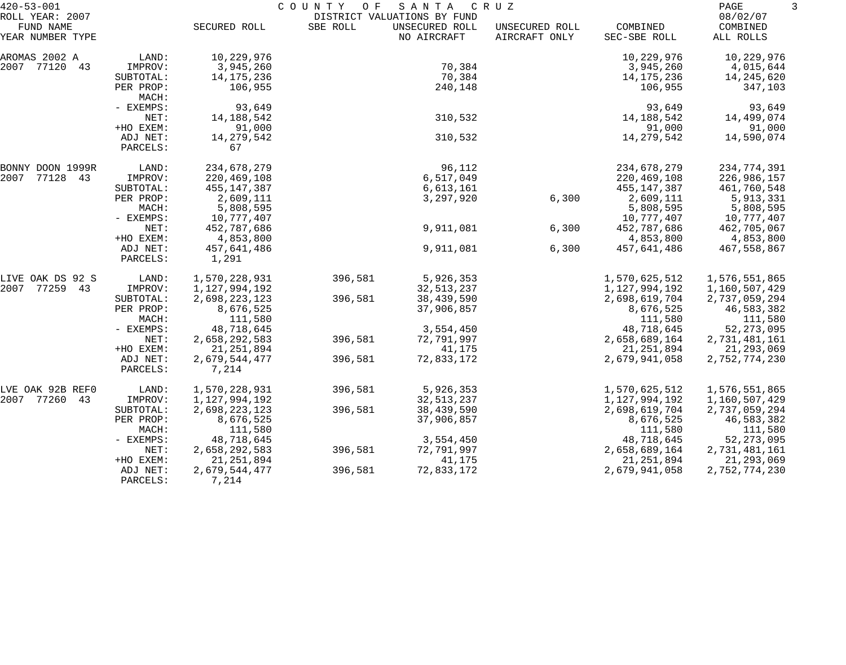| $420 - 53 - 001$                                 |                      |                         | COUNTY<br>O F | SANTA                                                        | C R U Z                         |                          | PAGE                              | 3 |
|--------------------------------------------------|----------------------|-------------------------|---------------|--------------------------------------------------------------|---------------------------------|--------------------------|-----------------------------------|---|
| ROLL YEAR: 2007<br>FUND NAME<br>YEAR NUMBER TYPE |                      | SECURED ROLL            | SBE ROLL      | DISTRICT VALUATIONS BY FUND<br>UNSECURED ROLL<br>NO AIRCRAFT | UNSECURED ROLL<br>AIRCRAFT ONLY | COMBINED<br>SEC-SBE ROLL | 08/02/07<br>COMBINED<br>ALL ROLLS |   |
|                                                  |                      |                         |               |                                                              |                                 |                          |                                   |   |
| AROMAS 2002 A                                    | LAND:                | 10,229,976              |               |                                                              |                                 | 10,229,976               | 10,229,976                        |   |
| 2007 77120 43                                    | IMPROV:              | 3,945,260               |               | 70,384                                                       |                                 | 3,945,260                | 4,015,644                         |   |
|                                                  | SUBTOTAL:            | 14, 175, 236<br>106,955 |               | 70,384                                                       |                                 | 14,175,236               | 14,245,620                        |   |
|                                                  | PER PROP:<br>MACH:   |                         |               | 240,148                                                      |                                 | 106,955                  | 347,103                           |   |
|                                                  | - EXEMPS:            | 93,649                  |               |                                                              |                                 | 93,649                   | 93,649                            |   |
|                                                  | NET:                 | 14, 188, 542            |               | 310,532                                                      |                                 | 14,188,542               | 14,499,074                        |   |
|                                                  | +HO EXEM:            | 91,000                  |               |                                                              |                                 | 91,000                   | 91,000                            |   |
|                                                  | ADJ NET:<br>PARCELS: | 14, 279, 542<br>67      |               | 310,532                                                      |                                 | 14,279,542               | 14,590,074                        |   |
| BONNY DOON 1999R                                 | LAND:                | 234,678,279             |               | 96,112                                                       |                                 | 234,678,279              | 234,774,391                       |   |
| 2007 77128 43                                    | IMPROV:              | 220,469,108             |               | 6,517,049                                                    |                                 | 220,469,108              | 226,986,157                       |   |
|                                                  | SUBTOTAL:            | 455,147,387             |               | 6,613,161                                                    |                                 | 455,147,387              | 461,760,548                       |   |
|                                                  | PER PROP:            | 2,609,111               |               | 3,297,920                                                    | 6,300                           | 2,609,111                | 5,913,331                         |   |
|                                                  | MACH:                | 5,808,595               |               |                                                              |                                 | 5,808,595                | 5,808,595                         |   |
|                                                  | - EXEMPS:            | 10,777,407              |               |                                                              |                                 | 10,777,407               | 10,777,407                        |   |
|                                                  | NET:                 | 452,787,686             |               | 9,911,081                                                    | 6,300                           | 452,787,686              | 462,705,067                       |   |
|                                                  | +HO EXEM:            | 4,853,800               |               |                                                              |                                 | 4,853,800                | 4,853,800                         |   |
|                                                  | ADJ NET:<br>PARCELS: | 457,641,486<br>1,291    |               | 9,911,081                                                    | 6,300                           | 457,641,486              | 467,558,867                       |   |
| LIVE OAK DS 92 S                                 | LAND:                | 1,570,228,931           | 396,581       | 5,926,353                                                    |                                 | 1,570,625,512            | 1,576,551,865                     |   |
| 2007 77259 43                                    | IMPROV:              | 1,127,994,192           |               | 32, 513, 237                                                 |                                 | 1,127,994,192            | 1,160,507,429                     |   |
|                                                  | SUBTOTAL:            | 2,698,223,123           | 396,581       | 38,439,590                                                   |                                 | 2,698,619,704            | 2,737,059,294                     |   |
|                                                  | PER PROP:            | 8,676,525               |               | 37,906,857                                                   |                                 | 8,676,525                | 46,583,382                        |   |
|                                                  | MACH:                | 111,580                 |               |                                                              |                                 | 111,580                  | 111,580                           |   |
|                                                  | - EXEMPS:            | 48,718,645              |               | 3,554,450                                                    |                                 | 48,718,645               | 52, 273, 095                      |   |
|                                                  | NET:                 | 2,658,292,583           | 396,581       | 72,791,997                                                   |                                 | 2,658,689,164            | 2,731,481,161                     |   |
|                                                  | +HO EXEM:            | 21, 251, 894            |               | 41,175                                                       |                                 | 21, 251, 894             | 21,293,069                        |   |
|                                                  | ADJ NET:<br>PARCELS: | 2,679,544,477<br>7,214  | 396,581       | 72,833,172                                                   |                                 | 2,679,941,058            | 2,752,774,230                     |   |
| LVE OAK 92B REFO                                 | LAND:                | 1,570,228,931           | 396,581       | 5,926,353                                                    |                                 | 1,570,625,512            | 1,576,551,865                     |   |
| 2007 77260 43                                    | IMPROV:              | 1,127,994,192           |               | 32,513,237                                                   |                                 | 1,127,994,192            | 1,160,507,429                     |   |
|                                                  | SUBTOTAL:            | 2,698,223,123           | 396,581       | 38,439,590                                                   |                                 | 2,698,619,704            | 2,737,059,294                     |   |
|                                                  | PER PROP:            | 8,676,525               |               | 37,906,857                                                   |                                 | 8,676,525                | 46,583,382                        |   |
|                                                  | MACH:                | 111,580                 |               |                                                              |                                 | 111,580                  | 111,580                           |   |
|                                                  | - EXEMPS:            | 48,718,645              |               | 3,554,450                                                    |                                 | 48,718,645               | 52, 273, 095                      |   |
|                                                  | NET:                 | 2,658,292,583           | 396,581       | 72,791,997                                                   |                                 | 2,658,689,164            | 2,731,481,161                     |   |
|                                                  | +HO EXEM:            | 21, 251, 894            |               | 41,175                                                       |                                 | 21, 251, 894             | 21, 293, 069                      |   |
|                                                  | ADJ NET:<br>PARCELS: | 2,679,544,477<br>7,214  | 396,581       | 72,833,172                                                   |                                 | 2,679,941,058            | 2,752,774,230                     |   |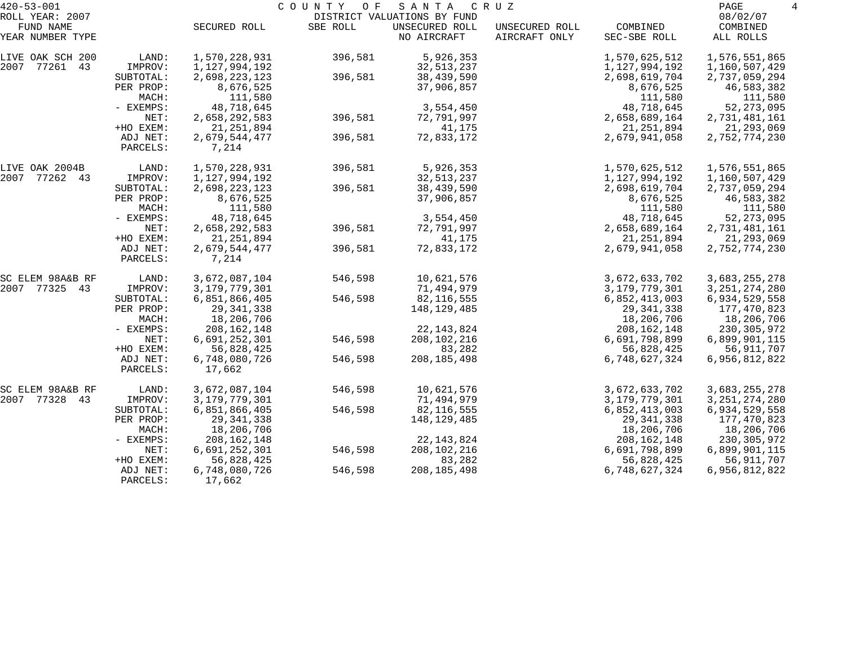| $420 - 53 - 001$             |                    | COUNTY OF<br>SANTA<br>C R U Z |          |                                               |                |                      |                       |  |
|------------------------------|--------------------|-------------------------------|----------|-----------------------------------------------|----------------|----------------------|-----------------------|--|
| ROLL YEAR: 2007<br>FUND NAME |                    | SECURED ROLL                  | SBE ROLL | DISTRICT VALUATIONS BY FUND<br>UNSECURED ROLL | UNSECURED ROLL | COMBINED             | 08/02/07<br>COMBINED  |  |
| YEAR NUMBER TYPE             |                    |                               |          | NO AIRCRAFT                                   | AIRCRAFT ONLY  | SEC-SBE ROLL         | ALL ROLLS             |  |
| LIVE OAK SCH 200             | LAND:              | 1,570,228,931                 | 396,581  | 5,926,353                                     |                | 1,570,625,512        | 1,576,551,865         |  |
| 2007 77261 43                | IMPROV:            | 1,127,994,192                 |          | 32,513,237                                    |                | 1,127,994,192        | 1,160,507,429         |  |
|                              | SUBTOTAL:          | 2,698,223,123                 | 396,581  | 38,439,590                                    |                | 2,698,619,704        | 2,737,059,294         |  |
|                              | PER PROP:<br>MACH: | 8,676,525<br>111,580          |          | 37,906,857                                    |                | 8,676,525<br>111,580 | 46,583,382<br>111,580 |  |
|                              | - EXEMPS:          | 48,718,645                    |          | 3,554,450                                     |                | 48,718,645           | 52, 273, 095          |  |
|                              | NET:               | 2,658,292,583                 | 396,581  | 72,791,997                                    |                | 2,658,689,164        | 2,731,481,161         |  |
|                              | +HO EXEM:          | 21, 251, 894                  |          | 41,175                                        |                | 21, 251, 894         | 21, 293, 069          |  |
|                              | ADJ NET:           | 2,679,544,477                 | 396,581  | 72,833,172                                    |                | 2,679,941,058        | 2,752,774,230         |  |
|                              | PARCELS:           | 7,214                         |          |                                               |                |                      |                       |  |
| LIVE OAK 2004B               | LAND:              | 1,570,228,931                 | 396,581  | 5,926,353                                     |                | 1,570,625,512        | 1,576,551,865         |  |
| 2007<br>77262 43             | IMPROV:            | 1,127,994,192                 |          | 32,513,237                                    |                | 1,127,994,192        | 1,160,507,429         |  |
|                              | SUBTOTAL:          | 2,698,223,123                 | 396,581  | 38,439,590                                    |                | 2,698,619,704        | 2,737,059,294         |  |
|                              | PER PROP:          | 8,676,525                     |          | 37,906,857                                    |                | 8,676,525            | 46,583,382            |  |
|                              | MACH:              | 111,580                       |          |                                               |                | 111,580              | 111,580               |  |
|                              | - EXEMPS:          | 48,718,645                    |          | 3,554,450                                     |                | 48,718,645           | 52, 273, 095          |  |
|                              | NET:               | 2,658,292,583                 | 396,581  | 72,791,997                                    |                | 2,658,689,164        | 2,731,481,161         |  |
|                              | +HO EXEM:          | 21, 251, 894                  |          | 41,175                                        |                | 21, 251, 894         | 21,293,069            |  |
|                              | ADJ NET:           | 2,679,544,477                 | 396,581  | 72,833,172                                    |                | 2,679,941,058        | 2,752,774,230         |  |
|                              | PARCELS:           | 7,214                         |          |                                               |                |                      |                       |  |
| SC ELEM 98A&B RF             | LAND:              | 3,672,087,104                 | 546,598  | 10,621,576                                    |                | 3,672,633,702        | 3,683,255,278         |  |
| 2007 77325 43                | IMPROV:            | 3, 179, 779, 301              |          | 71,494,979                                    |                | 3,179,779,301        | 3, 251, 274, 280      |  |
|                              | SUBTOTAL:          | 6,851,866,405                 | 546,598  | 82,116,555                                    |                | 6,852,413,003        | 6,934,529,558         |  |
|                              | PER PROP:          | 29, 341, 338                  |          | 148, 129, 485                                 |                | 29, 341, 338         | 177,470,823           |  |
|                              | MACH:              | 18,206,706                    |          |                                               |                | 18,206,706           | 18,206,706            |  |
|                              | - EXEMPS:          | 208, 162, 148                 |          | 22, 143, 824                                  |                | 208, 162, 148        | 230,305,972           |  |
|                              | NET:               | 6,691,252,301                 | 546,598  | 208, 102, 216                                 |                | 6,691,798,899        | 6,899,901,115         |  |
|                              | +HO EXEM:          | 56,828,425                    |          | 83,282                                        |                | 56,828,425           | 56,911,707            |  |
|                              | ADJ NET:           | 6,748,080,726                 | 546,598  | 208, 185, 498                                 |                | 6,748,627,324        | 6,956,812,822         |  |
|                              | PARCELS:           | 17,662                        |          |                                               |                |                      |                       |  |
| SC ELEM 98A&B RF             | LAND:              | 3,672,087,104                 | 546,598  | 10,621,576                                    |                | 3,672,633,702        | 3,683,255,278         |  |
| 2007<br>77328<br>43          | IMPROV:            | 3, 179, 779, 301              |          | 71,494,979                                    |                | 3,179,779,301        | 3, 251, 274, 280      |  |
|                              | SUBTOTAL:          | 6,851,866,405                 | 546,598  | 82, 116, 555                                  |                | 6,852,413,003        | 6,934,529,558         |  |
|                              | PER PROP:          | 29, 341, 338                  |          | 148,129,485                                   |                | 29, 341, 338         | 177,470,823           |  |
|                              | MACH:              | 18,206,706                    |          |                                               |                | 18,206,706           | 18,206,706            |  |
|                              | $-$ EXEMPS:        | 208, 162, 148                 |          | 22, 143, 824                                  |                | 208, 162, 148        | 230, 305, 972         |  |
|                              | NET:               | 6,691,252,301                 | 546,598  | 208, 102, 216                                 |                | 6,691,798,899        | 6,899,901,115         |  |
|                              | +HO EXEM:          | 56,828,425                    |          | 83,282                                        |                | 56,828,425           | 56,911,707            |  |
|                              | ADJ NET:           | 6,748,080,726                 | 546,598  | 208, 185, 498                                 |                | 6,748,627,324        | 6,956,812,822         |  |
|                              | PARCELS:           | 17,662                        |          |                                               |                |                      |                       |  |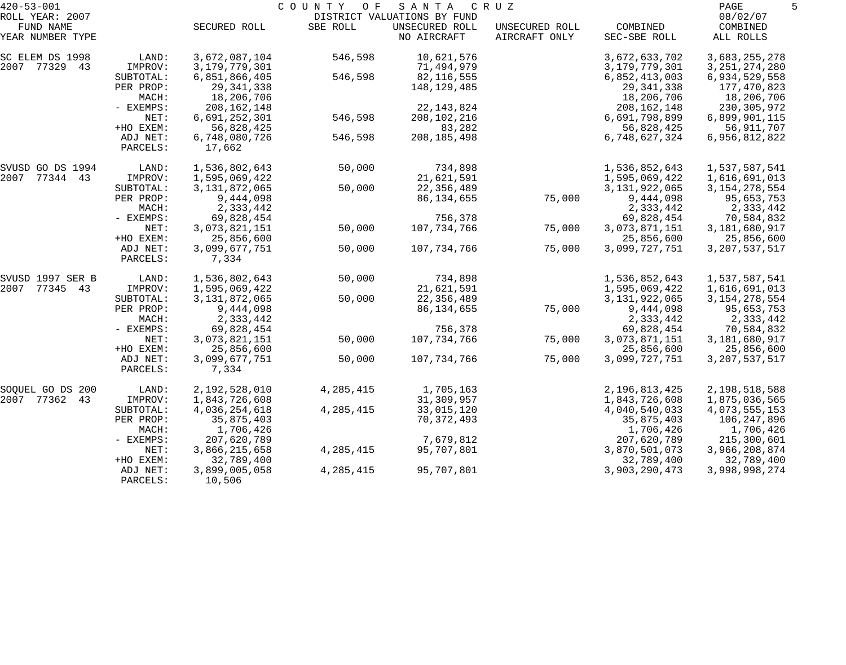| $420 - 53 - 001$              |                      |                         | COUNTY<br>O F | SANTA                         | C R U Z                         |                          | PAGE                  |  |
|-------------------------------|----------------------|-------------------------|---------------|-------------------------------|---------------------------------|--------------------------|-----------------------|--|
| ROLL YEAR: 2007               |                      |                         |               | DISTRICT VALUATIONS BY FUND   |                                 |                          | 08/02/07              |  |
| FUND NAME<br>YEAR NUMBER TYPE |                      | SECURED ROLL            | SBE ROLL      | UNSECURED ROLL<br>NO AIRCRAFT | UNSECURED ROLL<br>AIRCRAFT ONLY | COMBINED<br>SEC-SBE ROLL | COMBINED<br>ALL ROLLS |  |
| SC ELEM DS 1998               | LAND:                | 3,672,087,104           | 546,598       | 10,621,576                    |                                 | 3,672,633,702            | 3,683,255,278         |  |
| 2007 77329 43                 | IMPROV:              | 3, 179, 779, 301        |               | 71,494,979                    |                                 | 3, 179, 779, 301         | 3, 251, 274, 280      |  |
|                               | SUBTOTAL:            | 6,851,866,405           | 546,598       | 82,116,555                    |                                 | 6,852,413,003            | 6,934,529,558         |  |
|                               | PER PROP:            | 29, 341, 338            |               | 148,129,485                   |                                 | 29, 341, 338             | 177,470,823           |  |
|                               | MACH:                | 18,206,706              |               |                               |                                 | 18,206,706               | 18,206,706            |  |
|                               | - EXEMPS:            | 208, 162, 148           |               | 22, 143, 824                  |                                 | 208, 162, 148            | 230, 305, 972         |  |
|                               | NET:                 | 6,691,252,301           | 546,598       | 208, 102, 216                 |                                 | 6,691,798,899            | 6,899,901,115         |  |
|                               | +HO EXEM:            | 56,828,425              |               | 83,282                        |                                 | 56,828,425               | 56,911,707            |  |
|                               | ADJ NET:<br>PARCELS: | 6,748,080,726<br>17,662 | 546,598       | 208, 185, 498                 |                                 | 6,748,627,324            | 6,956,812,822         |  |
| SVUSD GO DS 1994              | LAND:                | 1,536,802,643           | 50,000        | 734,898                       |                                 | 1,536,852,643            | 1,537,587,541         |  |
| 2007 77344 43                 | IMPROV:              | 1,595,069,422           |               | 21,621,591                    |                                 | 1,595,069,422            | 1,616,691,013         |  |
|                               | SUBTOTAL:            | 3, 131, 872, 065        | 50,000        | 22,356,489                    |                                 | 3, 131, 922, 065         | 3, 154, 278, 554      |  |
|                               | PER PROP:            | 9,444,098               |               | 86, 134, 655                  | 75,000                          | 9,444,098                | 95,653,753            |  |
|                               | MACH:                | 2,333,442               |               |                               |                                 | 2,333,442                | 2,333,442             |  |
|                               | - EXEMPS:            | 69,828,454              |               | 756,378                       |                                 | 69,828,454               | 70,584,832            |  |
|                               | NET:                 | 3,073,821,151           | 50,000        | 107,734,766                   | 75,000                          | 3,073,871,151            | 3,181,680,917         |  |
|                               | +HO EXEM:            | 25,856,600              |               |                               |                                 | 25,856,600               | 25,856,600            |  |
|                               | ADJ NET:<br>PARCELS: | 3,099,677,751<br>7,334  | 50,000        | 107,734,766                   | 75,000                          | 3,099,727,751            | 3, 207, 537, 517      |  |
| SVUSD 1997 SER B              | LAND:                | 1,536,802,643           | 50,000        | 734,898                       |                                 | 1,536,852,643            | 1,537,587,541         |  |
| 2007 77345 43                 | IMPROV:              | 1,595,069,422           |               | 21,621,591                    |                                 | 1,595,069,422            | 1,616,691,013         |  |
|                               | SUBTOTAL:            | 3, 131, 872, 065        | 50,000        | 22,356,489                    |                                 | 3, 131, 922, 065         | 3, 154, 278, 554      |  |
|                               | PER PROP:            | 9,444,098               |               | 86,134,655                    | 75,000                          | 9,444,098                | 95,653,753            |  |
|                               | MACH:                | 2,333,442               |               |                               |                                 | 2,333,442                | 2,333,442             |  |
|                               | - EXEMPS:            | 69,828,454              |               | 756,378                       |                                 | 69,828,454               | 70,584,832            |  |
|                               | NET:                 | 3,073,821,151           | 50,000        | 107,734,766                   | 75,000                          | 3,073,871,151            | 3,181,680,917         |  |
|                               | +HO EXEM:            | 25,856,600              |               |                               |                                 | 25,856,600               | 25,856,600            |  |
|                               | ADJ NET:<br>PARCELS: | 3,099,677,751<br>7,334  | 50,000        | 107,734,766                   | 75,000                          | 3,099,727,751            | 3, 207, 537, 517      |  |
| SOQUEL GO DS 200              | LAND:                | 2,192,528,010           | 4, 285, 415   | 1,705,163                     |                                 | 2,196,813,425            | 2,198,518,588         |  |
| 2007 77362 43                 | IMPROV:              | 1,843,726,608           |               | 31,309,957                    |                                 | 1,843,726,608            | 1,875,036,565         |  |
|                               | SUBTOTAL:            | 4,036,254,618           | 4, 285, 415   | 33,015,120                    |                                 | 4,040,540,033            | 4,073,555,153         |  |
|                               | PER PROP:            | 35,875,403              |               | 70, 372, 493                  |                                 | 35,875,403               | 106,247,896           |  |
|                               | MACH:                | 1,706,426               |               |                               |                                 | 1,706,426                | 1,706,426             |  |
|                               | $-$ EXEMPS:          | 207,620,789             |               | 7,679,812                     |                                 | 207,620,789              | 215,300,601           |  |
|                               | NET:                 | 3,866,215,658           | 4, 285, 415   | 95,707,801                    |                                 | 3,870,501,073            | 3,966,208,874         |  |
|                               | +HO EXEM:            | 32,789,400              |               |                               |                                 | 32,789,400               | 32,789,400            |  |
|                               | ADJ NET:<br>PARCELS: | 3,899,005,058<br>10,506 | 4,285,415     | 95,707,801                    |                                 | 3,903,290,473            | 3,998,998,274         |  |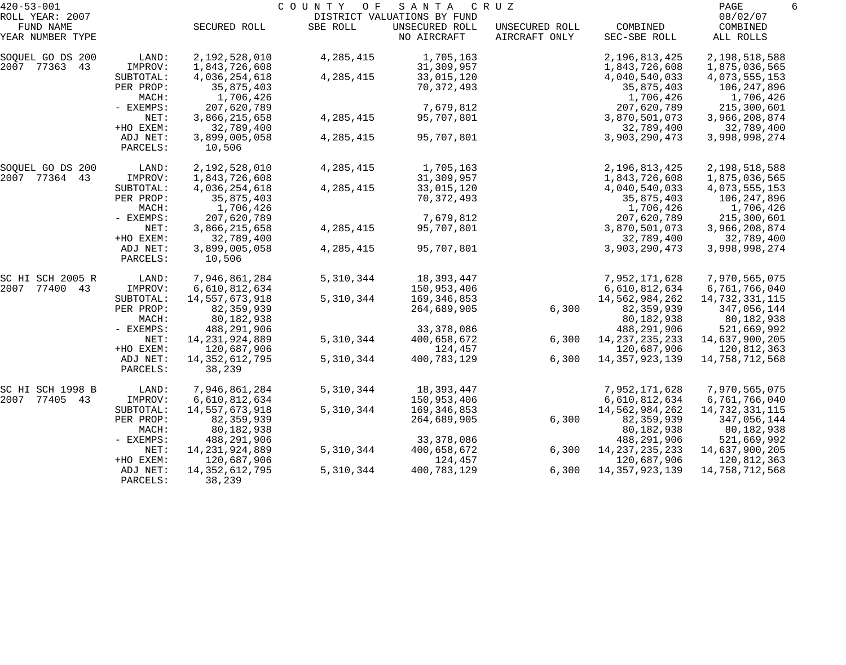| $420 - 53 - 001$              |                      |                         | COUNTY<br>O F | SANTA                         | C R U Z                         |                          | PAGE                  | 6 |
|-------------------------------|----------------------|-------------------------|---------------|-------------------------------|---------------------------------|--------------------------|-----------------------|---|
| ROLL YEAR: 2007               |                      |                         |               | DISTRICT VALUATIONS BY FUND   |                                 |                          | 08/02/07              |   |
| FUND NAME<br>YEAR NUMBER TYPE |                      | SECURED ROLL            | SBE ROLL      | UNSECURED ROLL<br>NO AIRCRAFT | UNSECURED ROLL<br>AIRCRAFT ONLY | COMBINED<br>SEC-SBE ROLL | COMBINED<br>ALL ROLLS |   |
| SOQUEL GO DS 200              | LAND:                | 2,192,528,010           | 4, 285, 415   | 1,705,163                     |                                 | 2,196,813,425            | 2,198,518,588         |   |
| 2007 77363 43                 | IMPROV:              | 1,843,726,608           |               | 31,309,957                    |                                 | 1,843,726,608            | 1,875,036,565         |   |
|                               | SUBTOTAL:            | 4,036,254,618           | 4, 285, 415   | 33,015,120                    |                                 | 4,040,540,033            | 4,073,555,153         |   |
|                               | PER PROP:            | 35,875,403              |               | 70,372,493                    |                                 | 35,875,403               | 106,247,896           |   |
|                               | MACH:                | 1,706,426               |               |                               |                                 | 1,706,426                | 1,706,426             |   |
|                               | - EXEMPS:            | 207,620,789             |               | 7,679,812                     |                                 | 207,620,789              | 215,300,601           |   |
|                               | NET:                 | 3,866,215,658           | 4,285,415     | 95,707,801                    |                                 | 3,870,501,073            | 3,966,208,874         |   |
|                               | +HO EXEM:            | 32,789,400              |               |                               |                                 | 32,789,400               | 32,789,400            |   |
|                               | ADJ NET:<br>PARCELS: | 3,899,005,058<br>10,506 | 4,285,415     | 95,707,801                    |                                 | 3,903,290,473            | 3,998,998,274         |   |
| SOQUEL GO DS 200              | LAND:                | 2,192,528,010           | 4,285,415     | 1,705,163                     |                                 | 2,196,813,425            | 2,198,518,588         |   |
| 2007 77364 43                 | IMPROV:              | 1,843,726,608           |               | 31,309,957                    |                                 | 1,843,726,608            | 1,875,036,565         |   |
|                               | SUBTOTAL:            | 4,036,254,618           | 4,285,415     | 33,015,120                    |                                 | 4,040,540,033            | 4,073,555,153         |   |
|                               | PER PROP:            | 35,875,403              |               | 70,372,493                    |                                 | 35,875,403               | 106,247,896           |   |
|                               | MACH:                | 1,706,426               |               |                               |                                 | 1,706,426                | 1,706,426             |   |
|                               | - EXEMPS:            | 207,620,789             |               | 7,679,812                     |                                 | 207,620,789              | 215,300,601           |   |
|                               | NET:                 | 3,866,215,658           | 4,285,415     | 95,707,801                    |                                 | 3,870,501,073            | 3,966,208,874         |   |
|                               | +HO EXEM:            | 32,789,400              |               |                               |                                 | 32,789,400               | 32,789,400            |   |
|                               | ADJ NET:             | 3,899,005,058           | 4,285,415     | 95,707,801                    |                                 | 3,903,290,473            | 3,998,998,274         |   |
|                               | PARCELS:             | 10,506                  |               |                               |                                 |                          |                       |   |
| SC HI SCH 2005 R              | LAND:                | 7,946,861,284           | 5,310,344     | 18,393,447                    |                                 | 7,952,171,628            | 7,970,565,075         |   |
| 2007 77400 43                 | IMPROV:              | 6,610,812,634           |               | 150,953,406                   |                                 | 6,610,812,634            | 6,761,766,040         |   |
|                               | SUBTOTAL:            | 14,557,673,918          | 5,310,344     | 169,346,853                   |                                 | 14,562,984,262           | 14,732,331,115        |   |
|                               | PER PROP:            | 82, 359, 939            |               | 264,689,905                   | 6,300                           | 82, 359, 939             | 347,056,144           |   |
|                               | MACH:                | 80,182,938              |               |                               |                                 | 80,182,938               | 80,182,938            |   |
|                               | - EXEMPS:            | 488,291,906             |               | 33, 378, 086                  |                                 | 488,291,906              | 521,669,992           |   |
|                               | NET:                 | 14, 231, 924, 889       | 5,310,344     | 400,658,672                   | 6,300                           | 14, 237, 235, 233        | 14,637,900,205        |   |
|                               | +HO EXEM:            | 120,687,906             |               | 124,457                       |                                 | 120,687,906              | 120,812,363           |   |
|                               | ADJ NET:             | 14, 352, 612, 795       | 5,310,344     | 400,783,129                   | 6,300                           | 14, 357, 923, 139        | 14,758,712,568        |   |
|                               | PARCELS:             | 38,239                  |               |                               |                                 |                          |                       |   |
| SC HI SCH 1998 B              | LAND:                | 7,946,861,284           | 5,310,344     | 18,393,447                    |                                 | 7,952,171,628            | 7,970,565,075         |   |
| 2007<br>77405 43              | IMPROV:              | 6,610,812,634           |               | 150,953,406                   |                                 | 6,610,812,634            | 6,761,766,040         |   |
|                               | SUBTOTAL:            | 14,557,673,918          | 5,310,344     | 169,346,853                   |                                 | 14,562,984,262           | 14,732,331,115        |   |
|                               | PER PROP:            | 82,359,939              |               | 264,689,905                   | 6,300                           | 82,359,939               | 347,056,144           |   |
|                               | MACH:                | 80,182,938              |               |                               |                                 | 80,182,938               | 80,182,938            |   |
|                               | $-$ EXEMPS:          | 488,291,906             |               | 33, 378, 086                  |                                 | 488,291,906              | 521,669,992           |   |
|                               | NET:                 | 14, 231, 924, 889       | 5,310,344     | 400,658,672                   | 6,300                           | 14, 237, 235, 233        | 14,637,900,205        |   |
|                               | +HO EXEM:            | 120,687,906             |               | 124,457                       |                                 | 120,687,906              | 120,812,363           |   |
|                               | ADJ NET:             | 14, 352, 612, 795       | 5,310,344     | 400,783,129                   | 6,300                           | 14, 357, 923, 139        | 14,758,712,568        |   |
|                               | PARCELS:             | 38,239                  |               |                               |                                 |                          |                       |   |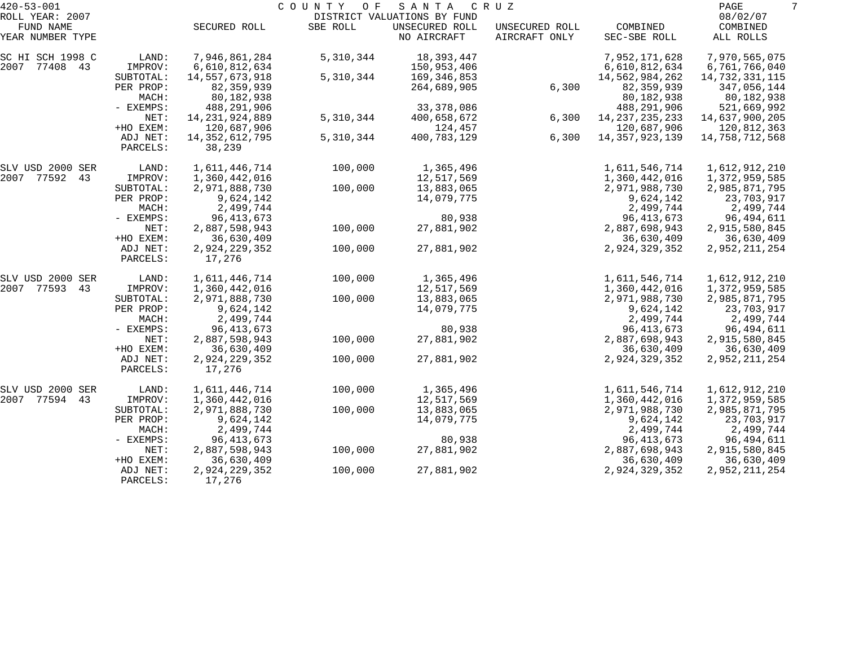| $420 - 53 - 001$             |                      |                   | COUNTY<br>O F | SANTA                                         | C R U Z        |                   | PAGE                 | 7 |
|------------------------------|----------------------|-------------------|---------------|-----------------------------------------------|----------------|-------------------|----------------------|---|
| ROLL YEAR: 2007<br>FUND NAME |                      | SECURED ROLL      | SBE ROLL      | DISTRICT VALUATIONS BY FUND<br>UNSECURED ROLL | UNSECURED ROLL | COMBINED          | 08/02/07<br>COMBINED |   |
| YEAR NUMBER TYPE             |                      |                   |               | NO AIRCRAFT                                   | AIRCRAFT ONLY  | SEC-SBE ROLL      | ALL ROLLS            |   |
| SC HI SCH 1998 C             | LAND:                | 7,946,861,284     | 5,310,344     | 18,393,447                                    |                | 7,952,171,628     | 7,970,565,075        |   |
| 2007 77408 43                | IMPROV:              | 6,610,812,634     |               | 150,953,406                                   |                | 6,610,812,634     | 6,761,766,040        |   |
|                              | SUBTOTAL:            | 14,557,673,918    | 5,310,344     | 169,346,853                                   |                | 14,562,984,262    | 14,732,331,115       |   |
|                              | PER PROP:            | 82, 359, 939      |               | 264,689,905                                   | 6,300          | 82, 359, 939      | 347,056,144          |   |
|                              | MACH:                | 80,182,938        |               |                                               |                | 80,182,938        | 80,182,938           |   |
|                              | - EXEMPS:            | 488,291,906       |               | 33, 378, 086                                  |                | 488,291,906       | 521,669,992          |   |
|                              | NET:                 | 14, 231, 924, 889 | 5,310,344     | 400,658,672                                   | 6,300          | 14, 237, 235, 233 | 14,637,900,205       |   |
|                              | +HO EXEM:            | 120,687,906       |               | 124,457                                       |                | 120,687,906       | 120,812,363          |   |
|                              | ADJ NET:             | 14, 352, 612, 795 | 5,310,344     | 400,783,129                                   | 6,300          | 14, 357, 923, 139 | 14,758,712,568       |   |
|                              | PARCELS:             | 38,239            |               |                                               |                |                   |                      |   |
| SLV USD 2000 SER             | LAND:                | 1,611,446,714     | 100,000       | 1,365,496                                     |                | 1,611,546,714     | 1,612,912,210        |   |
| 2007 77592<br>43             | IMPROV:              | 1,360,442,016     |               | 12,517,569                                    |                | 1,360,442,016     | 1,372,959,585        |   |
|                              | SUBTOTAL:            | 2,971,888,730     | 100,000       | 13,883,065                                    |                | 2,971,988,730     | 2,985,871,795        |   |
|                              | PER PROP:            | 9,624,142         |               | 14,079,775                                    |                | 9,624,142         | 23,703,917           |   |
|                              | MACH:                | 2,499,744         |               |                                               |                | 2,499,744         | 2,499,744            |   |
|                              | - EXEMPS:            | 96, 413, 673      |               | 80,938                                        |                | 96, 413, 673      | 96,494,611           |   |
|                              | NET:                 | 2,887,598,943     | 100,000       | 27,881,902                                    |                | 2,887,698,943     | 2,915,580,845        |   |
|                              | +HO EXEM:            | 36,630,409        |               |                                               |                | 36,630,409        | 36,630,409           |   |
|                              | ADJ NET:             | 2,924,229,352     | 100,000       | 27,881,902                                    |                | 2,924,329,352     | 2,952,211,254        |   |
|                              | PARCELS:             | 17,276            |               |                                               |                |                   |                      |   |
| SLV USD 2000 SER             | LAND:                | 1,611,446,714     | 100,000       | 1,365,496                                     |                | 1,611,546,714     | 1,612,912,210        |   |
| 2007 77593<br>43             | IMPROV:              | 1,360,442,016     |               | 12,517,569                                    |                | 1,360,442,016     | 1,372,959,585        |   |
|                              | SUBTOTAL:            | 2,971,888,730     | 100,000       | 13,883,065                                    |                | 2,971,988,730     | 2,985,871,795        |   |
|                              | PER PROP:            | 9,624,142         |               | 14,079,775                                    |                | 9,624,142         | 23,703,917           |   |
|                              | MACH:                | 2,499,744         |               |                                               |                | 2,499,744         | 2,499,744            |   |
|                              | - EXEMPS:            | 96, 413, 673      |               | 80,938                                        |                | 96, 413, 673      | 96,494,611           |   |
|                              | NET:                 | 2,887,598,943     | 100,000       | 27,881,902                                    |                | 2,887,698,943     | 2,915,580,845        |   |
|                              | +HO EXEM:            | 36,630,409        |               |                                               |                | 36,630,409        | 36,630,409           |   |
|                              | ADJ NET:<br>PARCELS: | 2,924,229,352     | 100,000       | 27,881,902                                    |                | 2,924,329,352     | 2,952,211,254        |   |
|                              |                      | 17,276            |               |                                               |                |                   |                      |   |
| SLV USD 2000 SER             | LAND:                | 1,611,446,714     | 100,000       | 1,365,496                                     |                | 1,611,546,714     | 1,612,912,210        |   |
| 2007 77594<br>43             | IMPROV:              | 1,360,442,016     |               | 12,517,569                                    |                | 1,360,442,016     | 1,372,959,585        |   |
|                              | SUBTOTAL:            | 2,971,888,730     | 100,000       | 13,883,065                                    |                | 2,971,988,730     | 2,985,871,795        |   |
|                              | PER PROP:            | 9,624,142         |               | 14,079,775                                    |                | 9,624,142         | 23,703,917           |   |
|                              | MACH:                | 2,499,744         |               |                                               |                | 2,499,744         | 2,499,744            |   |
|                              | - EXEMPS:            | 96, 413, 673      |               | 80,938                                        |                | 96, 413, 673      | 96,494,611           |   |
|                              | NET:                 | 2,887,598,943     | 100,000       | 27,881,902                                    |                | 2,887,698,943     | 2,915,580,845        |   |
|                              | +HO EXEM:            | 36,630,409        |               |                                               |                | 36,630,409        | 36,630,409           |   |
|                              | ADJ NET:             | 2,924,229,352     | 100,000       | 27,881,902                                    |                | 2,924,329,352     | 2,952,211,254        |   |
|                              | PARCELS:             | 17,276            |               |                                               |                |                   |                      |   |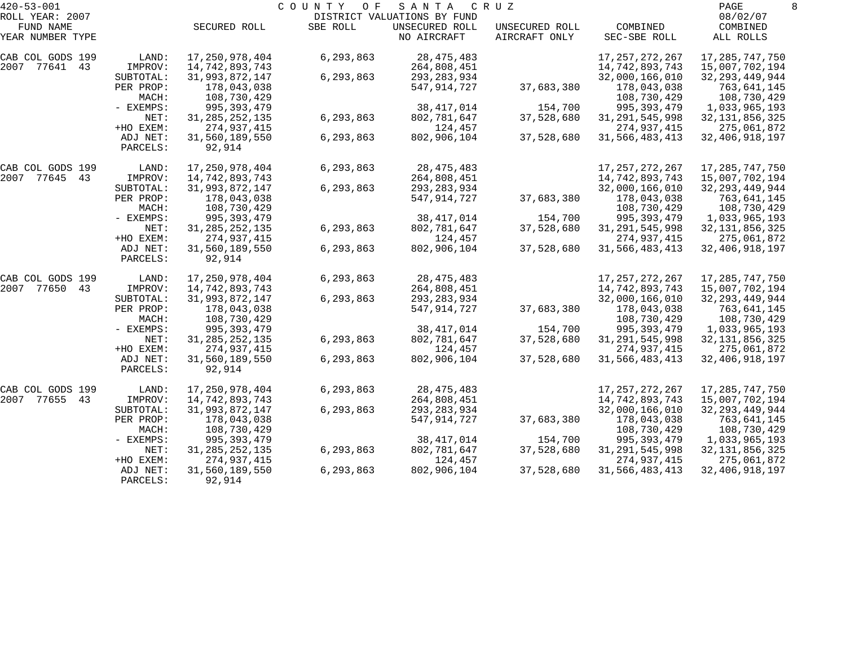| $420 - 53 - 001$              |                      |                          | COUNTY<br>O F | SANTA                         | C R U Z                         |                          | PAGE                  | 8 |
|-------------------------------|----------------------|--------------------------|---------------|-------------------------------|---------------------------------|--------------------------|-----------------------|---|
| ROLL YEAR: 2007               |                      |                          |               | DISTRICT VALUATIONS BY FUND   |                                 |                          | 08/02/07              |   |
| FUND NAME<br>YEAR NUMBER TYPE |                      | SECURED ROLL             | SBE ROLL      | UNSECURED ROLL<br>NO AIRCRAFT | UNSECURED ROLL<br>AIRCRAFT ONLY | COMBINED<br>SEC-SBE ROLL | COMBINED<br>ALL ROLLS |   |
| CAB COL GODS 199              | LAND:                | 17, 250, 978, 404        | 6,293,863     | 28, 475, 483                  |                                 | 17, 257, 272, 267        | 17, 285, 747, 750     |   |
| 2007 77641 43                 | IMPROV:              | 14,742,893,743           |               | 264,808,451                   |                                 | 14,742,893,743           | 15,007,702,194        |   |
|                               | SUBTOTAL:            | 31,993,872,147           | 6,293,863     | 293, 283, 934                 |                                 | 32,000,166,010           | 32, 293, 449, 944     |   |
|                               | PER PROP:            | 178,043,038              |               | 547,914,727                   | 37,683,380                      | 178,043,038              | 763,641,145           |   |
|                               | MACH:                | 108,730,429              |               |                               |                                 | 108,730,429              | 108,730,429           |   |
|                               | - EXEMPS:            | 995, 393, 479            |               | 38, 417, 014                  | 154,700                         | 995, 393, 479            | 1,033,965,193         |   |
|                               | NET:                 | 31, 285, 252, 135        | 6,293,863     | 802,781,647                   | 37,528,680                      | 31, 291, 545, 998        | 32, 131, 856, 325     |   |
|                               | +HO EXEM:            | 274,937,415              |               | 124,457                       |                                 | 274,937,415              | 275,061,872           |   |
|                               | ADJ NET:<br>PARCELS: | 31,560,189,550<br>92,914 | 6,293,863     | 802,906,104                   | 37,528,680                      | 31,566,483,413           | 32, 406, 918, 197     |   |
|                               |                      |                          |               |                               |                                 |                          |                       |   |
| CAB COL GODS 199              | LAND:                | 17,250,978,404           | 6,293,863     | 28, 475, 483                  |                                 | 17, 257, 272, 267        | 17, 285, 747, 750     |   |
| 2007 77645 43                 | IMPROV:              | 14,742,893,743           |               | 264,808,451                   |                                 | 14,742,893,743           | 15,007,702,194        |   |
|                               | SUBTOTAL:            | 31,993,872,147           | 6,293,863     | 293, 283, 934                 |                                 | 32,000,166,010           | 32, 293, 449, 944     |   |
|                               | PER PROP:            | 178,043,038              |               | 547,914,727                   | 37,683,380                      | 178,043,038              | 763,641,145           |   |
|                               | MACH:                | 108,730,429              |               |                               |                                 | 108,730,429              | 108,730,429           |   |
|                               | - EXEMPS:            | 995, 393, 479            |               | 38, 417, 014                  | 154,700                         | 995, 393, 479            | 1,033,965,193         |   |
|                               | NET:                 | 31, 285, 252, 135        | 6,293,863     | 802,781,647                   | 37,528,680                      | 31, 291, 545, 998        | 32, 131, 856, 325     |   |
|                               | +HO EXEM:            | 274,937,415              |               | 124,457                       |                                 | 274,937,415              | 275,061,872           |   |
|                               | ADJ NET:             | 31,560,189,550           | 6,293,863     | 802,906,104                   | 37,528,680                      | 31,566,483,413           | 32, 406, 918, 197     |   |
|                               | PARCELS:             | 92,914                   |               |                               |                                 |                          |                       |   |
| CAB COL GODS 199              | LAND:                | 17, 250, 978, 404        | 6,293,863     | 28, 475, 483                  |                                 | 17, 257, 272, 267        | 17, 285, 747, 750     |   |
| 2007 77650<br>43              | IMPROV:              | 14,742,893,743           |               | 264,808,451                   |                                 | 14,742,893,743           | 15,007,702,194        |   |
|                               | SUBTOTAL:            | 31,993,872,147           | 6,293,863     | 293, 283, 934                 |                                 | 32,000,166,010           | 32, 293, 449, 944     |   |
|                               | PER PROP:            | 178,043,038              |               | 547,914,727                   | 37,683,380                      | 178,043,038              | 763,641,145           |   |
|                               | MACH:                | 108,730,429              |               |                               |                                 | 108,730,429              | 108,730,429           |   |
|                               | - EXEMPS:            | 995, 393, 479            |               | 38, 417, 014                  | 154,700                         | 995, 393, 479            | 1,033,965,193         |   |
|                               | NET:                 | 31, 285, 252, 135        | 6,293,863     | 802,781,647                   | 37,528,680                      | 31, 291, 545, 998        | 32, 131, 856, 325     |   |
|                               | +HO EXEM:            | 274,937,415              |               | 124,457                       |                                 | 274,937,415              | 275,061,872           |   |
|                               | ADJ NET:             | 31,560,189,550           | 6,293,863     | 802,906,104                   | 37,528,680                      | 31,566,483,413           | 32, 406, 918, 197     |   |
|                               | PARCELS:             | 92,914                   |               |                               |                                 |                          |                       |   |
| CAB COL GODS 199              | LAND:                | 17,250,978,404           | 6,293,863     | 28, 475, 483                  |                                 | 17,257,272,267           | 17,285,747,750        |   |
| 2007<br>77655<br>43           | IMPROV:              | 14,742,893,743           |               | 264,808,451                   |                                 | 14, 742, 893, 743        | 15,007,702,194        |   |
|                               | SUBTOTAL:            | 31,993,872,147           | 6,293,863     | 293, 283, 934                 |                                 | 32,000,166,010           | 32, 293, 449, 944     |   |
|                               | PER PROP:            | 178,043,038              |               | 547, 914, 727                 | 37,683,380                      | 178,043,038              | 763,641,145           |   |
|                               | MACH:                | 108,730,429              |               |                               |                                 | 108,730,429              | 108,730,429           |   |
|                               | $-$ EXEMPS:          | 995, 393, 479            |               | 38, 417, 014                  | 154,700                         | 995, 393, 479            | 1,033,965,193         |   |
|                               | NET:                 | 31, 285, 252, 135        | 6,293,863     | 802,781,647                   | 37,528,680                      | 31, 291, 545, 998        | 32, 131, 856, 325     |   |
|                               | +HO EXEM:            | 274,937,415              |               | 124,457                       |                                 | 274,937,415              | 275,061,872           |   |
|                               | ADJ NET:             | 31,560,189,550           | 6,293,863     | 802,906,104                   | 37,528,680                      | 31,566,483,413           | 32, 406, 918, 197     |   |
|                               | PARCELS:             | 92,914                   |               |                               |                                 |                          |                       |   |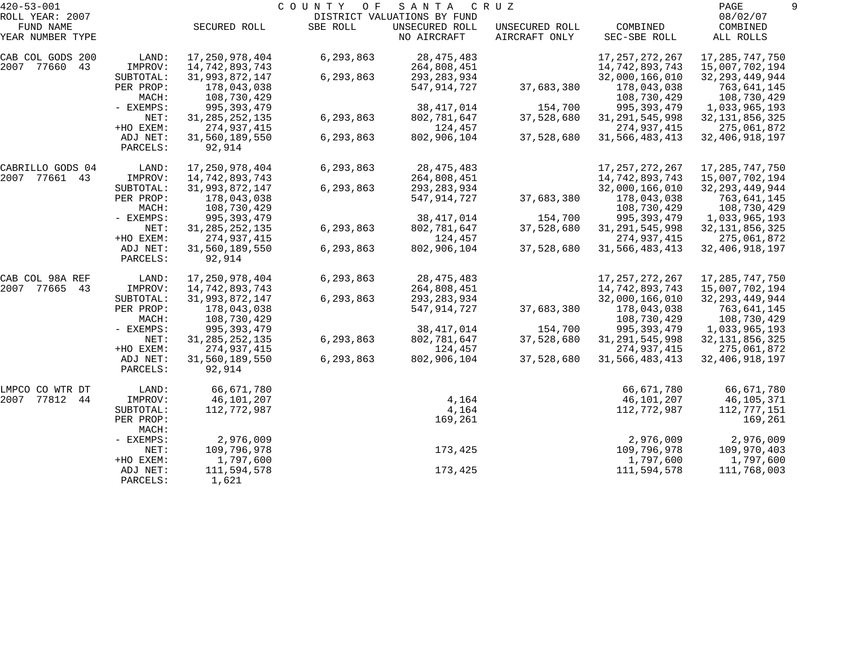| $420 - 53 - 001$    |           |                   | COUNTY<br>O F | SANTA                       | C R U Z        |                   | PAGE              |  |
|---------------------|-----------|-------------------|---------------|-----------------------------|----------------|-------------------|-------------------|--|
| ROLL YEAR: 2007     |           |                   |               | DISTRICT VALUATIONS BY FUND |                |                   | 08/02/07          |  |
| FUND NAME           |           | SECURED ROLL      | SBE ROLL      | UNSECURED ROLL              | UNSECURED ROLL | COMBINED          | COMBINED          |  |
| YEAR NUMBER TYPE    |           |                   |               | NO AIRCRAFT                 | AIRCRAFT ONLY  | SEC-SBE ROLL      | ALL ROLLS         |  |
| CAB COL GODS 200    | LAND:     | 17, 250, 978, 404 | 6,293,863     | 28, 475, 483                |                | 17, 257, 272, 267 | 17, 285, 747, 750 |  |
| 2007 77660<br>43    | IMPROV:   | 14,742,893,743    |               | 264,808,451                 |                | 14,742,893,743    | 15,007,702,194    |  |
|                     | SUBTOTAL: | 31,993,872,147    | 6,293,863     | 293, 283, 934               |                | 32,000,166,010    | 32, 293, 449, 944 |  |
|                     | PER PROP: | 178,043,038       |               | 547,914,727                 | 37,683,380     | 178,043,038       | 763,641,145       |  |
|                     | MACH:     | 108,730,429       |               |                             |                | 108,730,429       | 108,730,429       |  |
|                     | - EXEMPS: | 995, 393, 479     |               | 38, 417, 014                | 154,700        | 995, 393, 479     | 1,033,965,193     |  |
|                     | NET:      | 31, 285, 252, 135 | 6,293,863     | 802,781,647                 | 37,528,680     | 31, 291, 545, 998 | 32, 131, 856, 325 |  |
|                     | +HO EXEM: | 274,937,415       |               | 124,457                     |                | 274,937,415       | 275,061,872       |  |
|                     | ADJ NET:  | 31,560,189,550    | 6,293,863     | 802,906,104                 | 37,528,680     | 31,566,483,413    | 32, 406, 918, 197 |  |
|                     | PARCELS:  | 92,914            |               |                             |                |                   |                   |  |
| CABRILLO GODS 04    | LAND:     | 17, 250, 978, 404 | 6,293,863     | 28, 475, 483                |                | 17, 257, 272, 267 | 17, 285, 747, 750 |  |
| 2007 77661 43       | IMPROV:   | 14,742,893,743    |               | 264,808,451                 |                | 14,742,893,743    | 15,007,702,194    |  |
|                     | SUBTOTAL: | 31,993,872,147    | 6,293,863     | 293, 283, 934               |                | 32,000,166,010    | 32, 293, 449, 944 |  |
|                     | PER PROP: | 178,043,038       |               | 547,914,727                 | 37,683,380     | 178,043,038       | 763,641,145       |  |
|                     | MACH:     | 108,730,429       |               |                             |                | 108,730,429       | 108,730,429       |  |
|                     | - EXEMPS: | 995, 393, 479     |               | 38, 417, 014                | 154,700        | 995, 393, 479     | 1,033,965,193     |  |
|                     | NET:      | 31, 285, 252, 135 | 6,293,863     | 802,781,647                 | 37,528,680     | 31, 291, 545, 998 | 32, 131, 856, 325 |  |
|                     | +HO EXEM: | 274,937,415       |               | 124,457                     |                | 274,937,415       | 275,061,872       |  |
|                     | ADJ NET:  | 31,560,189,550    | 6,293,863     | 802,906,104                 | 37,528,680     | 31,566,483,413    | 32, 406, 918, 197 |  |
|                     | PARCELS:  | 92,914            |               |                             |                |                   |                   |  |
| CAB COL 98A REF     | LAND:     | 17,250,978,404    | 6,293,863     | 28, 475, 483                |                | 17, 257, 272, 267 | 17, 285, 747, 750 |  |
| 2007 77665 43       | IMPROV:   | 14,742,893,743    |               | 264,808,451                 |                | 14,742,893,743    | 15,007,702,194    |  |
|                     | SUBTOTAL: | 31,993,872,147    | 6,293,863     | 293, 283, 934               |                | 32,000,166,010    | 32, 293, 449, 944 |  |
|                     | PER PROP: | 178,043,038       |               | 547,914,727                 | 37,683,380     | 178,043,038       | 763,641,145       |  |
|                     | MACH:     | 108,730,429       |               |                             |                | 108,730,429       | 108,730,429       |  |
|                     | - EXEMPS: | 995, 393, 479     |               | 38, 417, 014                | 154,700        | 995, 393, 479     | 1,033,965,193     |  |
|                     | NET:      | 31, 285, 252, 135 | 6,293,863     | 802,781,647                 | 37,528,680     | 31, 291, 545, 998 | 32, 131, 856, 325 |  |
|                     | +HO EXEM: | 274,937,415       |               | 124,457                     |                | 274,937,415       | 275,061,872       |  |
|                     | ADJ NET:  | 31,560,189,550    | 6,293,863     | 802,906,104                 | 37,528,680     | 31,566,483,413    | 32, 406, 918, 197 |  |
|                     | PARCELS:  | 92,914            |               |                             |                |                   |                   |  |
| LMPCO CO WTR DT     | LAND:     | 66,671,780        |               |                             |                | 66,671,780        | 66,671,780        |  |
| 2007<br>77812<br>44 | IMPROV:   | 46,101,207        |               | 4,164                       |                | 46,101,207        | 46,105,371        |  |
|                     | SUBTOTAL: | 112,772,987       |               | 4,164                       |                | 112,772,987       | 112,777,151       |  |
|                     | PER PROP: |                   |               | 169,261                     |                |                   | 169,261           |  |
|                     | MACH:     |                   |               |                             |                |                   |                   |  |
|                     | - EXEMPS: | 2,976,009         |               |                             |                | 2,976,009         | 2,976,009         |  |
|                     | NET:      | 109,796,978       |               | 173,425                     |                | 109,796,978       | 109,970,403       |  |
|                     | +HO EXEM: | 1,797,600         |               |                             |                | 1,797,600         | 1,797,600         |  |
|                     | ADJ NET:  | 111,594,578       |               | 173,425                     |                | 111,594,578       | 111,768,003       |  |
|                     | PARCELS:  | 1,621             |               |                             |                |                   |                   |  |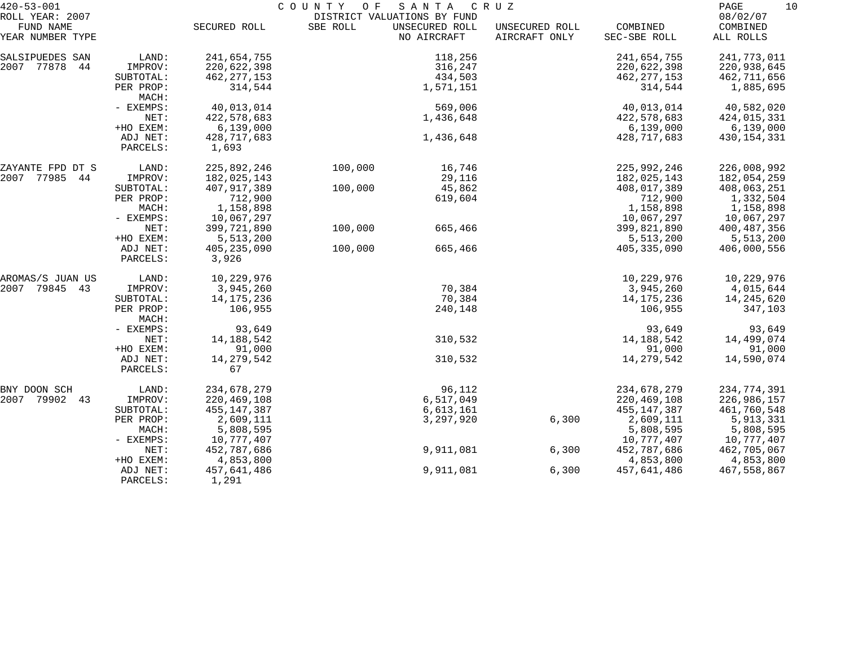| $420 - 53 - 001$<br>ROLL YEAR: 2007 |                       |                         | COUNTY OF | SANTA<br>DISTRICT VALUATIONS BY FUND | C R U Z                         |                          | PAGE<br>10<br>08/02/07 |
|-------------------------------------|-----------------------|-------------------------|-----------|--------------------------------------|---------------------------------|--------------------------|------------------------|
| FUND NAME<br>YEAR NUMBER TYPE       |                       | SECURED ROLL            | SBE ROLL  | UNSECURED ROLL<br>NO AIRCRAFT        | UNSECURED ROLL<br>AIRCRAFT ONLY | COMBINED<br>SEC-SBE ROLL | COMBINED<br>ALL ROLLS  |
| SALSIPUEDES SAN                     | LAND:                 | 241,654,755             |           | 118,256                              |                                 | 241,654,755              | 241,773,011            |
| 2007 77878<br>44                    | IMPROV:               | 220,622,398             |           | 316,247                              |                                 | 220,622,398              | 220,938,645            |
|                                     | SUBTOTAL:             | 462, 277, 153           |           | 434,503                              |                                 | 462, 277, 153            | 462,711,656            |
|                                     | PER PROP:<br>MACH:    | 314,544                 |           | 1,571,151                            |                                 | 314,544                  | 1,885,695              |
|                                     | - EXEMPS:             | 40,013,014              |           | 569,006                              |                                 | 40,013,014               | 40,582,020             |
|                                     | NET:                  | 422,578,683             |           | 1,436,648                            |                                 | 422,578,683              | 424,015,331            |
|                                     | +HO EXEM:             | 6,139,000               |           |                                      |                                 | 6,139,000                | 6,139,000              |
|                                     | ADJ NET:<br>PARCELS:  | 428,717,683<br>1,693    |           | 1,436,648                            |                                 | 428,717,683              | 430, 154, 331          |
| ZAYANTE FPD DT S                    | LAND:                 | 225,892,246             | 100,000   | 16,746                               |                                 | 225,992,246              | 226,008,992            |
| 2007 77985 44                       | IMPROV:               | 182,025,143             |           | 29,116                               |                                 | 182,025,143              | 182,054,259            |
|                                     | SUBTOTAL:             | 407, 917, 389           | 100,000   | 45,862                               |                                 | 408,017,389              | 408,063,251            |
|                                     | PER PROP:             | 712,900                 |           | 619,604                              |                                 | 712,900                  | 1,332,504<br>1,158,898 |
|                                     | MACH:<br>- EXEMPS:    | 1,158,898<br>10,067,297 |           |                                      |                                 | 1,158,898<br>10,067,297  | 10,067,297             |
|                                     | NET:                  | 399,721,890             | 100,000   | 665,466                              |                                 | 399,821,890              | 400,487,356            |
|                                     | +HO EXEM:             | 5,513,200               |           |                                      |                                 | 5,513,200                | 5,513,200              |
|                                     | ADJ NET:              | 405, 235, 090           | 100,000   | 665,466                              |                                 | 405, 335, 090            | 406,000,556            |
|                                     | PARCELS:              | 3,926                   |           |                                      |                                 |                          |                        |
| AROMAS/S JUAN US                    | LAND:                 | 10,229,976              |           |                                      |                                 | 10,229,976               | 10,229,976             |
| 2007<br>79845 43                    | IMPROV:               | 3,945,260               |           | 70,384                               |                                 | 3,945,260                | 4,015,644              |
|                                     | SUBTOTAL:             | 14, 175, 236            |           | 70,384                               |                                 | 14,175,236               | 14,245,620             |
|                                     | PER PROP:<br>MACH:    | 106,955                 |           | 240,148                              |                                 | 106,955                  | 347,103                |
|                                     | - EXEMPS:             | 93,649                  |           |                                      |                                 | 93,649                   | 93,649                 |
|                                     | NET:                  | 14, 188, 542            |           | 310,532                              |                                 | 14,188,542               | 14,499,074             |
|                                     | +HO EXEM:<br>ADJ NET: | 91,000                  |           | 310,532                              |                                 | 91,000<br>14,279,542     | 91,000<br>14,590,074   |
|                                     | PARCELS:              | 14,279,542<br>67        |           |                                      |                                 |                          |                        |
| BNY DOON SCH                        | LAND:                 | 234,678,279             |           | 96,112                               |                                 | 234,678,279              | 234,774,391            |
| 2007<br>79902<br>43                 | IMPROV:               | 220,469,108             |           | 6,517,049                            |                                 | 220, 469, 108            | 226,986,157            |
|                                     | SUBTOTAL:             | 455,147,387             |           | 6,613,161                            |                                 | 455, 147, 387            | 461,760,548            |
|                                     | PER PROP:             | 2,609,111               |           | 3,297,920                            | 6,300                           | 2,609,111                | 5,913,331              |
|                                     | MACH:                 | 5,808,595               |           |                                      |                                 | 5,808,595                | 5,808,595              |
|                                     | - EXEMPS:             | 10,777,407              |           |                                      |                                 | 10,777,407               | 10,777,407             |
|                                     | NET:                  | 452,787,686             |           | 9,911,081                            | 6,300                           | 452,787,686              | 462,705,067            |
|                                     | +HO EXEM:             | 4,853,800               |           |                                      |                                 | 4,853,800                | 4,853,800              |
|                                     | ADJ NET:<br>PARCELS:  | 457,641,486<br>1,291    |           | 9,911,081                            | 6,300                           | 457,641,486              | 467,558,867            |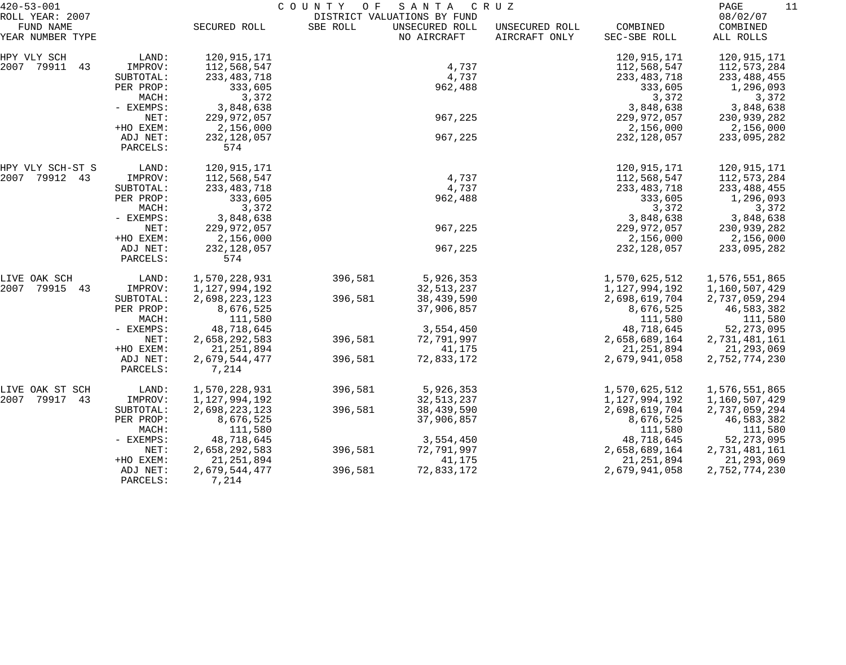| $420 - 53 - 001$                                 |                       | COUNTY OF<br>SANTA<br>C R U Z |          |                                                              |                                 |                               |                                   |  |
|--------------------------------------------------|-----------------------|-------------------------------|----------|--------------------------------------------------------------|---------------------------------|-------------------------------|-----------------------------------|--|
| ROLL YEAR: 2007<br>FUND NAME<br>YEAR NUMBER TYPE |                       | SECURED ROLL                  | SBE ROLL | DISTRICT VALUATIONS BY FUND<br>UNSECURED ROLL<br>NO AIRCRAFT | UNSECURED ROLL<br>AIRCRAFT ONLY | COMBINED<br>SEC-SBE ROLL      | 08/02/07<br>COMBINED<br>ALL ROLLS |  |
|                                                  |                       |                               |          |                                                              |                                 |                               |                                   |  |
| HPY VLY SCH                                      | LAND:                 | 120,915,171                   |          |                                                              |                                 | 120, 915, 171                 | 120,915,171                       |  |
| 2007 79911<br>43                                 | IMPROV:               | 112,568,547                   |          | 4,737                                                        |                                 | 112,568,547                   | 112,573,284                       |  |
|                                                  | SUBTOTAL:             | 233, 483, 718                 |          | 4,737                                                        |                                 | 233, 483, 718                 | 233, 488, 455                     |  |
|                                                  | PER PROP:             | 333,605                       |          | 962,488                                                      |                                 | 333,605                       | 1,296,093                         |  |
|                                                  | MACH:                 | 3,372                         |          |                                                              |                                 | 3,372                         | 3,372                             |  |
|                                                  | - EXEMPS:             | 3,848,638                     |          |                                                              |                                 | 3,848,638                     | 3,848,638                         |  |
|                                                  | NET:                  | 229,972,057                   |          | 967,225                                                      |                                 | 229,972,057                   | 230,939,282                       |  |
|                                                  | +HO EXEM:             | 2,156,000                     |          |                                                              |                                 | 2,156,000                     | 2,156,000                         |  |
|                                                  | ADJ NET:              | 232, 128, 057                 |          | 967,225                                                      |                                 | 232,128,057                   | 233,095,282                       |  |
|                                                  | PARCELS:              | 574                           |          |                                                              |                                 |                               |                                   |  |
| HPY VLY SCH-ST S                                 | LAND:                 | 120,915,171                   |          |                                                              |                                 | 120,915,171                   | 120,915,171                       |  |
| 2007 79912 43                                    | IMPROV:               | 112,568,547                   |          | 4,737                                                        |                                 | 112,568,547                   | 112,573,284                       |  |
|                                                  | SUBTOTAL:             | 233, 483, 718                 |          | 4,737                                                        |                                 | 233, 483, 718                 | 233, 488, 455                     |  |
|                                                  | PER PROP:             | 333,605                       |          | 962,488                                                      |                                 | 333,605                       | 1,296,093                         |  |
|                                                  | MACH:                 | 3,372                         |          |                                                              |                                 | 3,372                         | 3,372                             |  |
|                                                  | - EXEMPS:             | 3,848,638                     |          |                                                              |                                 | 3,848,638                     | 3,848,638                         |  |
|                                                  | NET:                  | 229,972,057                   |          | 967,225                                                      |                                 | 229,972,057                   | 230,939,282                       |  |
|                                                  | +HO EXEM:             | 2,156,000                     |          |                                                              |                                 | 2,156,000                     | 2,156,000                         |  |
|                                                  | ADJ NET:<br>PARCELS:  | 232, 128, 057<br>574          |          | 967,225                                                      |                                 | 232, 128, 057                 | 233,095,282                       |  |
|                                                  |                       |                               |          |                                                              |                                 |                               |                                   |  |
| LIVE OAK SCH                                     | LAND:                 | 1,570,228,931                 | 396,581  | 5,926,353                                                    |                                 | 1,570,625,512                 | 1,576,551,865                     |  |
| 2007<br>79915<br>43                              | IMPROV:               | 1,127,994,192                 |          | 32, 513, 237                                                 |                                 | 1,127,994,192                 | 1,160,507,429                     |  |
|                                                  | SUBTOTAL:             | 2,698,223,123                 | 396,581  | 38,439,590                                                   |                                 | 2,698,619,704                 | 2,737,059,294                     |  |
|                                                  | PER PROP:             | 8,676,525                     |          | 37,906,857                                                   |                                 | 8,676,525                     | 46,583,382                        |  |
|                                                  | MACH:                 | 111,580                       |          |                                                              |                                 | 111,580                       | 111,580                           |  |
|                                                  | - EXEMPS:             | 48,718,645                    |          | 3,554,450                                                    |                                 | 48,718,645                    | 52, 273, 095                      |  |
|                                                  | NET:                  | 2,658,292,583                 | 396,581  | 72,791,997                                                   |                                 | 2,658,689,164                 | 2,731,481,161                     |  |
|                                                  | +HO EXEM:<br>ADJ NET: | 21, 251, 894<br>2,679,544,477 | 396,581  | 41,175<br>72,833,172                                         |                                 | 21, 251, 894<br>2,679,941,058 | 21,293,069<br>2,752,774,230       |  |
|                                                  | PARCELS:              | 7,214                         |          |                                                              |                                 |                               |                                   |  |
|                                                  |                       |                               |          |                                                              |                                 |                               |                                   |  |
| LIVE OAK ST SCH                                  | LAND:                 | 1,570,228,931                 | 396,581  | 5,926,353                                                    |                                 | 1,570,625,512                 | 1,576,551,865                     |  |
| 2007<br>79917<br>43                              | IMPROV:               | 1,127,994,192                 |          | 32, 513, 237                                                 |                                 | 1,127,994,192                 | 1,160,507,429                     |  |
|                                                  | SUBTOTAL:             | 2,698,223,123                 | 396,581  | 38,439,590<br>37,906,857                                     |                                 | 2,698,619,704                 | 2,737,059,294                     |  |
|                                                  | PER PROP:<br>MACH:    | 8,676,525<br>111,580          |          |                                                              |                                 | 8,676,525<br>111,580          | 46,583,382<br>111,580             |  |
|                                                  | - EXEMPS:             | 48,718,645                    |          | 3,554,450                                                    |                                 | 48,718,645                    | 52, 273, 095                      |  |
|                                                  | NET:                  | 2,658,292,583                 | 396,581  | 72,791,997                                                   |                                 | 2,658,689,164                 | 2,731,481,161                     |  |
|                                                  | +HO EXEM:             | 21, 251, 894                  |          | 41,175                                                       |                                 | 21, 251, 894                  | 21,293,069                        |  |
|                                                  | ADJ NET:              | 2,679,544,477                 | 396,581  | 72,833,172                                                   |                                 | 2,679,941,058                 | 2,752,774,230                     |  |
|                                                  | PARCELS:              | 7,214                         |          |                                                              |                                 |                               |                                   |  |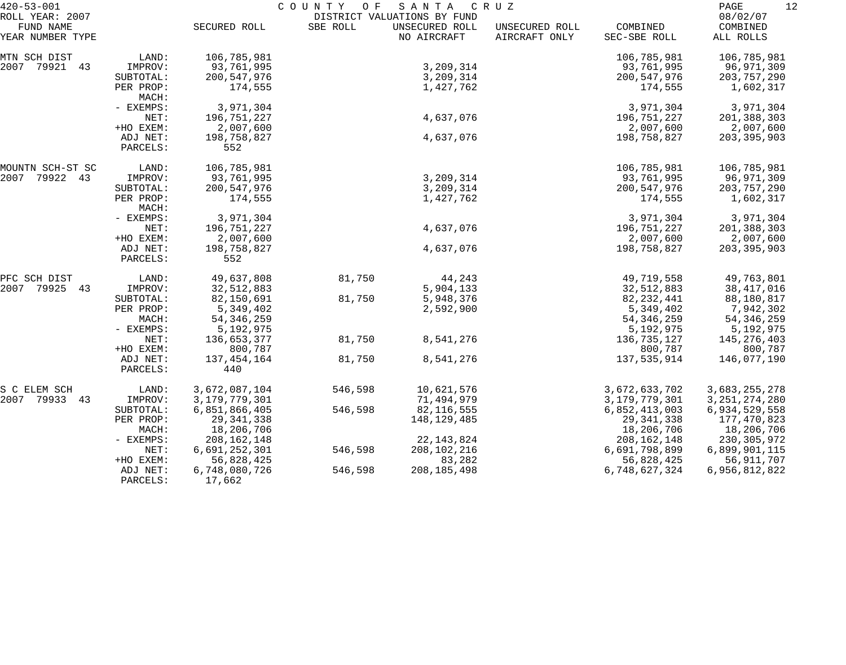| $420 - 53 - 001$                                 |                      | COUNTY OF<br>SANTA<br>C R U Z |          |                                                              |                                 |                          |                                   |  |
|--------------------------------------------------|----------------------|-------------------------------|----------|--------------------------------------------------------------|---------------------------------|--------------------------|-----------------------------------|--|
| ROLL YEAR: 2007<br>FUND NAME<br>YEAR NUMBER TYPE |                      | SECURED ROLL                  | SBE ROLL | DISTRICT VALUATIONS BY FUND<br>UNSECURED ROLL<br>NO AIRCRAFT | UNSECURED ROLL<br>AIRCRAFT ONLY | COMBINED<br>SEC-SBE ROLL | 08/02/07<br>COMBINED<br>ALL ROLLS |  |
| MTN SCH DIST                                     | LAND:                | 106,785,981                   |          |                                                              |                                 | 106,785,981              | 106,785,981                       |  |
| 2007 79921 43                                    | IMPROV:              | 93,761,995                    |          | 3,209,314                                                    |                                 | 93,761,995               | 96,971,309                        |  |
|                                                  | SUBTOTAL:            | 200, 547, 976                 |          | 3,209,314                                                    |                                 | 200,547,976              | 203, 757, 290                     |  |
|                                                  | PER PROP:<br>MACH:   | 174,555                       |          | 1,427,762                                                    |                                 | 174,555                  | 1,602,317                         |  |
|                                                  | - EXEMPS:            | 3,971,304                     |          |                                                              |                                 | 3,971,304                | 3,971,304                         |  |
|                                                  | NET:                 | 196,751,227                   |          | 4,637,076                                                    |                                 | 196,751,227              | 201,388,303                       |  |
|                                                  | +HO EXEM:            | 2,007,600                     |          |                                                              |                                 | 2,007,600                | 2,007,600                         |  |
|                                                  | ADJ NET:<br>PARCELS: | 198,758,827<br>552            |          | 4,637,076                                                    |                                 | 198,758,827              | 203, 395, 903                     |  |
| MOUNTN SCH-ST SC                                 | LAND:                | 106,785,981                   |          |                                                              |                                 | 106,785,981              | 106,785,981                       |  |
| 79922 43<br>2007                                 | IMPROV:              | 93,761,995                    |          | 3,209,314                                                    |                                 | 93,761,995               | 96,971,309                        |  |
|                                                  | SUBTOTAL:            | 200, 547, 976                 |          | 3,209,314                                                    |                                 | 200,547,976              | 203,757,290                       |  |
|                                                  | PER PROP:<br>MACH:   | 174,555                       |          | 1,427,762                                                    |                                 | 174,555                  | 1,602,317                         |  |
|                                                  | - EXEMPS:            | 3,971,304                     |          |                                                              |                                 | 3,971,304                | 3,971,304                         |  |
|                                                  | NET:                 | 196,751,227                   |          | 4,637,076                                                    |                                 | 196,751,227              | 201,388,303                       |  |
|                                                  | +HO EXEM:            | 2,007,600                     |          |                                                              |                                 | 2,007,600                | 2,007,600                         |  |
|                                                  | ADJ NET:<br>PARCELS: | 198,758,827<br>552            |          | 4,637,076                                                    |                                 | 198,758,827              | 203, 395, 903                     |  |
| PFC SCH DIST                                     | LAND:                | 49,637,808                    | 81,750   | 44,243                                                       |                                 | 49,719,558               | 49,763,801                        |  |
| 2007 79925<br>43                                 | IMPROV:              | 32,512,883                    |          | 5,904,133                                                    |                                 | 32,512,883               | 38, 417, 016                      |  |
|                                                  | SUBTOTAL:            | 82,150,691                    | 81,750   | 5,948,376                                                    |                                 | 82, 232, 441             | 88,180,817                        |  |
|                                                  | PER PROP:            | 5,349,402                     |          | 2,592,900                                                    |                                 | 5,349,402                | 7,942,302                         |  |
|                                                  | MACH:                | 54, 346, 259                  |          |                                                              |                                 | 54, 346, 259             | 54, 346, 259                      |  |
|                                                  | - EXEMPS:            | 5,192,975                     |          |                                                              |                                 | 5,192,975                | 5,192,975                         |  |
|                                                  | NET:                 | 136,653,377                   | 81,750   | 8,541,276                                                    |                                 | 136,735,127              | 145,276,403                       |  |
|                                                  | +HO EXEM:            | 800,787                       |          |                                                              |                                 | 800,787                  | 800,787                           |  |
|                                                  | ADJ NET:<br>PARCELS: | 137, 454, 164<br>440          | 81,750   | 8,541,276                                                    |                                 | 137,535,914              | 146,077,190                       |  |
| S C ELEM SCH                                     | LAND:                | 3,672,087,104                 | 546,598  | 10,621,576                                                   |                                 | 3,672,633,702            | 3,683,255,278                     |  |
| 2007 79933 43                                    | IMPROV:              | 3,179,779,301                 |          | 71,494,979                                                   |                                 | 3,179,779,301            | 3, 251, 274, 280                  |  |
|                                                  | SUBTOTAL:            | 6,851,866,405                 | 546,598  | 82, 116, 555                                                 |                                 | 6,852,413,003            | 6,934,529,558                     |  |
|                                                  | PER PROP:            | 29, 341, 338                  |          | 148, 129, 485                                                |                                 | 29, 341, 338             | 177,470,823                       |  |
|                                                  | MACH:                | 18,206,706                    |          |                                                              |                                 | 18,206,706               | 18,206,706                        |  |
|                                                  | $-$ EXEMPS:          | 208,162,148                   |          | 22, 143, 824                                                 |                                 | 208, 162, 148            | 230, 305, 972                     |  |
|                                                  | NET:                 | 6,691,252,301                 | 546,598  | 208,102,216                                                  |                                 | 6,691,798,899            | 6,899,901,115                     |  |
|                                                  | +HO EXEM:            | 56,828,425                    |          | 83,282                                                       |                                 | 56,828,425               | 56,911,707                        |  |
|                                                  | ADJ NET:<br>PARCELS: | 6,748,080,726<br>17,662       | 546,598  | 208, 185, 498                                                |                                 | 6,748,627,324            | 6,956,812,822                     |  |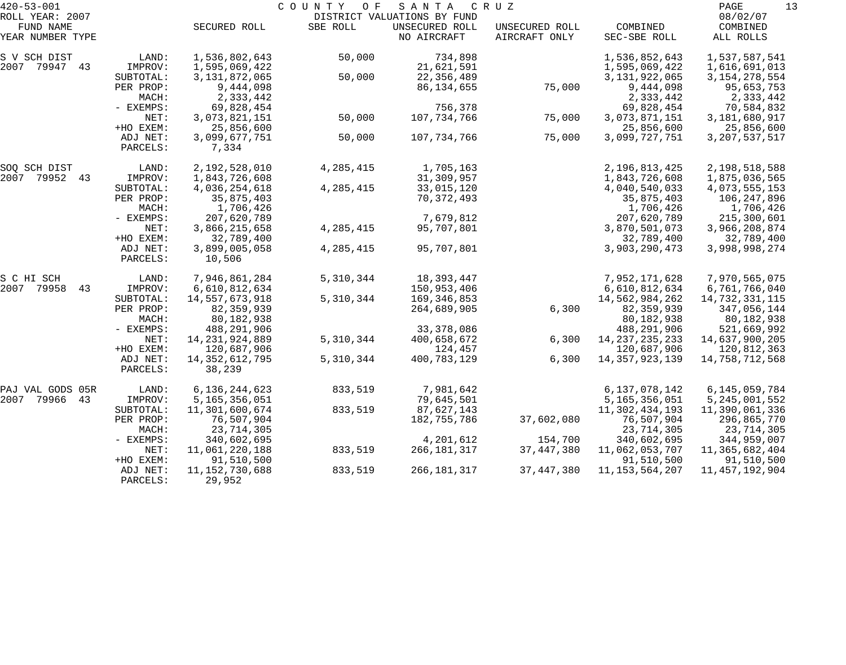| $420 - 53 - 001$              |                      |                             | C O U N T Y<br>O F | SANTA                         | C R U Z                         |                          | PAGE<br>13            |
|-------------------------------|----------------------|-----------------------------|--------------------|-------------------------------|---------------------------------|--------------------------|-----------------------|
| ROLL YEAR: 2007               |                      |                             |                    | DISTRICT VALUATIONS BY FUND   |                                 |                          | 08/02/07              |
| FUND NAME<br>YEAR NUMBER TYPE |                      | SECURED ROLL                | SBE ROLL           | UNSECURED ROLL<br>NO AIRCRAFT | UNSECURED ROLL<br>AIRCRAFT ONLY | COMBINED<br>SEC-SBE ROLL | COMBINED<br>ALL ROLLS |
| S V SCH DIST                  | LAND:                | 1,536,802,643               | 50,000             | 734,898                       |                                 | 1,536,852,643            | 1,537,587,541         |
| 2007 79947 43                 | IMPROV:              | 1,595,069,422               |                    | 21,621,591                    |                                 | 1,595,069,422            | 1,616,691,013         |
|                               | SUBTOTAL:            | 3, 131, 872, 065            | 50,000             | 22,356,489                    |                                 | 3, 131, 922, 065         | 3, 154, 278, 554      |
|                               | PER PROP:            | 9,444,098                   |                    | 86, 134, 655                  | 75,000                          | 9,444,098                | 95,653,753            |
|                               | MACH:                | 2,333,442                   |                    |                               |                                 | 2,333,442                | 2,333,442             |
|                               | - EXEMPS:            | 69,828,454                  |                    | 756,378                       |                                 | 69,828,454               | 70,584,832            |
|                               | NET:                 | 3,073,821,151               | 50,000             | 107,734,766                   | 75,000                          | 3,073,871,151            | 3,181,680,917         |
|                               | +HO EXEM:            | 25,856,600                  |                    |                               |                                 | 25,856,600               | 25,856,600            |
|                               | ADJ NET:<br>PARCELS: | 3,099,677,751<br>7,334      | 50,000             | 107,734,766                   | 75,000                          | 3,099,727,751            | 3, 207, 537, 517      |
| SOQ SCH DIST                  | LAND:                | 2,192,528,010               | 4,285,415          | 1,705,163                     |                                 | 2,196,813,425            | 2,198,518,588         |
| 2007 79952 43                 | IMPROV:              | 1,843,726,608               |                    | 31,309,957                    |                                 | 1,843,726,608            | 1,875,036,565         |
|                               | SUBTOTAL:            | 4,036,254,618               | 4, 285, 415        | 33,015,120                    |                                 | 4,040,540,033            | 4,073,555,153         |
|                               | PER PROP:            | 35,875,403                  |                    | 70, 372, 493                  |                                 | 35,875,403               | 106,247,896           |
|                               | MACH:                | 1,706,426                   |                    |                               |                                 | 1,706,426                | 1,706,426             |
|                               | - EXEMPS:            | 207,620,789                 |                    | 7,679,812                     |                                 | 207,620,789              | 215,300,601           |
|                               | NET:                 | 3,866,215,658               | 4, 285, 415        | 95,707,801                    |                                 | 3,870,501,073            | 3,966,208,874         |
|                               | +HO EXEM:            | 32,789,400                  |                    |                               |                                 | 32,789,400               | 32,789,400            |
|                               | ADJ NET:<br>PARCELS: | 3,899,005,058<br>10,506     | 4, 285, 415        | 95,707,801                    |                                 | 3,903,290,473            | 3,998,998,274         |
| S C HI SCH                    | LAND:                | 7,946,861,284               | 5,310,344          | 18,393,447                    |                                 | 7,952,171,628            | 7,970,565,075         |
| 2007 79958<br>43              | IMPROV:              | 6,610,812,634               |                    | 150,953,406                   |                                 | 6,610,812,634            | 6,761,766,040         |
|                               | SUBTOTAL:            | 14,557,673,918              | 5,310,344          | 169,346,853                   |                                 | 14,562,984,262           | 14,732,331,115        |
|                               | PER PROP:            | 82, 359, 939                |                    | 264,689,905                   | 6,300                           | 82, 359, 939             | 347,056,144           |
|                               | MACH:                | 80,182,938                  |                    |                               |                                 | 80,182,938               | 80,182,938            |
|                               | - EXEMPS:            | 488,291,906                 |                    | 33, 378, 086                  |                                 | 488,291,906              | 521,669,992           |
|                               | NET:                 | 14, 231, 924, 889           | 5,310,344          | 400,658,672                   | 6,300                           | 14, 237, 235, 233        | 14,637,900,205        |
|                               | +HO EXEM:            | 120,687,906                 |                    | 124,457                       |                                 | 120,687,906              | 120,812,363           |
|                               | ADJ NET:             | 14, 352, 612, 795           | 5,310,344          | 400,783,129                   | 6,300                           | 14, 357, 923, 139        | 14,758,712,568        |
|                               | PARCELS:             | 38,239                      |                    |                               |                                 |                          |                       |
| PAJ VAL GODS 05R              | LAND:                | 6,136,244,623               | 833,519            | 7,981,642                     |                                 | 6,137,078,142            | 6,145,059,784         |
| 2007<br>79966<br>43           | IMPROV:              | 5,165,356,051               |                    | 79,645,501                    |                                 | 5,165,356,051            | 5, 245, 001, 552      |
|                               | SUBTOTAL:            | 11,301,600,674              | 833,519            | 87,627,143                    |                                 | 11,302,434,193           | 11,390,061,336        |
|                               | PER PROP:            | 76,507,904                  |                    | 182,755,786                   | 37,602,080                      | 76,507,904               | 296,865,770           |
|                               | MACH:                | 23,714,305                  |                    |                               |                                 | 23,714,305               | 23,714,305            |
|                               | - EXEMPS:            | 340,602,695                 |                    | 4,201,612                     | 154,700                         | 340,602,695              | 344,959,007           |
|                               | NET:                 | 11,061,220,188              | 833,519            | 266,181,317                   | 37,447,380                      | 11,062,053,707           | 11,365,682,404        |
|                               | +HO EXEM:            | 91,510,500                  |                    |                               |                                 | 91,510,500               | 91,510,500            |
|                               | ADJ NET:<br>PARCELS: | 11, 152, 730, 688<br>29,952 | 833,519            | 266, 181, 317                 | 37, 447, 380                    | 11, 153, 564, 207        | 11, 457, 192, 904     |
|                               |                      |                             |                    |                               |                                 |                          |                       |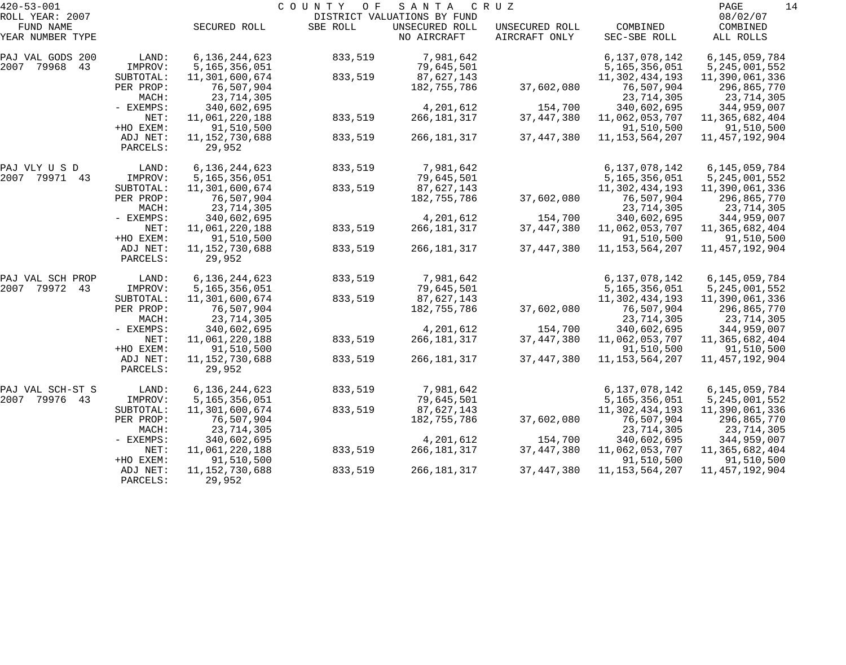| $420 - 53 - 001$             |                       |                                 | C O U N T Y<br>O F | SANTA                                         | C R U Z                 |                                 | 14<br>PAGE                      |
|------------------------------|-----------------------|---------------------------------|--------------------|-----------------------------------------------|-------------------------|---------------------------------|---------------------------------|
| ROLL YEAR: 2007<br>FUND NAME |                       | SECURED ROLL                    | SBE ROLL           | DISTRICT VALUATIONS BY FUND<br>UNSECURED ROLL | UNSECURED ROLL          | COMBINED                        | 08/02/07<br>COMBINED            |
| YEAR NUMBER TYPE             |                       |                                 |                    | NO AIRCRAFT                                   | AIRCRAFT ONLY           | SEC-SBE ROLL                    | ALL ROLLS                       |
| PAJ VAL GODS 200             | LAND:                 | 6, 136, 244, 623                | 833,519            | 7,981,642                                     |                         | 6,137,078,142                   | 6, 145, 059, 784                |
| 2007<br>79968<br>43          | IMPROV:               | 5,165,356,051                   |                    | 79,645,501                                    |                         | 5,165,356,051                   | 5, 245, 001, 552                |
|                              | SUBTOTAL:             | 11,301,600,674                  | 833,519            | 87,627,143                                    |                         | 11,302,434,193<br>76,507,904    | 11,390,061,336                  |
|                              | PER PROP:<br>MACH:    | 76,507,904<br>23,714,305        |                    | 182,755,786                                   | 37,602,080              | 23,714,305                      | 296,865,770<br>23,714,305       |
|                              | - EXEMPS:             | 340,602,695                     |                    | 4,201,612                                     | 154,700                 | 340,602,695                     | 344,959,007                     |
|                              | NET:                  | 11,061,220,188                  | 833,519            | 266, 181, 317                                 | 37, 447, 380            | 11,062,053,707                  | 11,365,682,404                  |
|                              | +HO EXEM:             | 91,510,500                      |                    |                                               |                         | 91,510,500                      | 91,510,500                      |
|                              | ADJ NET:              | 11, 152, 730, 688               | 833,519            | 266,181,317                                   | 37, 447, 380            | 11, 153, 564, 207               | 11, 457, 192, 904               |
|                              | PARCELS:              | 29,952                          |                    |                                               |                         |                                 |                                 |
| PAJ VLY U S D                | LAND:                 | 6, 136, 244, 623                | 833,519            | 7,981,642                                     |                         | 6,137,078,142                   | 6, 145, 059, 784                |
| 2007 79971 43                | IMPROV:               | 5,165,356,051                   |                    | 79,645,501                                    |                         | 5,165,356,051                   | 5, 245, 001, 552                |
|                              | SUBTOTAL:             | 11,301,600,674                  | 833,519            | 87,627,143                                    |                         | 11,302,434,193                  | 11,390,061,336                  |
|                              | PER PROP:             | 76,507,904                      |                    | 182,755,786                                   | 37,602,080              | 76,507,904                      | 296,865,770                     |
|                              | MACH:                 | 23,714,305                      |                    |                                               |                         | 23,714,305                      | 23,714,305                      |
|                              | - EXEMPS:<br>NET:     | 340,602,695<br>11,061,220,188   | 833,519            | 4,201,612<br>266, 181, 317                    | 154,700<br>37, 447, 380 | 340,602,695<br>11,062,053,707   | 344,959,007<br>11,365,682,404   |
|                              | +HO EXEM:             | 91,510,500                      |                    |                                               |                         | 91,510,500                      | 91,510,500                      |
|                              | ADJ NET:              | 11, 152, 730, 688               | 833,519            | 266, 181, 317                                 | 37, 447, 380            | 11, 153, 564, 207               | 11, 457, 192, 904               |
|                              | PARCELS:              | 29,952                          |                    |                                               |                         |                                 |                                 |
| PAJ VAL SCH PROP             | LAND:                 | 6, 136, 244, 623                | 833,519            | 7,981,642                                     |                         | 6,137,078,142                   | 6, 145, 059, 784                |
| 79972 43<br>2007             | IMPROV:               | 5,165,356,051                   |                    | 79,645,501                                    |                         | 5,165,356,051                   | 5, 245, 001, 552                |
|                              | SUBTOTAL:             | 11,301,600,674                  | 833,519            | 87,627,143                                    |                         | 11,302,434,193                  | 11,390,061,336                  |
|                              | PER PROP:             | 76,507,904                      |                    | 182,755,786                                   | 37,602,080              | 76,507,904                      | 296,865,770                     |
|                              | MACH:                 | 23,714,305                      |                    |                                               |                         | 23,714,305                      | 23,714,305                      |
|                              | - EXEMPS:             | 340,602,695                     |                    | 4,201,612                                     | 154,700                 | 340,602,695                     | 344,959,007                     |
|                              | NET:<br>+HO EXEM:     | 11,061,220,188<br>91,510,500    | 833,519            | 266, 181, 317                                 | 37, 447, 380            | 11,062,053,707<br>91,510,500    | 11,365,682,404<br>91,510,500    |
|                              | ADJ NET:              | 11, 152, 730, 688               | 833,519            | 266, 181, 317                                 | 37, 447, 380            | 11, 153, 564, 207               | 11, 457, 192, 904               |
|                              | PARCELS:              | 29,952                          |                    |                                               |                         |                                 |                                 |
| PAJ VAL SCH-ST S             | LAND:                 | 6, 136, 244, 623                | 833,519            | 7,981,642                                     |                         | 6,137,078,142                   | 6,145,059,784                   |
| 2007<br>79976 43             | IMPROV:               | 5,165,356,051                   |                    | 79,645,501                                    |                         | 5,165,356,051                   | 5, 245, 001, 552                |
|                              | SUBTOTAL:             | 11,301,600,674                  | 833,519            | 87,627,143                                    |                         | 11,302,434,193                  | 11,390,061,336                  |
|                              | PER PROP:             | 76,507,904                      |                    | 182,755,786                                   | 37,602,080              | 76,507,904                      | 296,865,770                     |
|                              | MACH:                 | 23,714,305                      |                    |                                               |                         | 23,714,305                      | 23,714,305                      |
|                              | $-$ EXEMPS:           | 340,602,695                     |                    | 4,201,612                                     | 154,700                 | 340,602,695                     | 344,959,007                     |
|                              | NET:                  | 11,061,220,188                  | 833,519            | 266,181,317                                   | 37, 447, 380            | 11,062,053,707                  | 11,365,682,404                  |
|                              | +HO EXEM:<br>ADJ NET: | 91,510,500<br>11, 152, 730, 688 | 833,519            | 266, 181, 317                                 | 37, 447, 380            | 91,510,500<br>11, 153, 564, 207 | 91,510,500<br>11, 457, 192, 904 |
|                              | PARCELS:              | 29,952                          |                    |                                               |                         |                                 |                                 |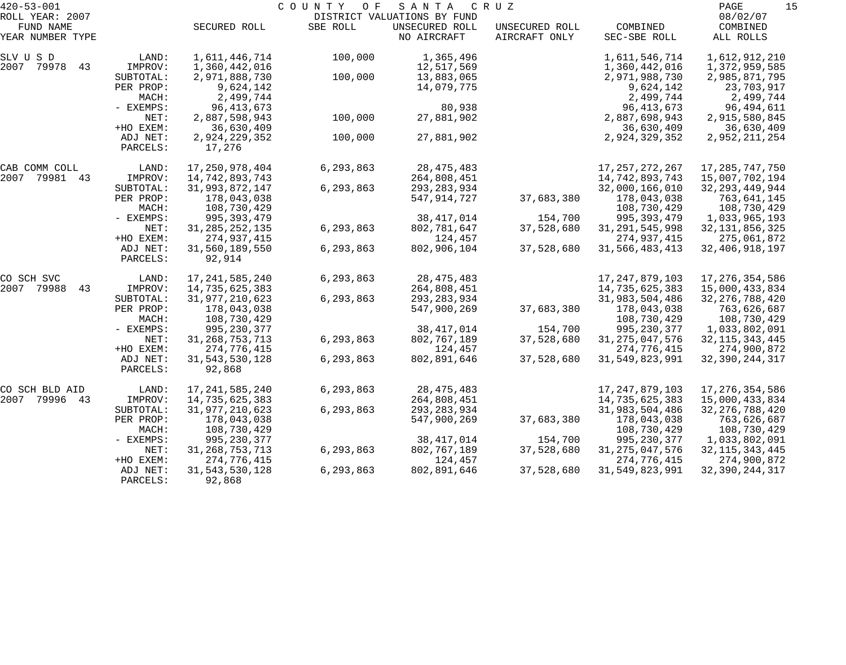| $420 - 53 - 001$    |           |                   | COUNTY<br>O F | SANTA                       | C R U Z        |                   | 15<br>PAGE        |
|---------------------|-----------|-------------------|---------------|-----------------------------|----------------|-------------------|-------------------|
| ROLL YEAR: 2007     |           |                   |               | DISTRICT VALUATIONS BY FUND |                |                   | 08/02/07          |
| FUND NAME           |           | SECURED ROLL      | SBE ROLL      | UNSECURED ROLL              | UNSECURED ROLL | COMBINED          | COMBINED          |
| YEAR NUMBER TYPE    |           |                   |               | NO AIRCRAFT                 | AIRCRAFT ONLY  | SEC-SBE ROLL      | ALL ROLLS         |
| SLV U S D           | LAND:     | 1,611,446,714     | 100,000       | 1,365,496                   |                | 1,611,546,714     | 1,612,912,210     |
| 79978<br>2007<br>43 | IMPROV:   | 1,360,442,016     |               | 12,517,569                  |                | 1,360,442,016     | 1,372,959,585     |
|                     | SUBTOTAL: | 2,971,888,730     | 100,000       | 13,883,065                  |                | 2,971,988,730     | 2,985,871,795     |
|                     | PER PROP: | 9,624,142         |               | 14,079,775                  |                | 9,624,142         | 23,703,917        |
|                     | MACH:     | 2,499,744         |               |                             |                | 2,499,744         | 2,499,744         |
|                     | - EXEMPS: | 96, 413, 673      |               | 80,938                      |                | 96, 413, 673      | 96,494,611        |
|                     | NET:      | 2,887,598,943     | 100,000       | 27,881,902                  |                | 2,887,698,943     | 2,915,580,845     |
|                     | +HO EXEM: | 36,630,409        |               |                             |                | 36,630,409        | 36,630,409        |
|                     | ADJ NET:  | 2,924,229,352     | 100,000       | 27,881,902                  |                | 2,924,329,352     | 2,952,211,254     |
|                     | PARCELS:  | 17,276            |               |                             |                |                   |                   |
| CAB COMM COLL       | LAND:     | 17,250,978,404    | 6,293,863     | 28, 475, 483                |                | 17, 257, 272, 267 | 17, 285, 747, 750 |
| 2007<br>79981 43    | IMPROV:   | 14,742,893,743    |               | 264,808,451                 |                | 14,742,893,743    | 15,007,702,194    |
|                     | SUBTOTAL: | 31,993,872,147    | 6,293,863     | 293, 283, 934               |                | 32,000,166,010    | 32, 293, 449, 944 |
|                     | PER PROP: | 178,043,038       |               | 547,914,727                 | 37,683,380     | 178,043,038       | 763,641,145       |
|                     | MACH:     | 108,730,429       |               |                             |                | 108,730,429       | 108,730,429       |
|                     | - EXEMPS: | 995, 393, 479     |               | 38, 417, 014                | 154,700        | 995, 393, 479     | 1,033,965,193     |
|                     | NET:      | 31, 285, 252, 135 | 6,293,863     | 802,781,647                 | 37,528,680     | 31, 291, 545, 998 | 32, 131, 856, 325 |
|                     | +HO EXEM: | 274,937,415       |               | 124,457                     |                | 274,937,415       | 275,061,872       |
|                     | ADJ NET:  | 31,560,189,550    | 6,293,863     | 802,906,104                 | 37,528,680     | 31,566,483,413    | 32, 406, 918, 197 |
|                     | PARCELS:  | 92,914            |               |                             |                |                   |                   |
| CO SCH SVC          | LAND:     | 17, 241, 585, 240 | 6,293,863     | 28, 475, 483                |                | 17, 247, 879, 103 | 17, 276, 354, 586 |
| 2007<br>79988<br>43 | IMPROV:   | 14,735,625,383    |               | 264,808,451                 |                | 14,735,625,383    | 15,000,433,834    |
|                     | SUBTOTAL: | 31, 977, 210, 623 | 6,293,863     | 293, 283, 934               |                | 31,983,504,486    | 32, 276, 788, 420 |
|                     | PER PROP: | 178,043,038       |               | 547,900,269                 | 37,683,380     | 178,043,038       | 763,626,687       |
|                     | MACH:     | 108,730,429       |               |                             |                | 108,730,429       | 108,730,429       |
|                     | - EXEMPS: | 995, 230, 377     |               | 38, 417, 014                | 154,700        | 995, 230, 377     | 1,033,802,091     |
|                     | NET:      | 31, 268, 753, 713 | 6,293,863     | 802,767,189                 | 37,528,680     | 31, 275, 047, 576 | 32, 115, 343, 445 |
|                     | +HO EXEM: | 274,776,415       |               | 124,457                     |                | 274,776,415       | 274,900,872       |
|                     | ADJ NET:  | 31, 543, 530, 128 | 6,293,863     | 802,891,646                 | 37,528,680     | 31, 549, 823, 991 | 32, 390, 244, 317 |
|                     | PARCELS:  | 92,868            |               |                             |                |                   |                   |
| CO SCH BLD AID      | LAND:     | 17, 241, 585, 240 | 6,293,863     | 28, 475, 483                |                | 17, 247, 879, 103 | 17,276,354,586    |
| 2007<br>79996<br>43 | IMPROV:   | 14,735,625,383    |               | 264,808,451                 |                | 14,735,625,383    | 15,000,433,834    |
|                     | SUBTOTAL: | 31,977,210,623    | 6,293,863     | 293, 283, 934               |                | 31,983,504,486    | 32, 276, 788, 420 |
|                     | PER PROP: | 178,043,038       |               | 547,900,269                 | 37,683,380     | 178,043,038       | 763,626,687       |
|                     | MACH:     | 108,730,429       |               |                             |                | 108,730,429       | 108,730,429       |
|                     | - EXEMPS: | 995, 230, 377     |               | 38, 417, 014                | 154,700        | 995, 230, 377     | 1,033,802,091     |
|                     | NET:      | 31, 268, 753, 713 | 6,293,863     | 802,767,189                 | 37,528,680     | 31, 275, 047, 576 | 32, 115, 343, 445 |
|                     | +HO EXEM: | 274,776,415       |               | 124,457                     |                | 274,776,415       | 274,900,872       |
|                     | ADJ NET:  | 31, 543, 530, 128 | 6,293,863     | 802,891,646                 | 37,528,680     | 31,549,823,991    | 32, 390, 244, 317 |
|                     | PARCELS:  | 92,868            |               |                             |                |                   |                   |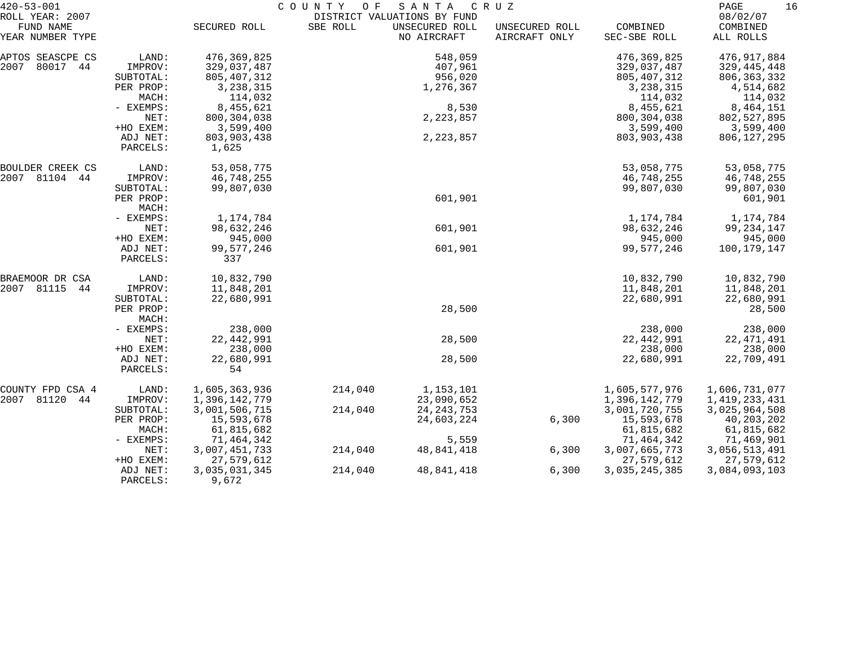| $420 - 53 - 001$                                 |                      |                  | COUNTY<br>O F | SANTA                                                        | C R U Z                         |                          | 16<br>PAGE                        |
|--------------------------------------------------|----------------------|------------------|---------------|--------------------------------------------------------------|---------------------------------|--------------------------|-----------------------------------|
| ROLL YEAR: 2007<br>FUND NAME<br>YEAR NUMBER TYPE |                      | SECURED ROLL     | SBE ROLL      | DISTRICT VALUATIONS BY FUND<br>UNSECURED ROLL<br>NO AIRCRAFT | UNSECURED ROLL<br>AIRCRAFT ONLY | COMBINED<br>SEC-SBE ROLL | 08/02/07<br>COMBINED<br>ALL ROLLS |
| APTOS SEASCPE CS                                 | LAND:                | 476,369,825      |               | 548,059                                                      |                                 | 476, 369, 825            | 476,917,884                       |
| 2007<br>80017 44                                 | IMPROV:              | 329,037,487      |               | 407,961                                                      |                                 | 329,037,487              | 329,445,448                       |
|                                                  | SUBTOTAL:            | 805,407,312      |               | 956,020                                                      |                                 | 805, 407, 312            | 806, 363, 332                     |
|                                                  | PER PROP:            | 3, 238, 315      |               | 1,276,367                                                    |                                 | 3, 238, 315              | 4,514,682                         |
|                                                  | MACH:                | 114,032          |               |                                                              |                                 | 114,032                  | 114,032                           |
|                                                  | - EXEMPS:            | 8,455,621        |               | 8,530                                                        |                                 | 8,455,621                | 8,464,151                         |
|                                                  | NET:                 | 800, 304, 038    |               | 2, 223, 857                                                  |                                 | 800, 304, 038            | 802,527,895                       |
|                                                  | +HO EXEM:            | 3,599,400        |               |                                                              |                                 | 3,599,400                | 3,599,400                         |
|                                                  | ADJ NET:             | 803,903,438      |               | 2, 223, 857                                                  |                                 | 803,903,438              | 806,127,295                       |
|                                                  | PARCELS:             | 1,625            |               |                                                              |                                 |                          |                                   |
| BOULDER CREEK CS                                 | LAND:                | 53,058,775       |               |                                                              |                                 | 53,058,775               | 53,058,775                        |
| 2007 81104 44                                    | IMPROV:              | 46,748,255       |               |                                                              |                                 | 46,748,255               | 46,748,255                        |
|                                                  | SUBTOTAL:            | 99,807,030       |               |                                                              |                                 | 99,807,030               | 99,807,030                        |
|                                                  | PER PROP:<br>MACH:   |                  |               | 601,901                                                      |                                 |                          | 601,901                           |
|                                                  | - EXEMPS:            | 1,174,784        |               |                                                              |                                 | 1,174,784                | 1,174,784                         |
|                                                  | NET:                 | 98,632,246       |               | 601,901                                                      |                                 | 98,632,246               | 99,234,147                        |
|                                                  | +HO EXEM:            | 945,000          |               |                                                              |                                 | 945,000                  | 945,000                           |
|                                                  | ADJ NET:             | 99,577,246       |               | 601,901                                                      |                                 | 99,577,246               | 100,179,147                       |
|                                                  | PARCELS:             | 337              |               |                                                              |                                 |                          |                                   |
| BRAEMOOR DR CSA                                  | LAND:                | 10,832,790       |               |                                                              |                                 | 10,832,790               | 10,832,790                        |
| 2007 81115<br>44                                 | IMPROV:              | 11,848,201       |               |                                                              |                                 | 11,848,201               | 11,848,201                        |
|                                                  | SUBTOTAL:            | 22,680,991       |               |                                                              |                                 | 22,680,991               | 22,680,991                        |
|                                                  | PER PROP:            |                  |               | 28,500                                                       |                                 |                          | 28,500                            |
|                                                  | MACH:                |                  |               |                                                              |                                 |                          |                                   |
|                                                  | - EXEMPS:            | 238,000          |               |                                                              |                                 | 238,000                  | 238,000                           |
|                                                  | NET:                 | 22, 442, 991     |               | 28,500                                                       |                                 | 22, 442, 991             | 22, 471, 491                      |
|                                                  | +HO EXEM:            | 238,000          |               |                                                              |                                 | 238,000                  | 238,000                           |
|                                                  | ADJ NET:<br>PARCELS: | 22,680,991<br>54 |               | 28,500                                                       |                                 | 22,680,991               | 22,709,491                        |
| COUNTY FPD CSA 4                                 | LAND:                | 1,605,363,936    | 214,040       | 1,153,101                                                    |                                 | 1,605,577,976            | 1,606,731,077                     |
| 2007<br>81120<br>44                              | IMPROV:              | 1,396,142,779    |               | 23,090,652                                                   |                                 | 1,396,142,779            | 1,419,233,431                     |
|                                                  | SUBTOTAL:            | 3,001,506,715    | 214,040       | 24, 243, 753                                                 |                                 | 3,001,720,755            | 3,025,964,508                     |
|                                                  | PER PROP:            | 15,593,678       |               | 24,603,224                                                   | 6,300                           | 15,593,678               | 40, 203, 202                      |
|                                                  | MACH:                | 61,815,682       |               |                                                              |                                 | 61,815,682               | 61,815,682                        |
|                                                  | $-$ EXEMPS:          | 71,464,342       |               | 5,559                                                        |                                 | 71,464,342               | 71,469,901                        |
|                                                  | NET:                 | 3,007,451,733    | 214,040       | 48,841,418                                                   | 6,300                           | 3,007,665,773            | 3,056,513,491                     |
|                                                  | +HO EXEM:            | 27,579,612       |               |                                                              |                                 | 27,579,612               | 27,579,612                        |
|                                                  | ADJ NET:             | 3,035,031,345    | 214,040       | 48,841,418                                                   | 6,300                           | 3,035,245,385            | 3,084,093,103                     |
|                                                  | PARCELS:             | 9,672            |               |                                                              |                                 |                          |                                   |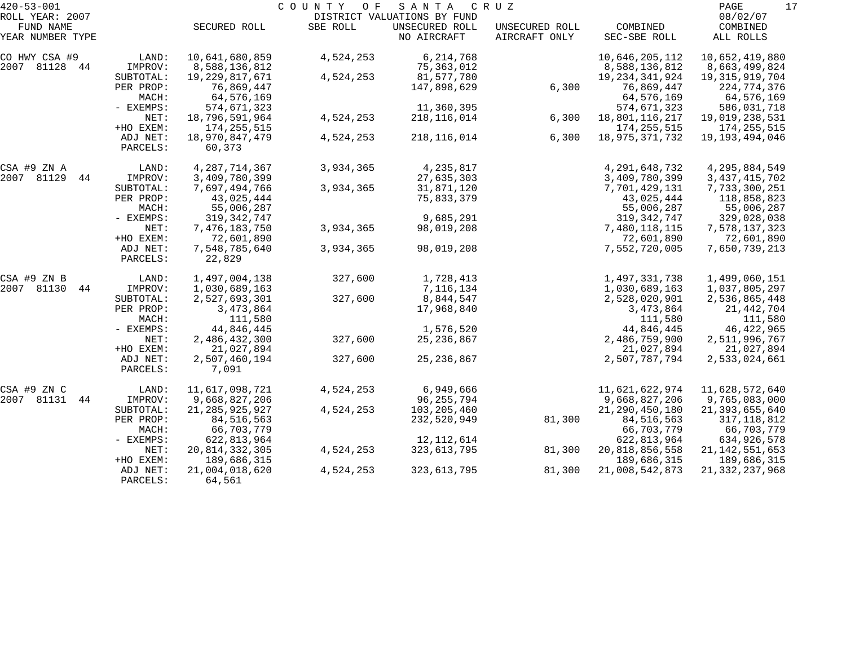| $420 - 53 - 001$             |                      |                          | COUNTY<br>O F | SANTA                                         | C R U Z        |                   | 17<br>PAGE           |
|------------------------------|----------------------|--------------------------|---------------|-----------------------------------------------|----------------|-------------------|----------------------|
| ROLL YEAR: 2007<br>FUND NAME |                      | SECURED ROLL             | SBE ROLL      | DISTRICT VALUATIONS BY FUND<br>UNSECURED ROLL | UNSECURED ROLL | COMBINED          | 08/02/07<br>COMBINED |
| YEAR NUMBER TYPE             |                      |                          |               | NO AIRCRAFT                                   | AIRCRAFT ONLY  | SEC-SBE ROLL      | ALL ROLLS            |
| CO HWY CSA #9                | LAND:                | 10,641,680,859           | 4,524,253     | 6,214,768                                     |                | 10,646,205,112    | 10,652,419,880       |
| 2007 81128 44                | IMPROV:              | 8,588,136,812            |               | 75,363,012                                    |                | 8,588,136,812     | 8,663,499,824        |
|                              | SUBTOTAL:            | 19,229,817,671           | 4,524,253     | 81,577,780                                    |                | 19, 234, 341, 924 | 19, 315, 919, 704    |
|                              | PER PROP:            | 76,869,447               |               | 147,898,629                                   | 6,300          | 76,869,447        | 224,774,376          |
|                              | MACH:                | 64,576,169               |               |                                               |                | 64,576,169        | 64,576,169           |
|                              | - EXEMPS:            | 574,671,323              |               | 11,360,395                                    |                | 574,671,323       | 586,031,718          |
|                              | NET:                 | 18,796,591,964           | 4,524,253     | 218, 116, 014                                 | 6,300          | 18,801,116,217    | 19,019,238,531       |
|                              | +HO EXEM:            | 174, 255, 515            |               |                                               |                | 174, 255, 515     | 174, 255, 515        |
|                              | ADJ NET:<br>PARCELS: | 18,970,847,479<br>60,373 | 4,524,253     | 218,116,014                                   | 6,300          | 18,975,371,732    | 19,193,494,046       |
| CSA #9 ZN A                  | LAND:                | 4, 287, 714, 367         | 3,934,365     | 4,235,817                                     |                | 4, 291, 648, 732  | 4,295,884,549        |
| 2007 81129<br>44             | IMPROV:              | 3,409,780,399            |               | 27,635,303                                    |                | 3,409,780,399     | 3, 437, 415, 702     |
|                              | SUBTOTAL:            | 7,697,494,766            | 3,934,365     | 31,871,120                                    |                | 7,701,429,131     | 7,733,300,251        |
|                              | PER PROP:            | 43,025,444               |               | 75,833,379                                    |                | 43,025,444        | 118,858,823          |
|                              | MACH:                | 55,006,287               |               |                                               |                | 55,006,287        | 55,006,287           |
|                              | - EXEMPS:            | 319, 342, 747            |               | 9,685,291                                     |                | 319, 342, 747     | 329,028,038          |
|                              | NET:                 | 7,476,183,750            | 3,934,365     | 98,019,208                                    |                | 7,480,118,115     | 7,578,137,323        |
|                              | +HO EXEM:            | 72,601,890               |               |                                               |                | 72,601,890        | 72,601,890           |
|                              | ADJ NET:             | 7,548,785,640            | 3,934,365     | 98,019,208                                    |                | 7,552,720,005     | 7,650,739,213        |
|                              | PARCELS:             | 22,829                   |               |                                               |                |                   |                      |
| CSA #9 ZN B                  | LAND:                | 1,497,004,138            | 327,600       | 1,728,413                                     |                | 1,497,331,738     | 1,499,060,151        |
| 2007 81130<br>44             | IMPROV:              | 1,030,689,163            |               | 7,116,134                                     |                | 1,030,689,163     | 1,037,805,297        |
|                              | SUBTOTAL:            | 2,527,693,301            | 327,600       | 8,844,547                                     |                | 2,528,020,901     | 2,536,865,448        |
|                              | PER PROP:            | 3,473,864                |               | 17,968,840                                    |                | 3,473,864         | 21,442,704           |
|                              | MACH:                | 111,580                  |               |                                               |                | 111,580           | 111,580              |
|                              | - EXEMPS:            | 44,846,445               |               | 1,576,520                                     |                | 44,846,445        | 46, 422, 965         |
|                              | NET:                 | 2,486,432,300            | 327,600       | 25, 236, 867                                  |                | 2,486,759,900     | 2,511,996,767        |
|                              | +HO EXEM:            | 21,027,894               |               |                                               |                | 21,027,894        | 21,027,894           |
|                              | ADJ NET:<br>PARCELS: | 2,507,460,194<br>7,091   | 327,600       | 25, 236, 867                                  |                | 2,507,787,794     | 2,533,024,661        |
| CSA #9 ZN C                  | LAND:                | 11,617,098,721           | 4,524,253     | 6,949,666                                     |                | 11,621,622,974    | 11,628,572,640       |
| 2007 81131<br>44             | IMPROV:              | 9,668,827,206            |               | 96,255,794                                    |                | 9,668,827,206     | 9,765,083,000        |
|                              | SUBTOTAL:            | 21, 285, 925, 927        | 4,524,253     | 103,205,460                                   |                | 21, 290, 450, 180 | 21, 393, 655, 640    |
|                              | PER PROP:            | 84, 516, 563             |               | 232,520,949                                   | 81,300         | 84, 516, 563      | 317, 118, 812        |
|                              | MACH:                | 66,703,779               |               |                                               |                | 66,703,779        | 66,703,779           |
|                              | - EXEMPS:            | 622,813,964              |               | 12, 112, 614                                  |                | 622,813,964       | 634,926,578          |
|                              | NET:                 | 20, 814, 332, 305        | 4,524,253     | 323, 613, 795                                 | 81,300         | 20,818,856,558    | 21, 142, 551, 653    |
|                              | +HO EXEM:            | 189,686,315              |               |                                               |                | 189,686,315       | 189,686,315          |
|                              | ADJ NET:             | 21,004,018,620           | 4,524,253     | 323,613,795                                   | 81,300         | 21,008,542,873    | 21, 332, 237, 968    |
|                              | PARCELS:             | 64,561                   |               |                                               |                |                   |                      |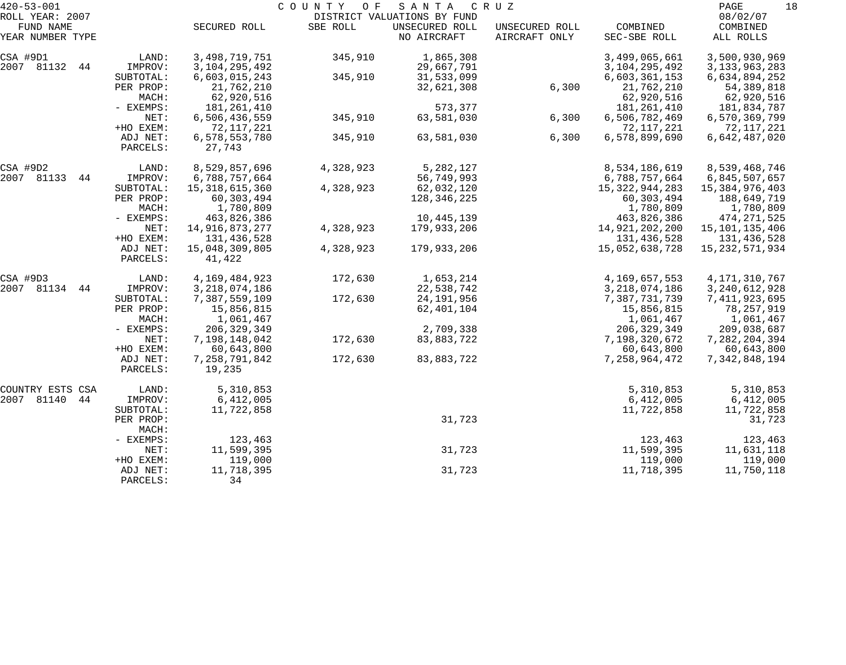| $420 - 53 - 001$              |                        |                               | COUNTY<br>O F | SANTA                         | C R U Z                         |                               | PAGE<br>18                       |
|-------------------------------|------------------------|-------------------------------|---------------|-------------------------------|---------------------------------|-------------------------------|----------------------------------|
| ROLL YEAR: 2007               |                        |                               |               | DISTRICT VALUATIONS BY FUND   |                                 |                               | 08/02/07                         |
| FUND NAME<br>YEAR NUMBER TYPE |                        | SECURED ROLL                  | SBE ROLL      | UNSECURED ROLL<br>NO AIRCRAFT | UNSECURED ROLL<br>AIRCRAFT ONLY | COMBINED<br>SEC-SBE ROLL      | COMBINED<br>ALL ROLLS            |
| CSA #9D1                      | LAND:                  | 3,498,719,751                 | 345,910       | 1,865,308                     |                                 | 3,499,065,661                 | 3,500,930,969                    |
| 2007 81132<br>44              | IMPROV:                | 3, 104, 295, 492              |               | 29,667,791                    |                                 | 3, 104, 295, 492              | 3, 133, 963, 283                 |
|                               | SUBTOTAL:<br>PER PROP: | 6,603,015,243<br>21,762,210   | 345,910       | 31,533,099<br>32,621,308      | 6,300                           | 6,603,361,153<br>21,762,210   | 6,634,894,252<br>54, 389, 818    |
|                               | MACH:                  | 62,920,516                    |               |                               |                                 | 62,920,516                    | 62,920,516                       |
|                               | - EXEMPS:              | 181,261,410                   |               | 573,377                       |                                 | 181,261,410                   | 181,834,787                      |
|                               | NET:                   | 6,506,436,559                 | 345,910       | 63,581,030                    | 6,300                           | 6,506,782,469                 | 6,570,369,799                    |
|                               | +HO EXEM:              | 72,117,221                    |               |                               |                                 | 72,117,221                    | 72,117,221                       |
|                               | ADJ NET:<br>PARCELS:   | 6,578,553,780<br>27,743       | 345,910       | 63,581,030                    | 6,300                           | 6,578,899,690                 | 6,642,487,020                    |
| CSA #9D2                      | LAND:                  | 8,529,857,696                 | 4,328,923     | 5,282,127                     |                                 | 8,534,186,619                 | 8,539,468,746                    |
| 2007 81133<br>44              | IMPROV:                | 6,788,757,664                 |               | 56,749,993                    |                                 | 6,788,757,664                 | 6,845,507,657                    |
|                               | SUBTOTAL:              | 15, 318, 615, 360             | 4,328,923     | 62,032,120                    |                                 | 15,322,944,283                | 15,384,976,403                   |
|                               | PER PROP:              | 60,303,494                    |               | 128,346,225                   |                                 | 60,303,494                    | 188,649,719                      |
|                               | MACH:                  | 1,780,809                     |               |                               |                                 | 1,780,809                     | 1,780,809                        |
|                               | - EXEMPS:              | 463,826,386                   |               | 10,445,139                    |                                 | 463,826,386                   | 474, 271, 525                    |
|                               | NET:<br>+HO EXEM:      | 14,916,873,277<br>131,436,528 | 4,328,923     | 179,933,206                   |                                 | 14,921,202,200<br>131,436,528 | 15, 101, 135, 406<br>131,436,528 |
|                               | ADJ NET:               | 15,048,309,805                | 4,328,923     | 179,933,206                   |                                 | 15,052,638,728                | 15, 232, 571, 934                |
|                               | PARCELS:               | 41,422                        |               |                               |                                 |                               |                                  |
| CSA #9D3                      | LAND:                  | 4,169,484,923                 | 172,630       | 1,653,214                     |                                 | 4,169,657,553                 | 4, 171, 310, 767                 |
| 2007 81134<br>44              | IMPROV:                | 3, 218, 074, 186              |               | 22,538,742                    |                                 | 3, 218, 074, 186              | 3, 240, 612, 928                 |
|                               | SUBTOTAL:              | 7,387,559,109                 | 172,630       | 24,191,956                    |                                 | 7,387,731,739                 | 7, 411, 923, 695                 |
|                               | PER PROP:              | 15,856,815                    |               | 62,401,104                    |                                 | 15,856,815                    | 78,257,919                       |
|                               | MACH:                  | 1,061,467                     |               |                               |                                 | 1,061,467                     | 1,061,467                        |
|                               | - EXEMPS:              | 206, 329, 349                 |               | 2,709,338                     |                                 | 206, 329, 349                 | 209,038,687                      |
|                               | NET:<br>+HO EXEM:      | 7,198,148,042<br>60,643,800   | 172,630       | 83,883,722                    |                                 | 7,198,320,672<br>60,643,800   | 7,282,204,394<br>60,643,800      |
|                               | ADJ NET:               | 7,258,791,842                 | 172,630       | 83,883,722                    |                                 | 7, 258, 964, 472              | 7,342,848,194                    |
|                               | PARCELS:               | 19,235                        |               |                               |                                 |                               |                                  |
| COUNTRY ESTS CSA              | LAND:                  | 5,310,853                     |               |                               |                                 | 5,310,853                     | 5,310,853                        |
| 2007<br>81140<br>44           | IMPROV:                | 6,412,005                     |               |                               |                                 | 6,412,005                     | 6,412,005                        |
|                               | SUBTOTAL:              | 11,722,858                    |               |                               |                                 | 11,722,858                    | 11,722,858                       |
|                               | PER PROP:<br>MACH:     |                               |               | 31,723                        |                                 |                               | 31,723                           |
|                               | - EXEMPS:              | 123,463                       |               |                               |                                 | 123,463                       | 123,463                          |
|                               | NET:                   | 11,599,395                    |               | 31,723                        |                                 | 11,599,395                    | 11,631,118                       |
|                               | +HO EXEM:              | 119,000                       |               |                               |                                 | 119,000                       | 119,000                          |
|                               | ADJ NET:<br>PARCELS:   | 11,718,395<br>34              |               | 31,723                        |                                 | 11,718,395                    | 11,750,118                       |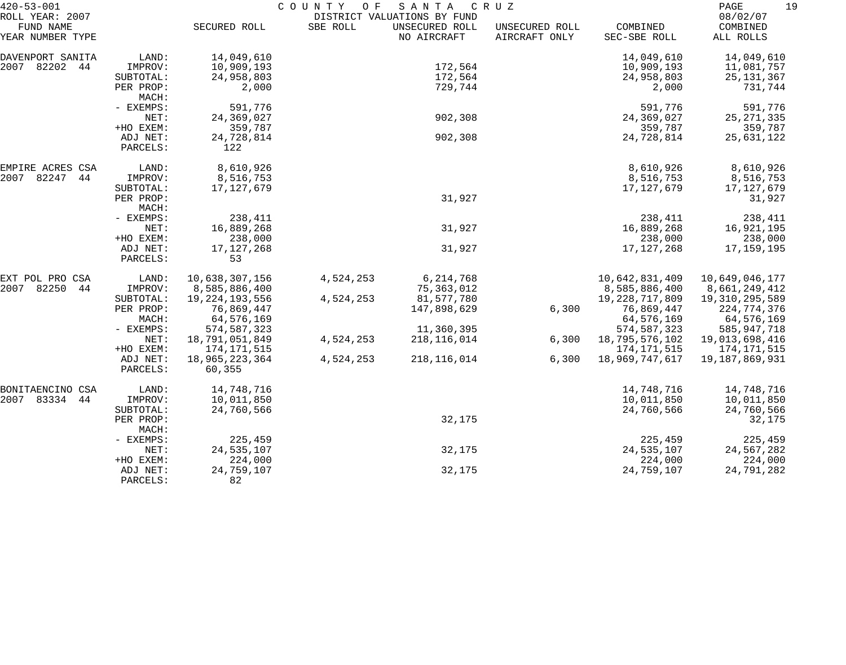| $420 - 53 - 001$             |           | COUNTY OF<br>SANTA<br>C R U Z |           |                                               |                |                   |                      |  |
|------------------------------|-----------|-------------------------------|-----------|-----------------------------------------------|----------------|-------------------|----------------------|--|
| ROLL YEAR: 2007<br>FUND NAME |           | SECURED ROLL                  | SBE ROLL  | DISTRICT VALUATIONS BY FUND<br>UNSECURED ROLL | UNSECURED ROLL | COMBINED          | 08/02/07<br>COMBINED |  |
| YEAR NUMBER TYPE             |           |                               |           | NO AIRCRAFT                                   | AIRCRAFT ONLY  | SEC-SBE ROLL      | ALL ROLLS            |  |
| DAVENPORT SANITA             | LAND:     | 14,049,610                    |           |                                               |                | 14,049,610        | 14,049,610           |  |
| 2007 82202<br>44             | IMPROV:   | 10,909,193                    |           | 172,564                                       |                | 10,909,193        | 11,081,757           |  |
|                              | SUBTOTAL: | 24,958,803                    |           | 172,564                                       |                | 24,958,803        | 25, 131, 367         |  |
|                              | PER PROP: | 2,000                         |           | 729,744                                       |                | 2,000             | 731,744              |  |
|                              | MACH:     |                               |           |                                               |                |                   |                      |  |
|                              | - EXEMPS: | 591,776                       |           |                                               |                | 591,776           | 591,776              |  |
|                              | NET:      | 24,369,027                    |           | 902,308                                       |                | 24,369,027        | 25, 271, 335         |  |
|                              | +HO EXEM: | 359,787                       |           |                                               |                | 359,787           | 359,787              |  |
|                              | ADJ NET:  | 24,728,814                    |           | 902,308                                       |                | 24,728,814        | 25,631,122           |  |
|                              | PARCELS:  | 122                           |           |                                               |                |                   |                      |  |
| EMPIRE ACRES CSA             | LAND:     | 8,610,926                     |           |                                               |                | 8,610,926         | 8,610,926            |  |
| 2007<br>82247<br>44          | IMPROV:   | 8,516,753                     |           |                                               |                | 8,516,753         | 8,516,753            |  |
|                              | SUBTOTAL: | 17, 127, 679                  |           |                                               |                | 17, 127, 679      | 17,127,679           |  |
|                              | PER PROP: |                               |           | 31,927                                        |                |                   | 31,927               |  |
|                              | MACH:     |                               |           |                                               |                |                   |                      |  |
|                              | - EXEMPS: | 238,411                       |           |                                               |                | 238,411           | 238,411              |  |
|                              | NET:      | 16,889,268                    |           | 31,927                                        |                | 16,889,268        | 16,921,195           |  |
|                              | +HO EXEM: | 238,000                       |           |                                               |                | 238,000           | 238,000              |  |
|                              | ADJ NET:  | 17, 127, 268                  |           | 31,927                                        |                | 17, 127, 268      | 17,159,195           |  |
|                              | PARCELS:  | 53                            |           |                                               |                |                   |                      |  |
| EXT POL PRO CSA              | LAND:     | 10,638,307,156                | 4,524,253 | 6, 214, 768                                   |                | 10,642,831,409    | 10,649,046,177       |  |
| 82250<br>2007<br>44          | IMPROV:   | 8,585,886,400                 |           | 75, 363, 012                                  |                | 8,585,886,400     | 8,661,249,412        |  |
|                              | SUBTOTAL: | 19, 224, 193, 556             | 4,524,253 | 81,577,780                                    |                | 19, 228, 717, 809 | 19,310,295,589       |  |
|                              | PER PROP: | 76,869,447                    |           | 147,898,629                                   | 6,300          | 76,869,447        | 224,774,376          |  |
|                              | MACH:     | 64,576,169                    |           |                                               |                | 64,576,169        | 64,576,169           |  |
|                              | - EXEMPS: | 574,587,323                   |           | 11,360,395                                    |                | 574, 587, 323     | 585, 947, 718        |  |
|                              | NET:      | 18,791,051,849                | 4,524,253 | 218, 116, 014                                 | 6,300          | 18,795,576,102    | 19,013,698,416       |  |
|                              | +HO EXEM: | 174,171,515                   |           |                                               |                | 174,171,515       | 174,171,515          |  |
|                              | ADJ NET:  | 18,965,223,364                | 4,524,253 | 218, 116, 014                                 | 6,300          | 18,969,747,617    | 19,187,869,931       |  |
|                              | PARCELS:  | 60,355                        |           |                                               |                |                   |                      |  |
| BONITAENCINO CSA             | LAND:     | 14,748,716                    |           |                                               |                | 14,748,716        | 14,748,716           |  |
| 2007 83334<br>44             | IMPROV:   | 10,011,850                    |           |                                               |                | 10,011,850        | 10,011,850           |  |
|                              | SUBTOTAL: | 24,760,566                    |           |                                               |                | 24,760,566        | 24,760,566           |  |
|                              | PER PROP: |                               |           | 32,175                                        |                |                   | 32,175               |  |
|                              | MACH:     |                               |           |                                               |                |                   |                      |  |
|                              | - EXEMPS: | 225,459                       |           |                                               |                | 225,459           | 225,459              |  |
|                              | NET:      | 24,535,107                    |           | 32,175                                        |                | 24,535,107        | 24,567,282           |  |
|                              | +HO EXEM: | 224,000                       |           |                                               |                | 224,000           | 224,000              |  |
|                              | ADJ NET:  | 24,759,107                    |           | 32,175                                        |                | 24,759,107        | 24,791,282           |  |
|                              | PARCELS:  | 82                            |           |                                               |                |                   |                      |  |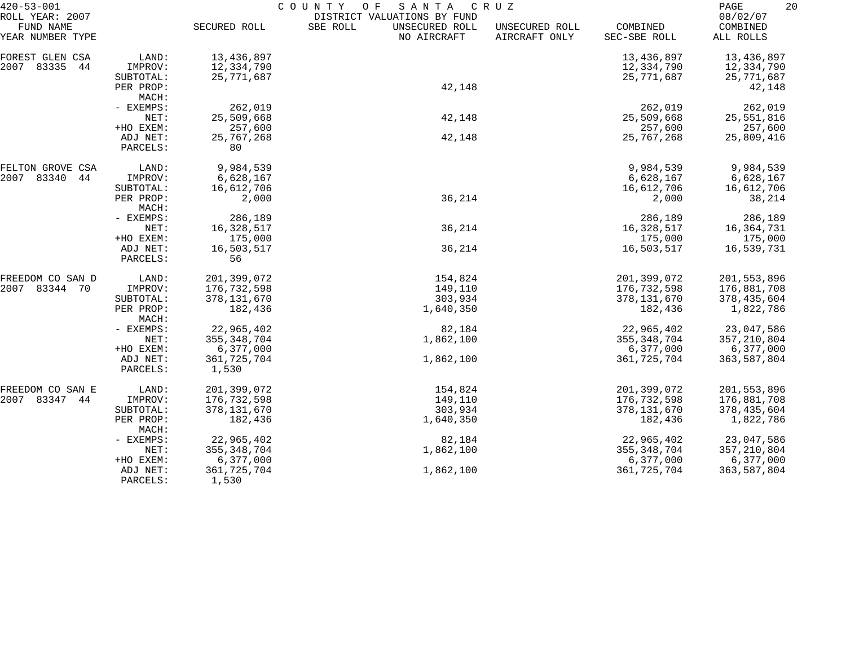| $420 - 53 - 001$              |                      | COUNTY<br>O F<br>SANTA<br>C R U Z |                                           |                                 |                          |                       |  |
|-------------------------------|----------------------|-----------------------------------|-------------------------------------------|---------------------------------|--------------------------|-----------------------|--|
| ROLL YEAR: 2007               |                      |                                   | DISTRICT VALUATIONS BY FUND               |                                 |                          | 08/02/07              |  |
| FUND NAME<br>YEAR NUMBER TYPE |                      | SECURED ROLL                      | SBE ROLL<br>UNSECURED ROLL<br>NO AIRCRAFT | UNSECURED ROLL<br>AIRCRAFT ONLY | COMBINED<br>SEC-SBE ROLL | COMBINED<br>ALL ROLLS |  |
| FOREST GLEN CSA               | LAND:                | 13,436,897                        |                                           |                                 | 13,436,897               | 13,436,897            |  |
| 2007 83335<br>44              | IMPROV:              | 12,334,790                        |                                           |                                 | 12,334,790               | 12,334,790            |  |
|                               | SUBTOTAL:            | 25,771,687                        |                                           |                                 | 25,771,687               | 25,771,687            |  |
|                               | PER PROP:            |                                   | 42,148                                    |                                 |                          | 42,148                |  |
|                               | MACH:                |                                   |                                           |                                 |                          |                       |  |
|                               | - EXEMPS:            | 262,019                           |                                           |                                 | 262,019                  | 262,019               |  |
|                               | NET:                 | 25,509,668                        | 42,148                                    |                                 | 25,509,668               | 25,551,816            |  |
|                               | +HO EXEM:            | 257,600                           |                                           |                                 | 257,600                  | 257,600               |  |
|                               | ADJ NET:             | 25,767,268                        | 42,148                                    |                                 | 25,767,268               | 25,809,416            |  |
|                               | PARCELS:             | 80                                |                                           |                                 |                          |                       |  |
| FELTON GROVE CSA              | LAND:                | 9,984,539                         |                                           |                                 | 9,984,539                | 9,984,539             |  |
| 2007<br>83340<br>44           | IMPROV:              | 6,628,167                         |                                           |                                 | 6,628,167                | 6,628,167             |  |
|                               | SUBTOTAL:            | 16,612,706                        |                                           |                                 | 16,612,706               | 16,612,706            |  |
|                               | PER PROP:            | 2,000                             | 36,214                                    |                                 | 2,000                    | 38,214                |  |
|                               | MACH:                |                                   |                                           |                                 |                          |                       |  |
|                               | - EXEMPS:            | 286,189                           |                                           |                                 | 286,189                  | 286,189               |  |
|                               | NET:                 | 16, 328, 517                      | 36,214                                    |                                 | 16,328,517               | 16,364,731            |  |
|                               | +HO EXEM:            | 175,000                           |                                           |                                 | 175,000                  | 175,000               |  |
|                               | ADJ NET:<br>PARCELS: | 16,503,517<br>56                  | 36,214                                    |                                 | 16,503,517               | 16,539,731            |  |
| FREEDOM CO SAN D              | LAND:                | 201,399,072                       | 154,824                                   |                                 | 201,399,072              | 201,553,896           |  |
| 2007<br>83344 70              | IMPROV:              | 176,732,598                       | 149,110                                   |                                 | 176,732,598              | 176,881,708           |  |
|                               | SUBTOTAL:            | 378, 131, 670                     | 303,934                                   |                                 | 378,131,670              | 378,435,604           |  |
|                               | PER PROP:<br>MACH:   | 182,436                           | 1,640,350                                 |                                 | 182,436                  | 1,822,786             |  |
|                               | - EXEMPS:            | 22,965,402                        | 82,184                                    |                                 | 22,965,402               | 23,047,586            |  |
|                               | NET:                 | 355, 348, 704                     | 1,862,100                                 |                                 | 355, 348, 704            | 357, 210, 804         |  |
|                               | +HO EXEM:            | 6,377,000                         |                                           |                                 | 6,377,000                | 6,377,000             |  |
|                               | ADJ NET:             | 361,725,704                       | 1,862,100                                 |                                 | 361,725,704              | 363,587,804           |  |
|                               | PARCELS:             | 1,530                             |                                           |                                 |                          |                       |  |
| FREEDOM CO SAN E              | LAND:                | 201,399,072                       | 154,824                                   |                                 | 201,399,072              | 201,553,896           |  |
| 2007 83347 44                 | IMPROV:              | 176,732,598                       | 149,110                                   |                                 | 176,732,598              | 176,881,708           |  |
|                               | SUBTOTAL:            | 378, 131, 670                     | 303,934                                   |                                 | 378,131,670              | 378,435,604           |  |
|                               | PER PROP:<br>MACH:   | 182,436                           | 1,640,350                                 |                                 | 182,436                  | 1,822,786             |  |
|                               | - EXEMPS:            | 22,965,402                        | 82,184                                    |                                 | 22,965,402               | 23,047,586            |  |
|                               | NET:                 | 355, 348, 704                     | 1,862,100                                 |                                 | 355, 348, 704            | 357, 210, 804         |  |
|                               | +HO EXEM:            | 6,377,000                         |                                           |                                 | 6,377,000                | 6,377,000             |  |
|                               | ADJ NET:<br>PARCELS: | 361,725,704<br>1,530              | 1,862,100                                 |                                 | 361,725,704              | 363,587,804           |  |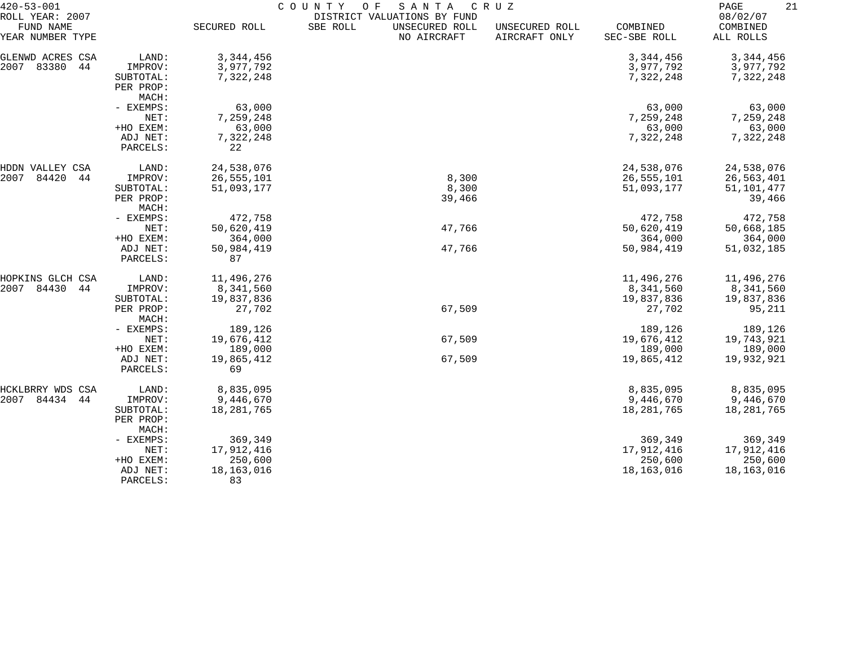| $420 - 53 - 001$<br>ROLL YEAR: 2007 |                      | COUNTY<br>O F<br>SANTA<br>C R U Z<br>DISTRICT VALUATIONS BY FUND |                                           |                                 |                          |                                   |  |  |
|-------------------------------------|----------------------|------------------------------------------------------------------|-------------------------------------------|---------------------------------|--------------------------|-----------------------------------|--|--|
| FUND NAME<br>YEAR NUMBER TYPE       |                      | SECURED ROLL                                                     | UNSECURED ROLL<br>SBE ROLL<br>NO AIRCRAFT | UNSECURED ROLL<br>AIRCRAFT ONLY | COMBINED<br>SEC-SBE ROLL | 08/02/07<br>COMBINED<br>ALL ROLLS |  |  |
| GLENWD ACRES CSA                    | LAND:                | 3, 344, 456                                                      |                                           |                                 | 3, 344, 456              | 3, 344, 456                       |  |  |
| 83380<br>2007<br>44                 | IMPROV:              | 3,977,792                                                        |                                           |                                 | 3,977,792                | 3,977,792                         |  |  |
|                                     | SUBTOTAL:            | 7,322,248                                                        |                                           |                                 | 7,322,248                | 7,322,248                         |  |  |
|                                     | PER PROP:            |                                                                  |                                           |                                 |                          |                                   |  |  |
|                                     | MACH:                |                                                                  |                                           |                                 |                          |                                   |  |  |
|                                     | - EXEMPS:            | 63,000                                                           |                                           |                                 | 63,000                   | 63,000                            |  |  |
|                                     | NET:                 | 7,259,248                                                        |                                           |                                 | 7,259,248                | 7,259,248                         |  |  |
|                                     | +HO EXEM:            | 63,000                                                           |                                           |                                 | 63,000                   | 63,000                            |  |  |
|                                     | ADJ NET:             | 7,322,248                                                        |                                           |                                 | 7,322,248                | 7,322,248                         |  |  |
|                                     | PARCELS:             | 22                                                               |                                           |                                 |                          |                                   |  |  |
| HDDN VALLEY CSA                     | LAND:                | 24,538,076                                                       |                                           |                                 | 24,538,076               | 24,538,076                        |  |  |
| 2007<br>84420<br>44                 | IMPROV:              | 26,555,101                                                       | 8,300                                     |                                 | 26,555,101               | 26,563,401                        |  |  |
|                                     | SUBTOTAL:            | 51,093,177                                                       | 8,300                                     |                                 | 51,093,177               | 51,101,477                        |  |  |
|                                     | PER PROP:            |                                                                  | 39,466                                    |                                 |                          | 39,466                            |  |  |
|                                     | MACH:                |                                                                  |                                           |                                 |                          |                                   |  |  |
|                                     | - EXEMPS:            | 472,758                                                          |                                           |                                 | 472,758                  | 472,758                           |  |  |
|                                     | NET:                 | 50,620,419                                                       | 47,766                                    |                                 | 50,620,419               | 50,668,185                        |  |  |
|                                     | +HO EXEM:            | 364,000                                                          |                                           |                                 | 364,000                  | 364,000                           |  |  |
|                                     | ADJ NET:<br>PARCELS: | 50,984,419<br>87                                                 | 47,766                                    |                                 | 50,984,419               | 51,032,185                        |  |  |
| HOPKINS GLCH CSA                    | LAND:                | 11,496,276                                                       |                                           |                                 | 11,496,276               | 11,496,276                        |  |  |
| 84430<br>2007<br>44                 | IMPROV:              | 8,341,560                                                        |                                           |                                 | 8,341,560                | 8,341,560                         |  |  |
|                                     | SUBTOTAL:            | 19,837,836                                                       |                                           |                                 | 19,837,836               | 19,837,836                        |  |  |
|                                     | PER PROP:            | 27,702                                                           | 67,509                                    |                                 | 27,702                   | 95,211                            |  |  |
|                                     | MACH:                |                                                                  |                                           |                                 |                          |                                   |  |  |
|                                     | - EXEMPS:            | 189,126                                                          |                                           |                                 | 189,126                  | 189,126                           |  |  |
|                                     | NET:                 | 19,676,412                                                       | 67,509                                    |                                 | 19,676,412               | 19,743,921                        |  |  |
|                                     | +HO EXEM:            | 189,000                                                          |                                           |                                 | 189,000                  | 189,000                           |  |  |
|                                     | ADJ NET:             | 19,865,412                                                       | 67,509                                    |                                 | 19,865,412               | 19,932,921                        |  |  |
|                                     | PARCELS:             | 69                                                               |                                           |                                 |                          |                                   |  |  |
| HCKLBRRY WDS CSA                    | LAND:                | 8,835,095                                                        |                                           |                                 | 8,835,095                | 8,835,095                         |  |  |
| 2007 84434 44                       | IMPROV:              | 9,446,670                                                        |                                           |                                 | 9,446,670                | 9,446,670                         |  |  |
|                                     | SUBTOTAL:            | 18, 281, 765                                                     |                                           |                                 | 18,281,765               | 18,281,765                        |  |  |
|                                     | PER PROP:<br>MACH:   |                                                                  |                                           |                                 |                          |                                   |  |  |
|                                     | - EXEMPS:            | 369,349                                                          |                                           |                                 | 369,349                  | 369,349                           |  |  |
|                                     | NET:                 | 17,912,416                                                       |                                           |                                 | 17,912,416               | 17,912,416                        |  |  |
|                                     | +HO EXEM:            | 250,600                                                          |                                           |                                 | 250,600                  | 250,600                           |  |  |
|                                     | ADJ NET:             | 18, 163, 016                                                     |                                           |                                 | 18,163,016               | 18,163,016                        |  |  |
|                                     | PARCELS:             | 83                                                               |                                           |                                 |                          |                                   |  |  |
|                                     |                      |                                                                  |                                           |                                 |                          |                                   |  |  |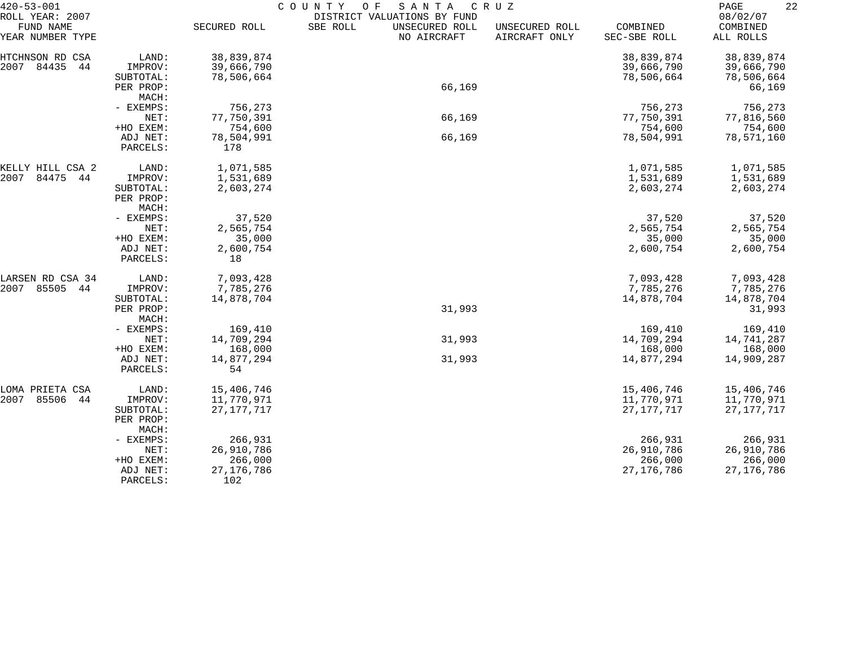| $420 - 53 - 001$                                 |                       | COUNTY<br>SANTA<br>O F<br>C R U Z |                                                                          |                                 |                          |                                   |  |  |
|--------------------------------------------------|-----------------------|-----------------------------------|--------------------------------------------------------------------------|---------------------------------|--------------------------|-----------------------------------|--|--|
| ROLL YEAR: 2007<br>FUND NAME<br>YEAR NUMBER TYPE |                       | SECURED ROLL                      | DISTRICT VALUATIONS BY FUND<br>SBE ROLL<br>UNSECURED ROLL<br>NO AIRCRAFT | UNSECURED ROLL<br>AIRCRAFT ONLY | COMBINED<br>SEC-SBE ROLL | 08/02/07<br>COMBINED<br>ALL ROLLS |  |  |
| HTCHNSON RD CSA                                  | LAND:                 | 38,839,874                        |                                                                          |                                 | 38,839,874               | 38,839,874                        |  |  |
| 2007<br>84435<br>44                              | IMPROV:               | 39,666,790                        |                                                                          |                                 | 39,666,790               | 39,666,790                        |  |  |
|                                                  | SUBTOTAL:             | 78,506,664                        |                                                                          |                                 | 78,506,664               | 78,506,664                        |  |  |
|                                                  | PER PROP:             |                                   | 66,169                                                                   |                                 |                          | 66,169                            |  |  |
|                                                  | MACH:                 |                                   |                                                                          |                                 |                          |                                   |  |  |
|                                                  | - EXEMPS:             | 756,273                           |                                                                          |                                 | 756,273                  | 756,273                           |  |  |
|                                                  | NET:                  | 77,750,391                        | 66,169                                                                   |                                 | 77,750,391               | 77,816,560                        |  |  |
|                                                  | +HO EXEM:             | 754,600                           |                                                                          |                                 | 754,600                  | 754,600                           |  |  |
|                                                  | ADJ NET:              | 78,504,991                        | 66,169                                                                   |                                 | 78,504,991               | 78,571,160                        |  |  |
|                                                  | PARCELS:              | 178                               |                                                                          |                                 |                          |                                   |  |  |
| KELLY HILL CSA 2                                 | LAND:                 | 1,071,585                         |                                                                          |                                 | 1,071,585                | 1,071,585                         |  |  |
| 2007<br>84475<br>44                              | IMPROV:               | 1,531,689                         |                                                                          |                                 | 1,531,689                | 1,531,689                         |  |  |
|                                                  | SUBTOTAL:             | 2,603,274                         |                                                                          |                                 | 2,603,274                | 2,603,274                         |  |  |
|                                                  | PER PROP:             |                                   |                                                                          |                                 |                          |                                   |  |  |
|                                                  | MACH:                 |                                   |                                                                          |                                 |                          |                                   |  |  |
|                                                  | - EXEMPS:             | 37,520                            |                                                                          |                                 | 37,520                   | 37,520                            |  |  |
|                                                  | NET:                  | 2,565,754                         |                                                                          |                                 | 2,565,754                | 2,565,754                         |  |  |
|                                                  | +HO EXEM:<br>ADJ NET: | 35,000<br>2,600,754               |                                                                          |                                 | 35,000<br>2,600,754      | 35,000<br>2,600,754               |  |  |
|                                                  | PARCELS:              | 18                                |                                                                          |                                 |                          |                                   |  |  |
| LARSEN RD CSA 34                                 | LAND:                 | 7,093,428                         |                                                                          |                                 | 7,093,428                | 7,093,428                         |  |  |
| 2007<br>85505<br>44                              | IMPROV:               | 7,785,276                         |                                                                          |                                 | 7,785,276                | 7,785,276                         |  |  |
|                                                  | SUBTOTAL:             | 14,878,704                        |                                                                          |                                 | 14,878,704               | 14,878,704                        |  |  |
|                                                  | PER PROP:             |                                   | 31,993                                                                   |                                 |                          | 31,993                            |  |  |
|                                                  | MACH:                 |                                   |                                                                          |                                 |                          |                                   |  |  |
|                                                  | - EXEMPS:             | 169,410                           |                                                                          |                                 | 169,410                  | 169,410                           |  |  |
|                                                  | NET:                  | 14,709,294                        | 31,993                                                                   |                                 | 14,709,294               | 14,741,287                        |  |  |
|                                                  | +HO EXEM:             | 168,000                           |                                                                          |                                 | 168,000                  | 168,000                           |  |  |
|                                                  | ADJ NET:              | 14,877,294                        | 31,993                                                                   |                                 | 14,877,294               | 14,909,287                        |  |  |
|                                                  | PARCELS:              | 54                                |                                                                          |                                 |                          |                                   |  |  |
| LOMA PRIETA CSA                                  | LAND:                 | 15,406,746                        |                                                                          |                                 | 15,406,746               | 15,406,746                        |  |  |
| 2007<br>85506<br>44                              | IMPROV:               | 11,770,971                        |                                                                          |                                 | 11,770,971               | 11,770,971                        |  |  |
|                                                  | SUBTOTAL:             | 27, 177, 717                      |                                                                          |                                 | 27, 177, 717             | 27, 177, 717                      |  |  |
|                                                  | PER PROP:             |                                   |                                                                          |                                 |                          |                                   |  |  |
|                                                  | MACH:<br>- EXEMPS:    | 266,931                           |                                                                          |                                 | 266,931                  | 266,931                           |  |  |
|                                                  | NET:                  | 26,910,786                        |                                                                          |                                 | 26,910,786               | 26,910,786                        |  |  |
|                                                  | +HO EXEM:             | 266,000                           |                                                                          |                                 | 266,000                  | 266,000                           |  |  |
|                                                  | ADJ NET:              | 27, 176, 786                      |                                                                          |                                 | 27, 176, 786             | 27, 176, 786                      |  |  |
|                                                  | PARCELS:              | 102                               |                                                                          |                                 |                          |                                   |  |  |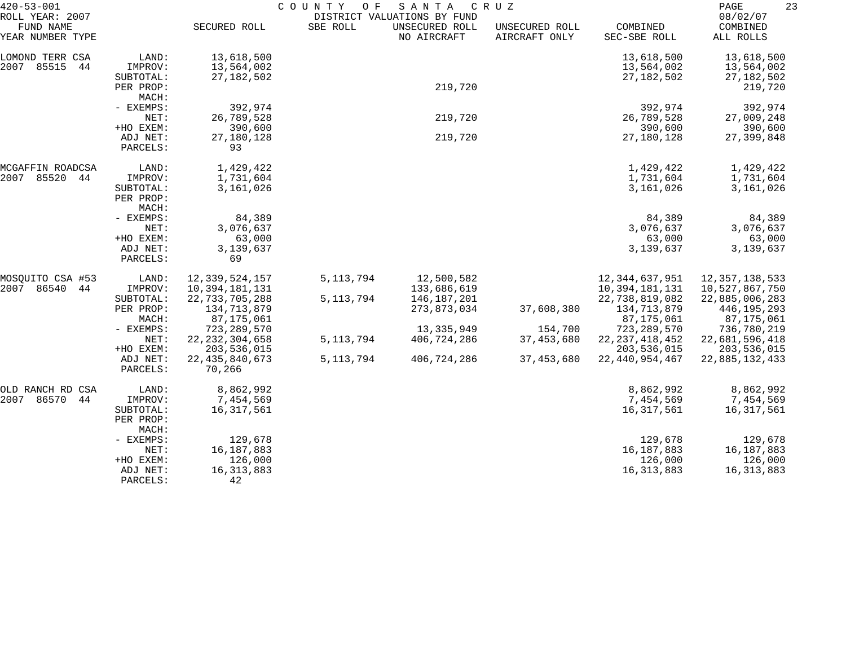| $420 - 53 - 001$                                 |                                            | COUNTY<br>SANTA<br>C R U Z<br>O F<br>DISTRICT VALUATIONS BY FUND |             |                               |                                 |                                          | 23<br>PAGE                                        |  |
|--------------------------------------------------|--------------------------------------------|------------------------------------------------------------------|-------------|-------------------------------|---------------------------------|------------------------------------------|---------------------------------------------------|--|
| ROLL YEAR: 2007<br>FUND NAME<br>YEAR NUMBER TYPE |                                            | SECURED ROLL                                                     | SBE ROLL    | UNSECURED ROLL<br>NO AIRCRAFT | UNSECURED ROLL<br>AIRCRAFT ONLY | COMBINED<br>SEC-SBE ROLL                 | 08/02/07<br>COMBINED<br>ALL ROLLS                 |  |
| LOMOND TERR CSA<br>2007 85515<br>44              | LAND:<br>IMPROV:<br>SUBTOTAL:<br>PER PROP: | 13,618,500<br>13,564,002<br>27, 182, 502                         |             | 219,720                       |                                 | 13,618,500<br>13,564,002<br>27, 182, 502 | 13,618,500<br>13,564,002<br>27,182,502<br>219,720 |  |
|                                                  | MACH:                                      |                                                                  |             |                               |                                 |                                          |                                                   |  |
|                                                  | - EXEMPS:<br>NET:                          | 392,974<br>26,789,528                                            |             | 219,720                       |                                 | 392,974<br>26,789,528                    | 392,974<br>27,009,248                             |  |
|                                                  | +HO EXEM:<br>ADJ NET:<br>PARCELS:          | 390,600<br>27,180,128<br>93                                      |             | 219,720                       |                                 | 390,600<br>27,180,128                    | 390,600<br>27,399,848                             |  |
| MCGAFFIN ROADCSA                                 | LAND:                                      | 1,429,422                                                        |             |                               |                                 | 1,429,422                                | 1,429,422                                         |  |
| 2007 85520<br>44                                 | IMPROV:<br>SUBTOTAL:<br>PER PROP:<br>MACH: | 1,731,604<br>3,161,026                                           |             |                               |                                 | 1,731,604<br>3,161,026                   | 1,731,604<br>3,161,026                            |  |
|                                                  | - EXEMPS:<br>NET:                          | 84,389<br>3,076,637                                              |             |                               |                                 | 84,389<br>3,076,637                      | 84,389<br>3,076,637                               |  |
|                                                  | +HO EXEM:                                  | 63,000                                                           |             |                               |                                 | 63,000                                   | 63,000                                            |  |
|                                                  | ADJ NET:<br>PARCELS:                       | 3,139,637<br>69                                                  |             |                               |                                 | 3,139,637                                | 3,139,637                                         |  |
| MOSQUITO CSA #53                                 | LAND:                                      | 12,339,524,157                                                   | 5, 113, 794 | 12,500,582                    |                                 | 12,344,637,951                           | 12, 357, 138, 533                                 |  |
| 2007<br>86540<br>44                              | IMPROV:<br>SUBTOTAL:                       | 10,394,181,131<br>22,733,705,288                                 | 5, 113, 794 | 133,686,619<br>146,187,201    |                                 | 10,394,181,131<br>22,738,819,082         | 10,527,867,750<br>22,885,006,283                  |  |
|                                                  | PER PROP:<br>MACH:                         | 134,713,879<br>87,175,061                                        |             | 273,873,034                   | 37,608,380                      | 134,713,879<br>87,175,061                | 446, 195, 293<br>87,175,061                       |  |
|                                                  | - EXEMPS:                                  | 723,289,570                                                      |             | 13, 335, 949                  | 154,700                         | 723, 289, 570                            | 736,780,219                                       |  |
|                                                  | NET:                                       | 22, 232, 304, 658                                                | 5, 113, 794 | 406,724,286                   | 37,453,680                      | 22, 237, 418, 452                        | 22,681,596,418                                    |  |
|                                                  | +HO EXEM:<br>ADJ NET:<br>PARCELS:          | 203,536,015<br>22, 435, 840, 673<br>70,266                       | 5, 113, 794 | 406,724,286                   | 37, 453, 680                    | 203,536,015<br>22, 440, 954, 467         | 203,536,015<br>22,885,132,433                     |  |
|                                                  |                                            |                                                                  |             |                               |                                 |                                          |                                                   |  |
| OLD RANCH RD CSA<br>2007<br>86570<br>44          | LAND:<br>IMPROV:                           | 8,862,992<br>7,454,569                                           |             |                               |                                 | 8,862,992<br>7,454,569                   | 8,862,992<br>7,454,569                            |  |
|                                                  | SUBTOTAL:<br>PER PROP:<br>MACH:            | 16,317,561                                                       |             |                               |                                 | 16, 317, 561                             | 16, 317, 561                                      |  |
|                                                  | - EXEMPS:                                  | 129,678                                                          |             |                               |                                 | 129,678                                  | 129,678                                           |  |
|                                                  | NET:                                       | 16,187,883                                                       |             |                               |                                 | 16, 187, 883                             | 16,187,883                                        |  |
|                                                  | +HO EXEM:                                  | 126,000                                                          |             |                               |                                 | 126,000                                  | 126,000                                           |  |
|                                                  | ADJ NET:<br>PARCELS:                       | 16, 313, 883<br>42                                               |             |                               |                                 | 16, 313, 883                             | 16, 313, 883                                      |  |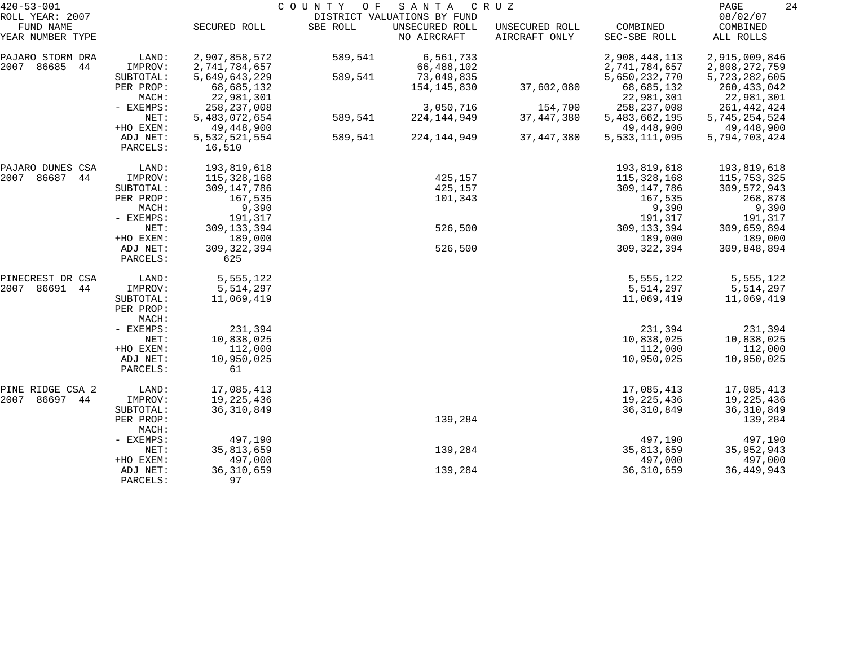| $420 - 53 - 001$                        |                                 |                                | COUNTY<br>O F | SANTA                         | C R U Z                         |                                | 24<br>PAGE                     |
|-----------------------------------------|---------------------------------|--------------------------------|---------------|-------------------------------|---------------------------------|--------------------------------|--------------------------------|
| ROLL YEAR: 2007                         |                                 |                                |               | DISTRICT VALUATIONS BY FUND   |                                 |                                | 08/02/07                       |
| FUND NAME<br>YEAR NUMBER TYPE           |                                 | SECURED ROLL                   | SBE ROLL      | UNSECURED ROLL<br>NO AIRCRAFT | UNSECURED ROLL<br>AIRCRAFT ONLY | COMBINED<br>SEC-SBE ROLL       | COMBINED<br>ALL ROLLS          |
| PAJARO STORM DRA                        | LAND:                           | 2,907,858,572                  | 589,541       | 6,561,733                     |                                 | 2,908,448,113                  | 2,915,009,846                  |
| 2007<br>86685<br>44                     | IMPROV:<br>SUBTOTAL:            | 2,741,784,657<br>5,649,643,229 | 589,541       | 66,488,102<br>73,049,835      |                                 | 2,741,784,657<br>5,650,232,770 | 2,808,272,759<br>5,723,282,605 |
|                                         | PER PROP:<br>MACH:              | 68,685,132<br>22,981,301       |               | 154,145,830                   | 37,602,080                      | 68,685,132<br>22,981,301       | 260, 433, 042<br>22,981,301    |
|                                         | - EXEMPS:                       | 258, 237, 008                  |               | 3,050,716                     | 154,700                         | 258, 237, 008                  | 261, 442, 424                  |
|                                         | NET:<br>+HO EXEM:               | 5,483,072,654<br>49,448,900    | 589,541       | 224, 144, 949                 | 37, 447, 380                    | 5,483,662,195<br>49,448,900    | 5,745,254,524<br>49,448,900    |
|                                         | ADJ NET:<br>PARCELS:            | 5,532,521,554<br>16,510        | 589,541       | 224, 144, 949                 | 37, 447, 380                    | 5,533,111,095                  | 5,794,703,424                  |
|                                         |                                 |                                |               |                               |                                 |                                |                                |
| PAJARO DUNES CSA<br>2007<br>86687<br>44 | LAND:<br>IMPROV:                | 193,819,618<br>115,328,168     |               | 425,157                       |                                 | 193,819,618<br>115,328,168     | 193,819,618<br>115,753,325     |
|                                         | SUBTOTAL:                       | 309, 147, 786                  |               | 425,157                       |                                 | 309,147,786                    | 309,572,943                    |
|                                         | PER PROP:                       | 167,535                        |               | 101,343                       |                                 | 167,535                        | 268,878                        |
|                                         | MACH:<br>- EXEMPS:              | 9,390                          |               |                               |                                 | 9,390                          | 9,390                          |
|                                         | NET:                            | 191,317<br>309, 133, 394       |               | 526,500                       |                                 | 191,317<br>309, 133, 394       | 191,317<br>309,659,894         |
|                                         | +HO EXEM:                       | 189,000                        |               |                               |                                 | 189,000                        | 189,000                        |
|                                         | ADJ NET:<br>PARCELS:            | 309, 322, 394<br>625           |               | 526,500                       |                                 | 309, 322, 394                  | 309,848,894                    |
| PINECREST DR CSA                        | LAND:                           | 5,555,122                      |               |                               |                                 | 5,555,122                      | 5,555,122                      |
| 2007<br>86691<br>44                     | IMPROV:                         | 5,514,297                      |               |                               |                                 | 5,514,297                      | 5,514,297                      |
|                                         | SUBTOTAL:<br>PER PROP:<br>MACH: | 11,069,419                     |               |                               |                                 | 11,069,419                     | 11,069,419                     |
|                                         | - EXEMPS:                       | 231,394                        |               |                               |                                 | 231,394                        | 231,394                        |
|                                         | NET:                            | 10,838,025                     |               |                               |                                 | 10,838,025                     | 10,838,025                     |
|                                         | +HO EXEM:<br>ADJ NET:           | 112,000<br>10,950,025          |               |                               |                                 | 112,000<br>10,950,025          | 112,000<br>10,950,025          |
|                                         | PARCELS:                        | 61                             |               |                               |                                 |                                |                                |
| PINE RIDGE CSA 2                        | LAND:                           | 17,085,413                     |               |                               |                                 | 17,085,413                     | 17,085,413                     |
| 86697 44<br>2007                        | IMPROV:                         | 19,225,436                     |               |                               |                                 | 19,225,436                     | 19,225,436                     |
|                                         | SUBTOTAL:<br>PER PROP:<br>MACH: | 36, 310, 849                   |               | 139,284                       |                                 | 36, 310, 849                   | 36, 310, 849<br>139,284        |
|                                         | - EXEMPS:                       | 497,190                        |               |                               |                                 | 497,190                        | 497,190                        |
|                                         | NET:                            | 35,813,659                     |               | 139,284                       |                                 | 35,813,659                     | 35,952,943                     |
|                                         | +HO EXEM:                       | 497,000                        |               |                               |                                 | 497,000                        | 497,000                        |
|                                         | ADJ NET:<br>PARCELS:            | 36, 310, 659<br>97             |               | 139,284                       |                                 | 36, 310, 659                   | 36, 449, 943                   |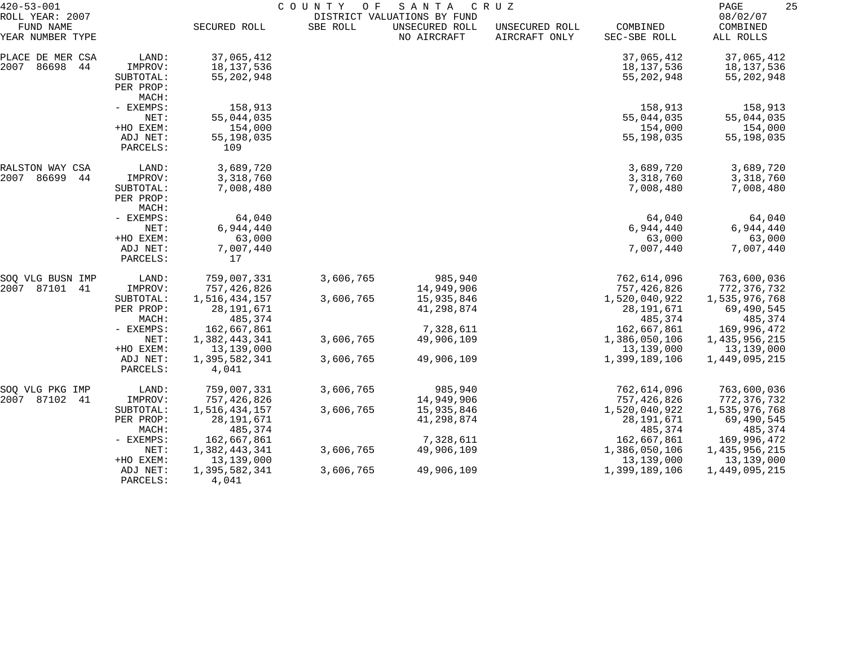| $420 - 53 - 001$                                 |                                                        | COUNTY<br>O F<br>SANTA<br>C R U Z<br>DISTRICT VALUATIONS BY FUND |                        |                                     |                                 |                                                |                                                |
|--------------------------------------------------|--------------------------------------------------------|------------------------------------------------------------------|------------------------|-------------------------------------|---------------------------------|------------------------------------------------|------------------------------------------------|
| ROLL YEAR: 2007<br>FUND NAME<br>YEAR NUMBER TYPE |                                                        | SECURED ROLL                                                     | SBE ROLL               | UNSECURED ROLL<br>NO AIRCRAFT       | UNSECURED ROLL<br>AIRCRAFT ONLY | COMBINED<br>SEC-SBE ROLL                       | 08/02/07<br>COMBINED<br>ALL ROLLS              |
| PLACE DE MER CSA<br>2007<br>86698<br>44          | LAND:<br>IMPROV:<br>SUBTOTAL:<br>PER PROP:<br>MACH:    | 37,065,412<br>18, 137, 536<br>55, 202, 948                       |                        |                                     |                                 | 37,065,412<br>18,137,536<br>55,202,948         | 37,065,412<br>18,137,536<br>55, 202, 948       |
|                                                  | - EXEMPS:<br>NET:<br>+HO EXEM:<br>ADJ NET:             | 158,913<br>55,044,035<br>154,000<br>55,198,035                   |                        |                                     |                                 | 158,913<br>55,044,035<br>154,000<br>55,198,035 | 158,913<br>55,044,035<br>154,000<br>55,198,035 |
|                                                  | PARCELS:                                               | 109                                                              |                        |                                     |                                 |                                                |                                                |
| RALSTON WAY CSA<br>2007 86699<br>44              | LAND:<br>IMPROV:<br>SUBTOTAL:<br>PER PROP:<br>MACH:    | 3,689,720<br>3,318,760<br>7,008,480                              |                        |                                     |                                 | 3,689,720<br>3,318,760<br>7,008,480            | 3,689,720<br>3,318,760<br>7,008,480            |
|                                                  | - EXEMPS:<br>NET:<br>+HO EXEM:<br>ADJ NET:<br>PARCELS: | 64,040<br>6,944,440<br>63,000<br>7,007,440<br>17                 |                        |                                     |                                 | 64,040<br>6,944,440<br>63,000<br>7,007,440     | 64,040<br>6,944,440<br>63,000<br>7,007,440     |
| SOQ VLG BUSN IMP<br>2007 87101 41                | LAND:<br>IMPROV:<br>SUBTOTAL:                          | 759,007,331<br>757,426,826<br>1,516,434,157                      | 3,606,765<br>3,606,765 | 985,940<br>14,949,906<br>15,935,846 |                                 | 762,614,096<br>757,426,826<br>1,520,040,922    | 763,600,036<br>772,376,732                     |
|                                                  | PER PROP:<br>MACH:                                     | 28, 191, 671<br>485,374                                          |                        | 41,298,874                          |                                 | 28, 191, 671<br>485,374                        | 1,535,976,768<br>69,490,545<br>485,374         |
|                                                  | - EXEMPS:<br>NET:<br>+HO EXEM:                         | 162,667,861<br>1,382,443,341<br>13,139,000                       | 3,606,765              | 7,328,611<br>49,906,109             |                                 | 162,667,861<br>1,386,050,106<br>13,139,000     | 169,996,472<br>1,435,956,215<br>13,139,000     |
|                                                  | ADJ NET:<br>PARCELS:                                   | 1,395,582,341<br>4,041                                           | 3,606,765              | 49,906,109                          |                                 | 1,399,189,106                                  | 1,449,095,215                                  |
| SOQ VLG PKG IMP<br>2007 87102<br>-41             | LAND:<br>IMPROV:                                       | 759,007,331<br>757,426,826                                       | 3,606,765              | 985,940<br>14,949,906               |                                 | 762,614,096<br>757,426,826                     | 763,600,036<br>772,376,732                     |
|                                                  | SUBTOTAL:<br>PER PROP:<br>MACH:                        | 1,516,434,157<br>28, 191, 671<br>485,374                         | 3,606,765              | 15,935,846<br>41,298,874            |                                 | 1,520,040,922<br>28, 191, 671<br>485,374       | 1,535,976,768<br>69,490,545<br>485,374         |
|                                                  | - EXEMPS:<br>NET:<br>+HO EXEM:                         | 162,667,861<br>1,382,443,341<br>13,139,000                       | 3,606,765              | 7,328,611<br>49,906,109             |                                 | 162,667,861<br>1,386,050,106<br>13,139,000     | 169,996,472<br>1,435,956,215<br>13,139,000     |
|                                                  | ADJ NET:<br>PARCELS:                                   | 1,395,582,341<br>4,041                                           | 3,606,765              | 49,906,109                          |                                 | 1,399,189,106                                  | 1,449,095,215                                  |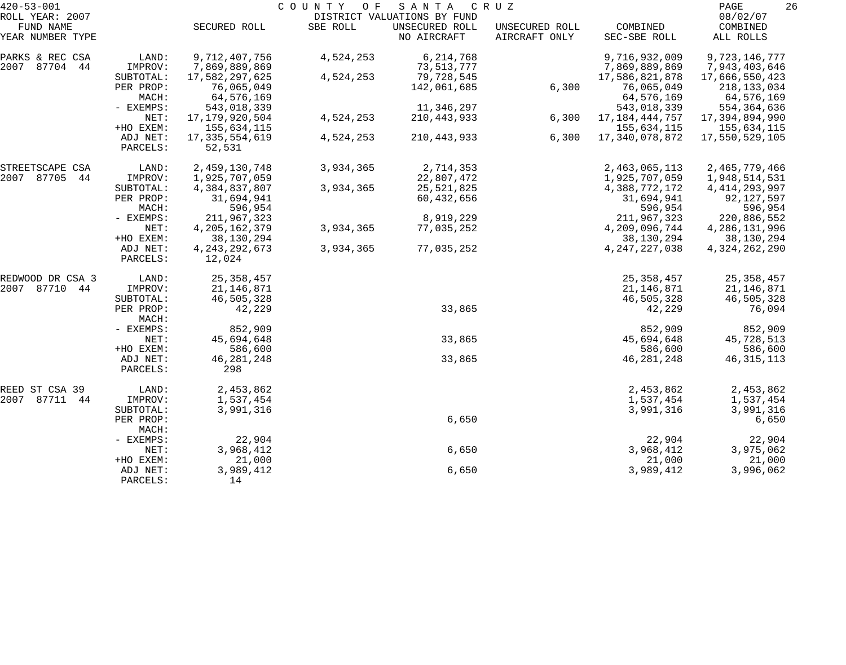| $420 - 53 - 001$              |                      |                             | COUNTY<br>O F | SANTA                         | C R U Z                         |                          | 26<br>PAGE            |
|-------------------------------|----------------------|-----------------------------|---------------|-------------------------------|---------------------------------|--------------------------|-----------------------|
| ROLL YEAR: 2007               |                      |                             |               | DISTRICT VALUATIONS BY FUND   |                                 |                          | 08/02/07              |
| FUND NAME<br>YEAR NUMBER TYPE |                      | SECURED ROLL                | SBE ROLL      | UNSECURED ROLL<br>NO AIRCRAFT | UNSECURED ROLL<br>AIRCRAFT ONLY | COMBINED<br>SEC-SBE ROLL | COMBINED<br>ALL ROLLS |
| PARKS & REC CSA               | LAND:                | 9,712,407,756               | 4,524,253     | 6,214,768                     |                                 | 9,716,932,009            | 9,723,146,777         |
| 2007 87704 44                 | IMPROV:              | 7,869,889,869               |               | 73,513,777                    |                                 | 7,869,889,869            | 7,943,403,646         |
|                               | SUBTOTAL:            | 17,582,297,625              | 4,524,253     | 79,728,545                    |                                 | 17,586,821,878           | 17,666,550,423        |
|                               | PER PROP:            | 76,065,049                  |               | 142,061,685                   | 6,300                           | 76,065,049               | 218, 133, 034         |
|                               | MACH:                | 64,576,169                  |               |                               |                                 | 64,576,169               | 64,576,169            |
|                               | - EXEMPS:            | 543,018,339                 |               | 11,346,297                    |                                 | 543,018,339              | 554,364,636           |
|                               | NET:                 | 17, 179, 920, 504           | 4,524,253     | 210, 443, 933                 | 6,300                           | 17, 184, 444, 757        | 17,394,894,990        |
|                               | +HO EXEM:            | 155,634,115                 |               |                               |                                 | 155,634,115              | 155,634,115           |
|                               | ADJ NET:<br>PARCELS: | 17, 335, 554, 619<br>52,531 | 4,524,253     | 210,443,933                   | 6,300                           | 17,340,078,872           | 17,550,529,105        |
| STREETSCAPE CSA               | LAND:                | 2,459,130,748               | 3,934,365     | 2,714,353                     |                                 | 2,463,065,113            | 2,465,779,466         |
| 2007 87705<br>44              | IMPROV:              | 1,925,707,059               |               | 22,807,472                    |                                 | 1,925,707,059            | 1,948,514,531         |
|                               | SUBTOTAL:            | 4,384,837,807               | 3,934,365     | 25,521,825                    |                                 | 4,388,772,172            | 4, 414, 293, 997      |
|                               | PER PROP:            | 31,694,941                  |               | 60,432,656                    |                                 | 31,694,941               | 92,127,597            |
|                               | MACH:                | 596,954                     |               |                               |                                 | 596,954                  | 596,954               |
|                               | - EXEMPS:            | 211,967,323                 |               | 8,919,229                     |                                 | 211,967,323              | 220,886,552           |
|                               | NET:                 | 4, 205, 162, 379            | 3,934,365     | 77,035,252                    |                                 | 4,209,096,744            | 4, 286, 131, 996      |
|                               | +HO EXEM:            | 38,130,294                  |               |                               |                                 | 38,130,294               | 38,130,294            |
|                               | ADJ NET:<br>PARCELS: | 4, 243, 292, 673<br>12,024  | 3,934,365     | 77,035,252                    |                                 | 4, 247, 227, 038         | 4, 324, 262, 290      |
| REDWOOD DR CSA 3              | LAND:                | 25, 358, 457                |               |                               |                                 | 25, 358, 457             | 25, 358, 457          |
| 2007 87710<br>44              | IMPROV:              | 21,146,871                  |               |                               |                                 | 21,146,871               | 21,146,871            |
|                               | SUBTOTAL:            | 46,505,328                  |               |                               |                                 | 46,505,328               | 46,505,328            |
|                               | PER PROP:<br>MACH:   | 42,229                      |               | 33,865                        |                                 | 42,229                   | 76,094                |
|                               | - EXEMPS:            | 852,909                     |               |                               |                                 | 852,909                  | 852,909               |
|                               | NET:                 | 45,694,648                  |               | 33,865                        |                                 | 45,694,648               | 45,728,513            |
|                               | +HO EXEM:            | 586,600                     |               |                               |                                 | 586,600                  | 586,600               |
|                               | ADJ NET:             | 46, 281, 248                |               | 33,865                        |                                 | 46, 281, 248             | 46, 315, 113          |
|                               | PARCELS:             | 298                         |               |                               |                                 |                          |                       |
| REED ST CSA 39                | LAND:                | 2,453,862                   |               |                               |                                 | 2,453,862                | 2,453,862             |
| 2007 87711<br>44              | IMPROV:              | 1,537,454                   |               |                               |                                 | 1,537,454                | 1,537,454             |
|                               | SUBTOTAL:            | 3,991,316                   |               |                               |                                 | 3,991,316                | 3,991,316             |
|                               | PER PROP:<br>MACH:   |                             |               | 6,650                         |                                 |                          | 6,650                 |
|                               | - EXEMPS:            | 22,904                      |               |                               |                                 | 22,904                   | 22,904                |
|                               | NET:                 | 3,968,412                   |               | 6,650                         |                                 | 3,968,412                | 3,975,062             |
|                               | +HO EXEM:            | 21,000                      |               |                               |                                 | 21,000                   | 21,000                |
|                               | ADJ NET:<br>PARCELS: | 3,989,412<br>14             |               | 6,650                         |                                 | 3,989,412                | 3,996,062             |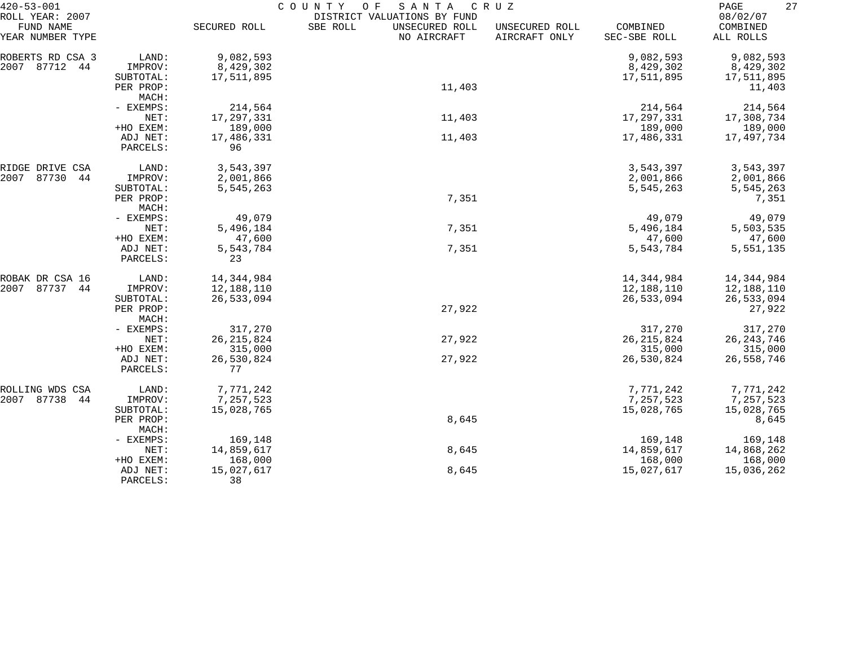| $420 - 53 - 001$                                 |                      | COUNTY<br>O F<br>SANTA<br>C R U Z |                                                                          |                                 |                          |                                   |  |  |  |
|--------------------------------------------------|----------------------|-----------------------------------|--------------------------------------------------------------------------|---------------------------------|--------------------------|-----------------------------------|--|--|--|
| ROLL YEAR: 2007<br>FUND NAME<br>YEAR NUMBER TYPE |                      | SECURED ROLL                      | DISTRICT VALUATIONS BY FUND<br>SBE ROLL<br>UNSECURED ROLL<br>NO AIRCRAFT | UNSECURED ROLL<br>AIRCRAFT ONLY | COMBINED<br>SEC-SBE ROLL | 08/02/07<br>COMBINED<br>ALL ROLLS |  |  |  |
| ROBERTS RD CSA 3                                 | LAND:                | 9,082,593                         |                                                                          |                                 | 9,082,593                | 9,082,593                         |  |  |  |
| 2007<br>87712<br>44                              | IMPROV:              | 8,429,302                         |                                                                          |                                 | 8,429,302                | 8,429,302                         |  |  |  |
|                                                  | SUBTOTAL:            | 17,511,895                        |                                                                          |                                 | 17,511,895               | 17,511,895                        |  |  |  |
|                                                  | PER PROP:            |                                   | 11,403                                                                   |                                 |                          | 11,403                            |  |  |  |
|                                                  | MACH:                |                                   |                                                                          |                                 |                          |                                   |  |  |  |
|                                                  | - EXEMPS:            | 214,564                           |                                                                          |                                 | 214,564                  | 214,564                           |  |  |  |
|                                                  | NET:                 | 17,297,331                        | 11,403                                                                   |                                 | 17, 297, 331             | 17,308,734                        |  |  |  |
|                                                  | +HO EXEM:            | 189,000                           |                                                                          |                                 | 189,000                  | 189,000                           |  |  |  |
|                                                  | ADJ NET:             | 17,486,331                        | 11,403                                                                   |                                 | 17,486,331               | 17,497,734                        |  |  |  |
|                                                  | PARCELS:             | 96                                |                                                                          |                                 |                          |                                   |  |  |  |
| RIDGE DRIVE CSA                                  | LAND:                | 3,543,397                         |                                                                          |                                 | 3,543,397                | 3,543,397                         |  |  |  |
| 2007<br>87730<br>44                              | IMPROV:              | 2,001,866                         |                                                                          |                                 | 2,001,866                | 2,001,866                         |  |  |  |
|                                                  | SUBTOTAL:            | 5,545,263                         |                                                                          |                                 | 5,545,263                | 5,545,263                         |  |  |  |
|                                                  | PER PROP:            |                                   | 7,351                                                                    |                                 |                          | 7,351                             |  |  |  |
|                                                  | MACH:                |                                   |                                                                          |                                 |                          |                                   |  |  |  |
|                                                  | - EXEMPS:<br>NET:    | 49,079<br>5,496,184               | 7,351                                                                    |                                 | 49,079<br>5,496,184      | 49,079<br>5,503,535               |  |  |  |
|                                                  | +HO EXEM:            | 47,600                            |                                                                          |                                 | 47,600                   | 47,600                            |  |  |  |
|                                                  | ADJ NET:             | 5,543,784                         | 7,351                                                                    |                                 | 5,543,784                | 5,551,135                         |  |  |  |
|                                                  | PARCELS:             | 23                                |                                                                          |                                 |                          |                                   |  |  |  |
| ROBAK DR CSA 16                                  | LAND:                | 14, 344, 984                      |                                                                          |                                 | 14, 344, 984             | 14,344,984                        |  |  |  |
| 2007<br>87737 44                                 | IMPROV:              | 12,188,110                        |                                                                          |                                 | 12,188,110               | 12,188,110                        |  |  |  |
|                                                  | SUBTOTAL:            | 26,533,094                        |                                                                          |                                 | 26,533,094               | 26,533,094                        |  |  |  |
|                                                  | PER PROP:            |                                   | 27,922                                                                   |                                 |                          | 27,922                            |  |  |  |
|                                                  | MACH:                |                                   |                                                                          |                                 |                          |                                   |  |  |  |
|                                                  | - EXEMPS:            | 317,270                           |                                                                          |                                 | 317,270                  | 317,270                           |  |  |  |
|                                                  | NET:                 | 26, 215, 824                      | 27,922                                                                   |                                 | 26, 215, 824             | 26, 243, 746                      |  |  |  |
|                                                  | +HO EXEM:            | 315,000                           |                                                                          |                                 | 315,000                  | 315,000                           |  |  |  |
|                                                  | ADJ NET:<br>PARCELS: | 26,530,824<br>77                  | 27,922                                                                   |                                 | 26,530,824               | 26,558,746                        |  |  |  |
| ROLLING WDS CSA                                  | LAND:                | 7,771,242                         |                                                                          |                                 | 7,771,242                | 7,771,242                         |  |  |  |
| 2007 87738<br>44                                 | IMPROV:              | 7,257,523                         |                                                                          |                                 | 7,257,523                | 7,257,523                         |  |  |  |
|                                                  | SUBTOTAL:            | 15,028,765                        |                                                                          |                                 | 15,028,765               | 15,028,765                        |  |  |  |
|                                                  | PER PROP:<br>MACH:   |                                   | 8,645                                                                    |                                 |                          | 8,645                             |  |  |  |
|                                                  | - EXEMPS:            | 169,148                           |                                                                          |                                 | 169,148                  | 169,148                           |  |  |  |
|                                                  | NET:                 | 14,859,617                        | 8,645                                                                    |                                 | 14,859,617               | 14,868,262                        |  |  |  |
|                                                  | +HO EXEM:            | 168,000                           |                                                                          |                                 | 168,000                  | 168,000                           |  |  |  |
|                                                  | ADJ NET:             | 15,027,617                        | 8,645                                                                    |                                 | 15,027,617               | 15,036,262                        |  |  |  |
|                                                  | PARCELS:             | 38                                |                                                                          |                                 |                          |                                   |  |  |  |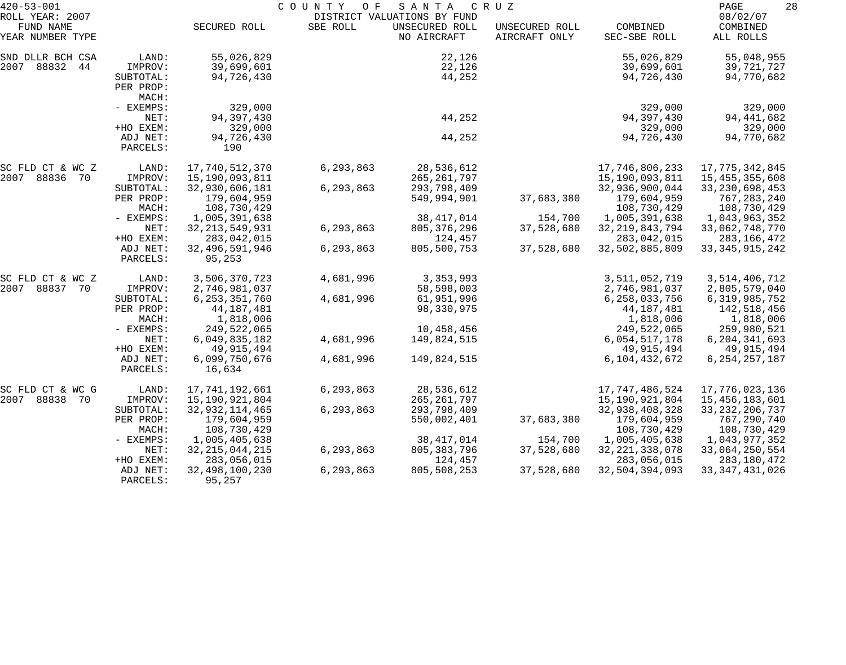| $420 - 53 - 001$                                 |           | COUNTY OF<br>SANTA<br>C R U Z<br>DISTRICT VALUATIONS BY FUND |           |                               |                                 |                          |                                   |  |
|--------------------------------------------------|-----------|--------------------------------------------------------------|-----------|-------------------------------|---------------------------------|--------------------------|-----------------------------------|--|
| ROLL YEAR: 2007<br>FUND NAME<br>YEAR NUMBER TYPE |           | SECURED ROLL                                                 | SBE ROLL  | UNSECURED ROLL<br>NO AIRCRAFT | UNSECURED ROLL<br>AIRCRAFT ONLY | COMBINED<br>SEC-SBE ROLL | 08/02/07<br>COMBINED<br>ALL ROLLS |  |
| SND DLLR BCH CSA                                 | LAND:     | 55,026,829                                                   |           | 22,126                        |                                 | 55,026,829               | 55,048,955                        |  |
| 2007 88832<br>44                                 | IMPROV:   | 39,699,601                                                   |           | 22,126                        |                                 | 39,699,601               | 39,721,727                        |  |
|                                                  | SUBTOTAL: | 94,726,430                                                   |           | 44,252                        |                                 | 94,726,430               | 94,770,682                        |  |
|                                                  | PER PROP: |                                                              |           |                               |                                 |                          |                                   |  |
|                                                  | MACH:     |                                                              |           |                               |                                 |                          |                                   |  |
|                                                  | - EXEMPS: | 329,000                                                      |           |                               |                                 | 329,000                  | 329,000                           |  |
|                                                  | NET:      | 94,397,430                                                   |           | 44,252                        |                                 | 94, 397, 430             | 94, 441, 682                      |  |
|                                                  | +HO EXEM: | 329,000                                                      |           |                               |                                 | 329,000                  | 329,000                           |  |
|                                                  | ADJ NET:  | 94,726,430                                                   |           | 44,252                        |                                 | 94,726,430               | 94,770,682                        |  |
|                                                  | PARCELS:  | 190                                                          |           |                               |                                 |                          |                                   |  |
| SC FLD CT & WC Z                                 | LAND:     | 17,740,512,370                                               | 6,293,863 | 28,536,612                    |                                 | 17,746,806,233           | 17,775,342,845                    |  |
| 2007 88836 70                                    | IMPROV:   | 15,190,093,811                                               |           | 265, 261, 797                 |                                 | 15,190,093,811           | 15, 455, 355, 608                 |  |
|                                                  | SUBTOTAL: | 32,930,606,181                                               | 6,293,863 | 293,798,409                   |                                 | 32,936,900,044           | 33, 230, 698, 453                 |  |
|                                                  | PER PROP: | 179,604,959                                                  |           | 549,994,901                   | 37,683,380                      | 179,604,959              | 767,283,240                       |  |
|                                                  | MACH:     | 108,730,429                                                  |           |                               |                                 | 108,730,429              | 108,730,429                       |  |
|                                                  | - EXEMPS: | 1,005,391,638                                                |           | 38, 417, 014                  | 154,700                         | 1,005,391,638            | 1,043,963,352                     |  |
|                                                  | NET:      | 32, 213, 549, 931                                            | 6,293,863 | 805, 376, 296                 | 37,528,680                      | 32, 219, 843, 794        | 33,062,748,770                    |  |
|                                                  | +HO EXEM: | 283,042,015                                                  |           | 124,457                       |                                 | 283,042,015              | 283,166,472                       |  |
|                                                  | ADJ NET:  | 32, 496, 591, 946                                            | 6,293,863 | 805,500,753                   | 37,528,680                      | 32,502,885,809           | 33, 345, 915, 242                 |  |
|                                                  | PARCELS:  | 95,253                                                       |           |                               |                                 |                          |                                   |  |
| SC FLD CT & WC Z                                 | LAND:     | 3,506,370,723                                                | 4,681,996 | 3,353,993                     |                                 | 3,511,052,719            | 3,514,406,712                     |  |
| 2007<br>88837 70                                 | IMPROV:   | 2,746,981,037                                                |           | 58,598,003                    |                                 | 2,746,981,037            | 2,805,579,040                     |  |
|                                                  | SUBTOTAL: | 6, 253, 351, 760                                             | 4,681,996 | 61,951,996                    |                                 | 6, 258, 033, 756         | 6, 319, 985, 752                  |  |
|                                                  | PER PROP: | 44, 187, 481                                                 |           | 98,330,975                    |                                 | 44, 187, 481             | 142,518,456                       |  |
|                                                  | MACH:     | 1,818,006                                                    |           |                               |                                 | 1,818,006                | 1,818,006                         |  |
|                                                  | - EXEMPS: | 249,522,065                                                  |           | 10,458,456                    |                                 | 249,522,065              | 259,980,521                       |  |
|                                                  | NET:      | 6,049,835,182                                                | 4,681,996 | 149,824,515                   |                                 | 6,054,517,178            | 6, 204, 341, 693                  |  |
|                                                  | +HO EXEM: | 49, 915, 494                                                 |           |                               |                                 | 49,915,494               | 49,915,494                        |  |
|                                                  | ADJ NET:  | 6,099,750,676                                                | 4,681,996 | 149,824,515                   |                                 | 6,104,432,672            | 6, 254, 257, 187                  |  |
|                                                  | PARCELS:  | 16,634                                                       |           |                               |                                 |                          |                                   |  |
| SC FLD CT & WC G                                 | LAND:     | 17,741,192,661                                               | 6,293,863 | 28,536,612                    |                                 | 17,747,486,524           | 17,776,023,136                    |  |
| 88838<br>2007<br>70                              | IMPROV:   | 15,190,921,804                                               |           | 265, 261, 797                 |                                 | 15,190,921,804           | 15,456,183,601                    |  |
|                                                  | SUBTOTAL: | 32, 932, 114, 465                                            | 6,293,863 | 293,798,409                   |                                 | 32,938,408,328           | 33, 232, 206, 737                 |  |
|                                                  | PER PROP: | 179,604,959                                                  |           | 550,002,401                   | 37,683,380                      | 179,604,959              | 767,290,740                       |  |
|                                                  | MACH:     | 108,730,429                                                  |           |                               |                                 | 108,730,429              | 108,730,429                       |  |
|                                                  | - EXEMPS: | 1,005,405,638                                                |           | 38, 417, 014                  | 154,700                         | 1,005,405,638            | 1,043,977,352                     |  |
|                                                  | NET:      | 32, 215, 044, 215                                            | 6,293,863 | 805, 383, 796                 | 37,528,680                      | 32, 221, 338, 078        | 33,064,250,554                    |  |
|                                                  | +HO EXEM: | 283,056,015                                                  |           | 124,457                       |                                 | 283,056,015              | 283, 180, 472                     |  |
|                                                  | ADJ NET:  | 32,498,100,230                                               | 6,293,863 | 805,508,253                   | 37,528,680                      | 32,504,394,093           | 33, 347, 431, 026                 |  |
|                                                  | PARCELS:  | 95,257                                                       |           |                               |                                 |                          |                                   |  |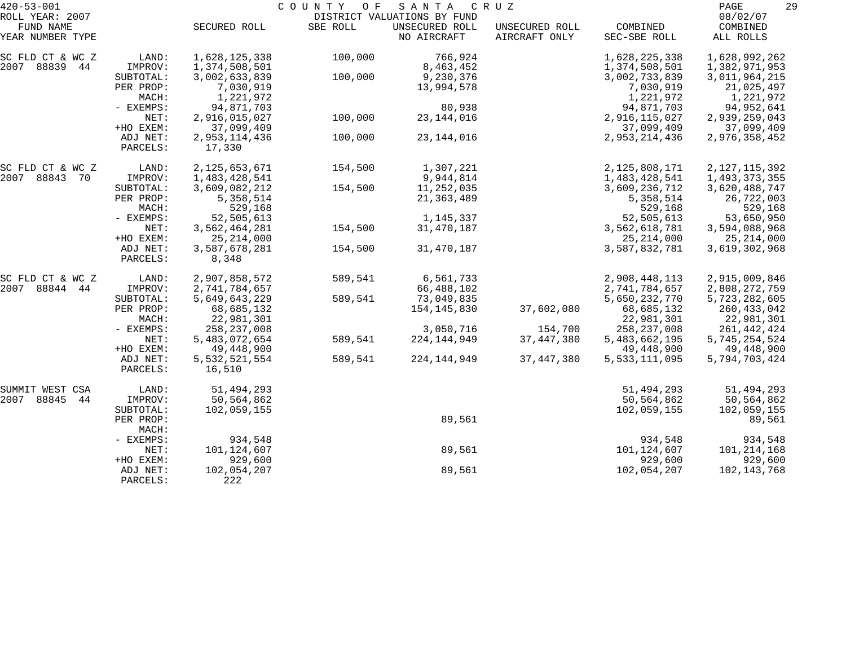| $420 - 53 - 001$              |           |                  | COUNTY OF | SANTA                         | C R U Z                         |                          | 29<br>PAGE            |
|-------------------------------|-----------|------------------|-----------|-------------------------------|---------------------------------|--------------------------|-----------------------|
| ROLL YEAR: 2007               |           |                  |           | DISTRICT VALUATIONS BY FUND   |                                 |                          | 08/02/07              |
| FUND NAME<br>YEAR NUMBER TYPE |           | SECURED ROLL     | SBE ROLL  | UNSECURED ROLL<br>NO AIRCRAFT | UNSECURED ROLL<br>AIRCRAFT ONLY | COMBINED<br>SEC-SBE ROLL | COMBINED<br>ALL ROLLS |
|                               |           |                  |           |                               |                                 |                          |                       |
| SC FLD CT & WC Z              | LAND:     | 1,628,125,338    | 100,000   | 766,924                       |                                 | 1,628,225,338            | 1,628,992,262         |
| 2007 88839 44                 | IMPROV:   | 1,374,508,501    |           | 8,463,452                     |                                 | 1,374,508,501            | 1,382,971,953         |
|                               | SUBTOTAL: | 3,002,633,839    | 100,000   | 9,230,376                     |                                 | 3,002,733,839            | 3,011,964,215         |
|                               | PER PROP: | 7,030,919        |           | 13,994,578                    |                                 | 7,030,919                | 21,025,497            |
|                               | MACH:     | 1,221,972        |           |                               |                                 | 1,221,972                | 1,221,972             |
|                               | - EXEMPS: | 94,871,703       |           | 80,938                        |                                 | 94,871,703               | 94,952,641            |
|                               | NET:      | 2,916,015,027    | 100,000   | 23, 144, 016                  |                                 | 2,916,115,027            | 2,939,259,043         |
|                               | +HO EXEM: | 37,099,409       |           |                               |                                 | 37,099,409               | 37,099,409            |
|                               | ADJ NET:  | 2,953,114,436    | 100,000   | 23, 144, 016                  |                                 | 2,953,214,436            | 2,976,358,452         |
|                               | PARCELS:  | 17,330           |           |                               |                                 |                          |                       |
|                               |           |                  |           |                               |                                 |                          |                       |
| SC FLD CT & WC Z              | LAND:     | 2, 125, 653, 671 | 154,500   | 1,307,221                     |                                 | 2,125,808,171            | 2, 127, 115, 392      |
| 2007 88843<br>70              | IMPROV:   | 1,483,428,541    |           | 9,944,814                     |                                 | 1,483,428,541            | 1,493,373,355         |
|                               | SUBTOTAL: | 3,609,082,212    | 154,500   | 11,252,035                    |                                 | 3,609,236,712            | 3,620,488,747         |
|                               | PER PROP: | 5,358,514        |           | 21, 363, 489                  |                                 | 5,358,514                | 26,722,003            |
|                               | MACH:     | 529,168          |           |                               |                                 | 529,168                  | 529,168               |
|                               | - EXEMPS: | 52,505,613       |           | 1,145,337                     |                                 | 52,505,613               | 53,650,950            |
|                               | NET:      | 3,562,464,281    | 154,500   | 31, 470, 187                  |                                 | 3,562,618,781            | 3,594,088,968         |
|                               | +HO EXEM: | 25, 214, 000     |           |                               |                                 | 25, 214, 000             | 25, 214, 000          |
|                               | ADJ NET:  | 3,587,678,281    | 154,500   | 31, 470, 187                  |                                 | 3,587,832,781            | 3,619,302,968         |
|                               | PARCELS:  | 8,348            |           |                               |                                 |                          |                       |
|                               |           |                  |           |                               |                                 |                          |                       |
| SC FLD CT & WC Z              | LAND:     | 2,907,858,572    | 589,541   | 6,561,733                     |                                 | 2,908,448,113            | 2,915,009,846         |
| 88844<br>2007<br>44           | IMPROV:   | 2,741,784,657    |           | 66,488,102                    |                                 | 2,741,784,657            | 2,808,272,759         |
|                               | SUBTOTAL: | 5,649,643,229    | 589,541   | 73,049,835                    |                                 | 5,650,232,770            | 5,723,282,605         |
|                               | PER PROP: | 68,685,132       |           | 154,145,830                   | 37,602,080                      | 68,685,132               | 260, 433, 042         |
|                               | MACH:     | 22,981,301       |           |                               |                                 | 22,981,301               | 22,981,301            |
|                               | - EXEMPS: | 258, 237, 008    |           | 3,050,716                     | 154,700                         | 258, 237, 008            | 261, 442, 424         |
|                               | NET:      | 5,483,072,654    | 589,541   | 224, 144, 949                 | 37, 447, 380                    | 5,483,662,195            | 5,745,254,524         |
|                               | +HO EXEM: | 49,448,900       |           |                               |                                 | 49,448,900               | 49,448,900            |
|                               | ADJ NET:  | 5,532,521,554    | 589,541   | 224, 144, 949                 | 37, 447, 380                    | 5,533,111,095            | 5,794,703,424         |
|                               | PARCELS:  | 16,510           |           |                               |                                 |                          |                       |
| SUMMIT WEST CSA               | LAND:     | 51,494,293       |           |                               |                                 | 51,494,293               | 51,494,293            |
| 2007<br>88845<br>44           | IMPROV:   | 50,564,862       |           |                               |                                 | 50,564,862               | 50,564,862            |
|                               | SUBTOTAL: | 102,059,155      |           |                               |                                 | 102,059,155              | 102,059,155           |
|                               | PER PROP: |                  |           | 89,561                        |                                 |                          | 89,561                |
|                               | MACH:     |                  |           |                               |                                 |                          |                       |
|                               | - EXEMPS: | 934,548          |           |                               |                                 | 934,548                  | 934,548               |
|                               | NET:      | 101,124,607      |           | 89,561                        |                                 | 101, 124, 607            | 101,214,168           |
|                               | +HO EXEM: | 929,600          |           |                               |                                 | 929,600                  | 929,600               |
|                               | ADJ NET:  | 102,054,207      |           | 89,561                        |                                 | 102,054,207              | 102,143,768           |
|                               | PARCELS:  | 222              |           |                               |                                 |                          |                       |
|                               |           |                  |           |                               |                                 |                          |                       |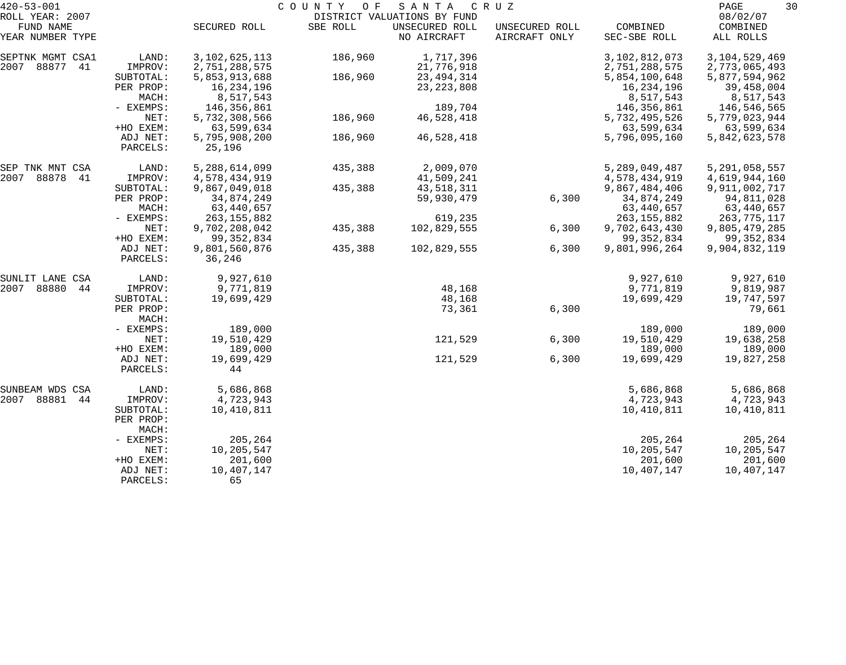| $420 - 53 - 001$                                 |                      |                         | COUNTY OF | SANTA                                                        | C R U Z                         |                          | PAGE<br>30                        |
|--------------------------------------------------|----------------------|-------------------------|-----------|--------------------------------------------------------------|---------------------------------|--------------------------|-----------------------------------|
| ROLL YEAR: 2007<br>FUND NAME<br>YEAR NUMBER TYPE |                      | SECURED ROLL            | SBE ROLL  | DISTRICT VALUATIONS BY FUND<br>UNSECURED ROLL<br>NO AIRCRAFT | UNSECURED ROLL<br>AIRCRAFT ONLY | COMBINED<br>SEC-SBE ROLL | 08/02/07<br>COMBINED<br>ALL ROLLS |
|                                                  |                      |                         |           |                                                              |                                 |                          |                                   |
| SEPTNK MGMT CSA1                                 | LAND:                | 3, 102, 625, 113        | 186,960   | 1,717,396                                                    |                                 | 3,102,812,073            | 3, 104, 529, 469                  |
| 2007<br>88877<br>41                              | IMPROV:              | 2,751,288,575           |           | 21,776,918                                                   |                                 | 2,751,288,575            | 2,773,065,493                     |
|                                                  | SUBTOTAL:            | 5,853,913,688           | 186,960   | 23, 494, 314                                                 |                                 | 5,854,100,648            | 5,877,594,962                     |
|                                                  | PER PROP:            | 16,234,196              |           | 23, 223, 808                                                 |                                 | 16,234,196               | 39,458,004                        |
|                                                  | MACH:                | 8,517,543               |           |                                                              |                                 | 8,517,543                | 8,517,543                         |
|                                                  | - EXEMPS:            | 146,356,861             |           | 189,704                                                      |                                 | 146,356,861              | 146,546,565                       |
|                                                  | NET:                 | 5,732,308,566           | 186,960   | 46,528,418                                                   |                                 | 5,732,495,526            | 5,779,023,944                     |
|                                                  | +HO EXEM:            | 63,599,634              |           |                                                              |                                 | 63,599,634               | 63,599,634                        |
|                                                  | ADJ NET:<br>PARCELS: | 5,795,908,200<br>25,196 | 186,960   | 46,528,418                                                   |                                 | 5,796,095,160            | 5,842,623,578                     |
| SEP TNK MNT CSA                                  | LAND:                | 5,288,614,099           | 435,388   | 2,009,070                                                    |                                 | 5,289,049,487            | 5, 291, 058, 557                  |
| 2007<br>88878<br>41                              | IMPROV:              | 4,578,434,919           |           | 41,509,241                                                   |                                 | 4,578,434,919            | 4,619,944,160                     |
|                                                  | SUBTOTAL:            | 9,867,049,018           | 435,388   | 43,518,311                                                   |                                 | 9,867,484,406            | 9,911,002,717                     |
|                                                  | PER PROP:            | 34,874,249              |           | 59,930,479                                                   | 6,300                           | 34,874,249               | 94,811,028                        |
|                                                  | MACH:                | 63,440,657              |           |                                                              |                                 | 63,440,657               | 63,440,657                        |
|                                                  | - EXEMPS:            | 263, 155, 882           |           | 619,235                                                      |                                 | 263, 155, 882            | 263, 775, 117                     |
|                                                  | NET:                 | 9,702,208,042           | 435,388   | 102,829,555                                                  | 6,300                           | 9,702,643,430            | 9,805,479,285                     |
|                                                  | +HO EXEM:            | 99, 352, 834            |           |                                                              |                                 | 99, 352, 834             | 99, 352, 834                      |
|                                                  | ADJ NET:<br>PARCELS: | 9,801,560,876<br>36,246 | 435,388   | 102,829,555                                                  | 6,300                           | 9,801,996,264            | 9,904,832,119                     |
| SUNLIT LANE CSA                                  | LAND:                | 9,927,610               |           |                                                              |                                 | 9,927,610                | 9,927,610                         |
| 88880<br>2007<br>44                              | IMPROV:              | 9,771,819               |           | 48,168                                                       |                                 | 9,771,819                | 9,819,987                         |
|                                                  | SUBTOTAL:            | 19,699,429              |           | 48,168                                                       |                                 | 19,699,429               | 19,747,597                        |
|                                                  | PER PROP:<br>MACH:   |                         |           | 73,361                                                       | 6,300                           |                          | 79,661                            |
|                                                  | - EXEMPS:            | 189,000                 |           |                                                              |                                 | 189,000                  | 189,000                           |
|                                                  | NET:                 | 19,510,429              |           | 121,529                                                      | 6,300                           | 19,510,429               | 19,638,258                        |
|                                                  | +HO EXEM:            | 189,000                 |           |                                                              |                                 | 189,000                  | 189,000                           |
|                                                  | ADJ NET:             | 19,699,429              |           | 121,529                                                      | 6,300                           | 19,699,429               | 19,827,258                        |
|                                                  | PARCELS:             | 44                      |           |                                                              |                                 |                          |                                   |
| SUNBEAM WDS CSA                                  | LAND:                | 5,686,868               |           |                                                              |                                 | 5,686,868                | 5,686,868                         |
| 88881<br>2007<br>44                              | IMPROV:              | 4,723,943               |           |                                                              |                                 | 4,723,943                | 4,723,943                         |
|                                                  | SUBTOTAL:            | 10,410,811              |           |                                                              |                                 | 10,410,811               | 10,410,811                        |
|                                                  | PER PROP:<br>MACH:   |                         |           |                                                              |                                 |                          |                                   |
|                                                  | - EXEMPS:            | 205,264                 |           |                                                              |                                 | 205,264                  | 205,264                           |
|                                                  | NET:                 | 10,205,547              |           |                                                              |                                 | 10,205,547               | 10,205,547                        |
|                                                  | +HO EXEM:            | 201,600                 |           |                                                              |                                 | 201,600                  | 201,600                           |
|                                                  | ADJ NET:             | 10,407,147              |           |                                                              |                                 | 10,407,147               | 10,407,147                        |
|                                                  | PARCELS:             | 65                      |           |                                                              |                                 |                          |                                   |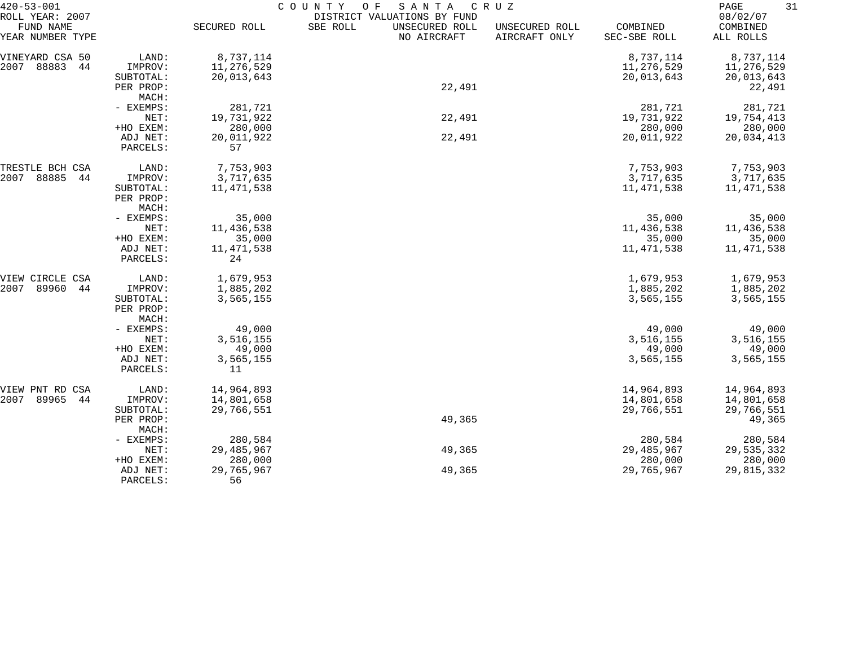| $420 - 53 - 001$                                 |                       | COUNTY<br>SANTA<br>O F<br>CRUZ |                                                                          |                                 |                          |                                   |  |  |  |
|--------------------------------------------------|-----------------------|--------------------------------|--------------------------------------------------------------------------|---------------------------------|--------------------------|-----------------------------------|--|--|--|
| ROLL YEAR: 2007<br>FUND NAME<br>YEAR NUMBER TYPE |                       | SECURED ROLL                   | DISTRICT VALUATIONS BY FUND<br>SBE ROLL<br>UNSECURED ROLL<br>NO AIRCRAFT | UNSECURED ROLL<br>AIRCRAFT ONLY | COMBINED<br>SEC-SBE ROLL | 08/02/07<br>COMBINED<br>ALL ROLLS |  |  |  |
| VINEYARD CSA 50                                  | LAND:                 | 8,737,114                      |                                                                          |                                 | 8,737,114                | 8,737,114                         |  |  |  |
| 88883<br>2007<br>44                              | IMPROV:               | 11,276,529                     |                                                                          |                                 | 11,276,529               | 11,276,529                        |  |  |  |
|                                                  | SUBTOTAL:             | 20,013,643                     |                                                                          |                                 | 20,013,643               | 20,013,643                        |  |  |  |
|                                                  | PER PROP:             |                                | 22,491                                                                   |                                 |                          | 22,491                            |  |  |  |
|                                                  | MACH:                 |                                |                                                                          |                                 |                          |                                   |  |  |  |
|                                                  | - EXEMPS:             | 281,721                        |                                                                          |                                 | 281,721                  | 281,721                           |  |  |  |
|                                                  | NET:                  | 19,731,922                     | 22,491                                                                   |                                 | 19,731,922               | 19,754,413                        |  |  |  |
|                                                  | +HO EXEM:             | 280,000                        |                                                                          |                                 | 280,000                  | 280,000                           |  |  |  |
|                                                  | ADJ NET:<br>PARCELS:  | 20,011,922<br>57               | 22,491                                                                   |                                 | 20,011,922               | 20,034,413                        |  |  |  |
|                                                  |                       |                                |                                                                          |                                 |                          |                                   |  |  |  |
| TRESTLE BCH CSA                                  | LAND:                 | 7,753,903                      |                                                                          |                                 | 7,753,903                | 7,753,903                         |  |  |  |
| 88885<br>2007<br>44                              | IMPROV:               | 3,717,635                      |                                                                          |                                 | 3,717,635                | 3,717,635                         |  |  |  |
|                                                  | SUBTOTAL:             | 11,471,538                     |                                                                          |                                 | 11,471,538               | 11,471,538                        |  |  |  |
|                                                  | PER PROP:             |                                |                                                                          |                                 |                          |                                   |  |  |  |
|                                                  | MACH:                 |                                |                                                                          |                                 |                          |                                   |  |  |  |
|                                                  | - EXEMPS:             | 35,000                         |                                                                          |                                 | 35,000                   | 35,000                            |  |  |  |
|                                                  | NET:                  | 11,436,538                     |                                                                          |                                 | 11,436,538               | 11,436,538                        |  |  |  |
|                                                  | +HO EXEM:<br>ADJ NET: | 35,000<br>11, 471, 538         |                                                                          |                                 | 35,000<br>11, 471, 538   | 35,000<br>11,471,538              |  |  |  |
|                                                  | PARCELS:              | 24                             |                                                                          |                                 |                          |                                   |  |  |  |
| VIEW CIRCLE CSA                                  | LAND:                 | 1,679,953                      |                                                                          |                                 | 1,679,953                | 1,679,953                         |  |  |  |
| 2007<br>89960<br>44                              | IMPROV:               | 1,885,202                      |                                                                          |                                 | 1,885,202                | 1,885,202                         |  |  |  |
|                                                  | SUBTOTAL:             | 3,565,155                      |                                                                          |                                 | 3,565,155                | 3,565,155                         |  |  |  |
|                                                  | PER PROP:             |                                |                                                                          |                                 |                          |                                   |  |  |  |
|                                                  | MACH:                 |                                |                                                                          |                                 |                          |                                   |  |  |  |
|                                                  | - EXEMPS:             | 49,000                         |                                                                          |                                 | 49,000                   | 49,000                            |  |  |  |
|                                                  | NET:<br>+HO EXEM:     | 3,516,155<br>49,000            |                                                                          |                                 | 3,516,155<br>49,000      | 3,516,155<br>49,000               |  |  |  |
|                                                  | ADJ NET:              | 3,565,155                      |                                                                          |                                 | 3,565,155                | 3,565,155                         |  |  |  |
|                                                  | PARCELS:              | 11                             |                                                                          |                                 |                          |                                   |  |  |  |
| VIEW PNT RD<br>CSA                               | LAND:                 | 14,964,893                     |                                                                          |                                 | 14,964,893               | 14,964,893                        |  |  |  |
| 89965<br>2007<br>44                              | IMPROV:               | 14,801,658                     |                                                                          |                                 | 14,801,658               | 14,801,658                        |  |  |  |
|                                                  | SUBTOTAL:             | 29,766,551                     |                                                                          |                                 | 29,766,551               | 29,766,551                        |  |  |  |
|                                                  | PER PROP:<br>MACH:    |                                | 49,365                                                                   |                                 |                          | 49,365                            |  |  |  |
|                                                  | - EXEMPS:             | 280,584                        |                                                                          |                                 | 280,584                  | 280,584                           |  |  |  |
|                                                  | NET:                  | 29,485,967                     | 49,365                                                                   |                                 | 29, 485, 967             | 29,535,332                        |  |  |  |
|                                                  | +HO EXEM:             | 280,000                        |                                                                          |                                 | 280,000                  | 280,000                           |  |  |  |
|                                                  | ADJ NET:              | 29,765,967                     | 49,365                                                                   |                                 | 29,765,967               | 29,815,332                        |  |  |  |
|                                                  | PARCELS:              | 56                             |                                                                          |                                 |                          |                                   |  |  |  |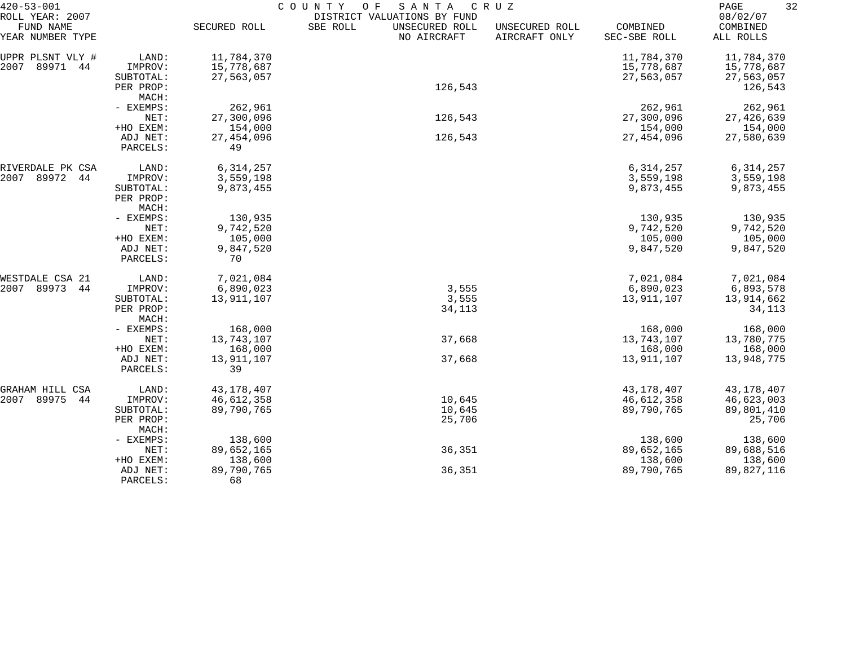| 08/02/07<br>FUND NAME<br>SECURED ROLL<br>SBE ROLL<br>UNSECURED ROLL<br>COMBINED<br>UNSECURED ROLL<br>COMBINED<br>AIRCRAFT ONLY<br>NO AIRCRAFT<br>SEC-SBE ROLL<br>ALL ROLLS<br>11,784,370<br>LAND:<br>11,784,370<br>11,784,370<br>89971<br>15,778,687<br>15,778,687<br>44<br>IMPROV:<br>15,778,687<br>27,563,057<br>27,563,057<br>27,563,057<br>SUBTOTAL:<br>126,543<br>PER PROP:<br>126,543<br>MACH:<br>262,961<br>- EXEMPS:<br>262,961<br>262,961<br>NET:<br>27,300,096<br>126,543<br>27,300,096<br>27, 426, 639<br>+HO EXEM:<br>154,000<br>154,000<br>154,000<br>ADJ NET:<br>27, 454, 096<br>126,543<br>27, 454, 096<br>27,580,639<br>49<br>PARCELS:<br>6, 314, 257<br>LAND:<br>6, 314, 257<br>6, 314, 257<br>89972<br>3,559,198<br>3,559,198<br>44<br>IMPROV:<br>3,559,198<br>9,873,455<br>9,873,455<br>9,873,455<br>SUBTOTAL:<br>PER PROP:<br>MACH:<br>130,935<br>- EXEMPS:<br>130,935<br>130,935<br>9,742,520<br>9,742,520<br>9,742,520<br>NET:<br>+HO EXEM:<br>105,000<br>105,000<br>105,000<br>9,847,520<br>ADJ NET:<br>9,847,520<br>9,847,520<br>70<br>PARCELS:<br>7,021,084<br>7,021,084<br>LAND:<br>7,021,084<br>89973<br>3,555<br>44<br>IMPROV:<br>6,890,023<br>6,890,023<br>6,893,578<br>3,555<br>13,911,107<br>13,911,107<br>13,914,662<br>SUBTOTAL:<br>34,113<br>34,113<br>PER PROP:<br>MACH:<br>168,000<br>- EXEMPS:<br>168,000<br>168,000<br>13,743,107<br>37,668<br>13,743,107<br>NET:<br>13,780,775<br>+HO EXEM:<br>168,000<br>168,000<br>168,000<br>ADJ NET:<br>13,911,107<br>37,668<br>13,911,107<br>13,948,775<br>39<br>PARCELS:<br>43, 178, 407<br>43,178,407<br>43,178,407<br>GRAHAM HILL CSA<br>LAND:<br>44<br>46,612,358<br>10,645<br>46,612,358<br>46,623,003<br>IMPROV:<br>89,790,765<br>89,790,765<br>89,801,410<br>10,645<br>SUBTOTAL:<br>25,706<br>25,706<br>PER PROP:<br>MACH:<br>- EXEMPS:<br>138,600<br>138,600<br>138,600<br>36,351<br>NET:<br>89,652,165<br>89,652,165<br>89,688,516<br>138,600<br>138,600<br>138,600<br>+HO EXEM:<br>89,790,765<br>36,351<br>89,790,765<br>89,827,116<br>ADJ NET:<br>68<br>PARCELS: | $420 - 53 - 001$<br>ROLL YEAR: 2007 | COUNTY<br>SANTA<br>O F<br>C R U Z<br>DISTRICT VALUATIONS BY FUND |  |  |  |  |  |  |
|---------------------------------------------------------------------------------------------------------------------------------------------------------------------------------------------------------------------------------------------------------------------------------------------------------------------------------------------------------------------------------------------------------------------------------------------------------------------------------------------------------------------------------------------------------------------------------------------------------------------------------------------------------------------------------------------------------------------------------------------------------------------------------------------------------------------------------------------------------------------------------------------------------------------------------------------------------------------------------------------------------------------------------------------------------------------------------------------------------------------------------------------------------------------------------------------------------------------------------------------------------------------------------------------------------------------------------------------------------------------------------------------------------------------------------------------------------------------------------------------------------------------------------------------------------------------------------------------------------------------------------------------------------------------------------------------------------------------------------------------------------------------------------------------------------------------------------------------------------------------------------------------------------------------------------------------------------------------------------------------------------------------------------------------------------|-------------------------------------|------------------------------------------------------------------|--|--|--|--|--|--|
|                                                                                                                                                                                                                                                                                                                                                                                                                                                                                                                                                                                                                                                                                                                                                                                                                                                                                                                                                                                                                                                                                                                                                                                                                                                                                                                                                                                                                                                                                                                                                                                                                                                                                                                                                                                                                                                                                                                                                                                                                                                         | YEAR NUMBER TYPE                    |                                                                  |  |  |  |  |  |  |
|                                                                                                                                                                                                                                                                                                                                                                                                                                                                                                                                                                                                                                                                                                                                                                                                                                                                                                                                                                                                                                                                                                                                                                                                                                                                                                                                                                                                                                                                                                                                                                                                                                                                                                                                                                                                                                                                                                                                                                                                                                                         | UPPR PLSNT VLY #                    |                                                                  |  |  |  |  |  |  |
|                                                                                                                                                                                                                                                                                                                                                                                                                                                                                                                                                                                                                                                                                                                                                                                                                                                                                                                                                                                                                                                                                                                                                                                                                                                                                                                                                                                                                                                                                                                                                                                                                                                                                                                                                                                                                                                                                                                                                                                                                                                         | 2007                                |                                                                  |  |  |  |  |  |  |
|                                                                                                                                                                                                                                                                                                                                                                                                                                                                                                                                                                                                                                                                                                                                                                                                                                                                                                                                                                                                                                                                                                                                                                                                                                                                                                                                                                                                                                                                                                                                                                                                                                                                                                                                                                                                                                                                                                                                                                                                                                                         |                                     |                                                                  |  |  |  |  |  |  |
|                                                                                                                                                                                                                                                                                                                                                                                                                                                                                                                                                                                                                                                                                                                                                                                                                                                                                                                                                                                                                                                                                                                                                                                                                                                                                                                                                                                                                                                                                                                                                                                                                                                                                                                                                                                                                                                                                                                                                                                                                                                         |                                     |                                                                  |  |  |  |  |  |  |
|                                                                                                                                                                                                                                                                                                                                                                                                                                                                                                                                                                                                                                                                                                                                                                                                                                                                                                                                                                                                                                                                                                                                                                                                                                                                                                                                                                                                                                                                                                                                                                                                                                                                                                                                                                                                                                                                                                                                                                                                                                                         |                                     |                                                                  |  |  |  |  |  |  |
|                                                                                                                                                                                                                                                                                                                                                                                                                                                                                                                                                                                                                                                                                                                                                                                                                                                                                                                                                                                                                                                                                                                                                                                                                                                                                                                                                                                                                                                                                                                                                                                                                                                                                                                                                                                                                                                                                                                                                                                                                                                         |                                     |                                                                  |  |  |  |  |  |  |
|                                                                                                                                                                                                                                                                                                                                                                                                                                                                                                                                                                                                                                                                                                                                                                                                                                                                                                                                                                                                                                                                                                                                                                                                                                                                                                                                                                                                                                                                                                                                                                                                                                                                                                                                                                                                                                                                                                                                                                                                                                                         |                                     |                                                                  |  |  |  |  |  |  |
|                                                                                                                                                                                                                                                                                                                                                                                                                                                                                                                                                                                                                                                                                                                                                                                                                                                                                                                                                                                                                                                                                                                                                                                                                                                                                                                                                                                                                                                                                                                                                                                                                                                                                                                                                                                                                                                                                                                                                                                                                                                         |                                     |                                                                  |  |  |  |  |  |  |
|                                                                                                                                                                                                                                                                                                                                                                                                                                                                                                                                                                                                                                                                                                                                                                                                                                                                                                                                                                                                                                                                                                                                                                                                                                                                                                                                                                                                                                                                                                                                                                                                                                                                                                                                                                                                                                                                                                                                                                                                                                                         |                                     |                                                                  |  |  |  |  |  |  |
|                                                                                                                                                                                                                                                                                                                                                                                                                                                                                                                                                                                                                                                                                                                                                                                                                                                                                                                                                                                                                                                                                                                                                                                                                                                                                                                                                                                                                                                                                                                                                                                                                                                                                                                                                                                                                                                                                                                                                                                                                                                         | RIVERDALE PK CSA                    |                                                                  |  |  |  |  |  |  |
|                                                                                                                                                                                                                                                                                                                                                                                                                                                                                                                                                                                                                                                                                                                                                                                                                                                                                                                                                                                                                                                                                                                                                                                                                                                                                                                                                                                                                                                                                                                                                                                                                                                                                                                                                                                                                                                                                                                                                                                                                                                         | 2007                                |                                                                  |  |  |  |  |  |  |
|                                                                                                                                                                                                                                                                                                                                                                                                                                                                                                                                                                                                                                                                                                                                                                                                                                                                                                                                                                                                                                                                                                                                                                                                                                                                                                                                                                                                                                                                                                                                                                                                                                                                                                                                                                                                                                                                                                                                                                                                                                                         |                                     |                                                                  |  |  |  |  |  |  |
|                                                                                                                                                                                                                                                                                                                                                                                                                                                                                                                                                                                                                                                                                                                                                                                                                                                                                                                                                                                                                                                                                                                                                                                                                                                                                                                                                                                                                                                                                                                                                                                                                                                                                                                                                                                                                                                                                                                                                                                                                                                         |                                     |                                                                  |  |  |  |  |  |  |
|                                                                                                                                                                                                                                                                                                                                                                                                                                                                                                                                                                                                                                                                                                                                                                                                                                                                                                                                                                                                                                                                                                                                                                                                                                                                                                                                                                                                                                                                                                                                                                                                                                                                                                                                                                                                                                                                                                                                                                                                                                                         |                                     |                                                                  |  |  |  |  |  |  |
|                                                                                                                                                                                                                                                                                                                                                                                                                                                                                                                                                                                                                                                                                                                                                                                                                                                                                                                                                                                                                                                                                                                                                                                                                                                                                                                                                                                                                                                                                                                                                                                                                                                                                                                                                                                                                                                                                                                                                                                                                                                         |                                     |                                                                  |  |  |  |  |  |  |
|                                                                                                                                                                                                                                                                                                                                                                                                                                                                                                                                                                                                                                                                                                                                                                                                                                                                                                                                                                                                                                                                                                                                                                                                                                                                                                                                                                                                                                                                                                                                                                                                                                                                                                                                                                                                                                                                                                                                                                                                                                                         |                                     |                                                                  |  |  |  |  |  |  |
|                                                                                                                                                                                                                                                                                                                                                                                                                                                                                                                                                                                                                                                                                                                                                                                                                                                                                                                                                                                                                                                                                                                                                                                                                                                                                                                                                                                                                                                                                                                                                                                                                                                                                                                                                                                                                                                                                                                                                                                                                                                         |                                     |                                                                  |  |  |  |  |  |  |
|                                                                                                                                                                                                                                                                                                                                                                                                                                                                                                                                                                                                                                                                                                                                                                                                                                                                                                                                                                                                                                                                                                                                                                                                                                                                                                                                                                                                                                                                                                                                                                                                                                                                                                                                                                                                                                                                                                                                                                                                                                                         |                                     |                                                                  |  |  |  |  |  |  |
|                                                                                                                                                                                                                                                                                                                                                                                                                                                                                                                                                                                                                                                                                                                                                                                                                                                                                                                                                                                                                                                                                                                                                                                                                                                                                                                                                                                                                                                                                                                                                                                                                                                                                                                                                                                                                                                                                                                                                                                                                                                         | WESTDALE CSA 21                     |                                                                  |  |  |  |  |  |  |
|                                                                                                                                                                                                                                                                                                                                                                                                                                                                                                                                                                                                                                                                                                                                                                                                                                                                                                                                                                                                                                                                                                                                                                                                                                                                                                                                                                                                                                                                                                                                                                                                                                                                                                                                                                                                                                                                                                                                                                                                                                                         | 2007                                |                                                                  |  |  |  |  |  |  |
|                                                                                                                                                                                                                                                                                                                                                                                                                                                                                                                                                                                                                                                                                                                                                                                                                                                                                                                                                                                                                                                                                                                                                                                                                                                                                                                                                                                                                                                                                                                                                                                                                                                                                                                                                                                                                                                                                                                                                                                                                                                         |                                     |                                                                  |  |  |  |  |  |  |
|                                                                                                                                                                                                                                                                                                                                                                                                                                                                                                                                                                                                                                                                                                                                                                                                                                                                                                                                                                                                                                                                                                                                                                                                                                                                                                                                                                                                                                                                                                                                                                                                                                                                                                                                                                                                                                                                                                                                                                                                                                                         |                                     |                                                                  |  |  |  |  |  |  |
|                                                                                                                                                                                                                                                                                                                                                                                                                                                                                                                                                                                                                                                                                                                                                                                                                                                                                                                                                                                                                                                                                                                                                                                                                                                                                                                                                                                                                                                                                                                                                                                                                                                                                                                                                                                                                                                                                                                                                                                                                                                         |                                     |                                                                  |  |  |  |  |  |  |
|                                                                                                                                                                                                                                                                                                                                                                                                                                                                                                                                                                                                                                                                                                                                                                                                                                                                                                                                                                                                                                                                                                                                                                                                                                                                                                                                                                                                                                                                                                                                                                                                                                                                                                                                                                                                                                                                                                                                                                                                                                                         |                                     |                                                                  |  |  |  |  |  |  |
|                                                                                                                                                                                                                                                                                                                                                                                                                                                                                                                                                                                                                                                                                                                                                                                                                                                                                                                                                                                                                                                                                                                                                                                                                                                                                                                                                                                                                                                                                                                                                                                                                                                                                                                                                                                                                                                                                                                                                                                                                                                         |                                     |                                                                  |  |  |  |  |  |  |
|                                                                                                                                                                                                                                                                                                                                                                                                                                                                                                                                                                                                                                                                                                                                                                                                                                                                                                                                                                                                                                                                                                                                                                                                                                                                                                                                                                                                                                                                                                                                                                                                                                                                                                                                                                                                                                                                                                                                                                                                                                                         |                                     |                                                                  |  |  |  |  |  |  |
|                                                                                                                                                                                                                                                                                                                                                                                                                                                                                                                                                                                                                                                                                                                                                                                                                                                                                                                                                                                                                                                                                                                                                                                                                                                                                                                                                                                                                                                                                                                                                                                                                                                                                                                                                                                                                                                                                                                                                                                                                                                         |                                     |                                                                  |  |  |  |  |  |  |
|                                                                                                                                                                                                                                                                                                                                                                                                                                                                                                                                                                                                                                                                                                                                                                                                                                                                                                                                                                                                                                                                                                                                                                                                                                                                                                                                                                                                                                                                                                                                                                                                                                                                                                                                                                                                                                                                                                                                                                                                                                                         |                                     |                                                                  |  |  |  |  |  |  |
|                                                                                                                                                                                                                                                                                                                                                                                                                                                                                                                                                                                                                                                                                                                                                                                                                                                                                                                                                                                                                                                                                                                                                                                                                                                                                                                                                                                                                                                                                                                                                                                                                                                                                                                                                                                                                                                                                                                                                                                                                                                         | 2007 89975                          |                                                                  |  |  |  |  |  |  |
|                                                                                                                                                                                                                                                                                                                                                                                                                                                                                                                                                                                                                                                                                                                                                                                                                                                                                                                                                                                                                                                                                                                                                                                                                                                                                                                                                                                                                                                                                                                                                                                                                                                                                                                                                                                                                                                                                                                                                                                                                                                         |                                     |                                                                  |  |  |  |  |  |  |
|                                                                                                                                                                                                                                                                                                                                                                                                                                                                                                                                                                                                                                                                                                                                                                                                                                                                                                                                                                                                                                                                                                                                                                                                                                                                                                                                                                                                                                                                                                                                                                                                                                                                                                                                                                                                                                                                                                                                                                                                                                                         |                                     |                                                                  |  |  |  |  |  |  |
|                                                                                                                                                                                                                                                                                                                                                                                                                                                                                                                                                                                                                                                                                                                                                                                                                                                                                                                                                                                                                                                                                                                                                                                                                                                                                                                                                                                                                                                                                                                                                                                                                                                                                                                                                                                                                                                                                                                                                                                                                                                         |                                     |                                                                  |  |  |  |  |  |  |
|                                                                                                                                                                                                                                                                                                                                                                                                                                                                                                                                                                                                                                                                                                                                                                                                                                                                                                                                                                                                                                                                                                                                                                                                                                                                                                                                                                                                                                                                                                                                                                                                                                                                                                                                                                                                                                                                                                                                                                                                                                                         |                                     |                                                                  |  |  |  |  |  |  |
|                                                                                                                                                                                                                                                                                                                                                                                                                                                                                                                                                                                                                                                                                                                                                                                                                                                                                                                                                                                                                                                                                                                                                                                                                                                                                                                                                                                                                                                                                                                                                                                                                                                                                                                                                                                                                                                                                                                                                                                                                                                         |                                     |                                                                  |  |  |  |  |  |  |
|                                                                                                                                                                                                                                                                                                                                                                                                                                                                                                                                                                                                                                                                                                                                                                                                                                                                                                                                                                                                                                                                                                                                                                                                                                                                                                                                                                                                                                                                                                                                                                                                                                                                                                                                                                                                                                                                                                                                                                                                                                                         |                                     |                                                                  |  |  |  |  |  |  |
|                                                                                                                                                                                                                                                                                                                                                                                                                                                                                                                                                                                                                                                                                                                                                                                                                                                                                                                                                                                                                                                                                                                                                                                                                                                                                                                                                                                                                                                                                                                                                                                                                                                                                                                                                                                                                                                                                                                                                                                                                                                         |                                     |                                                                  |  |  |  |  |  |  |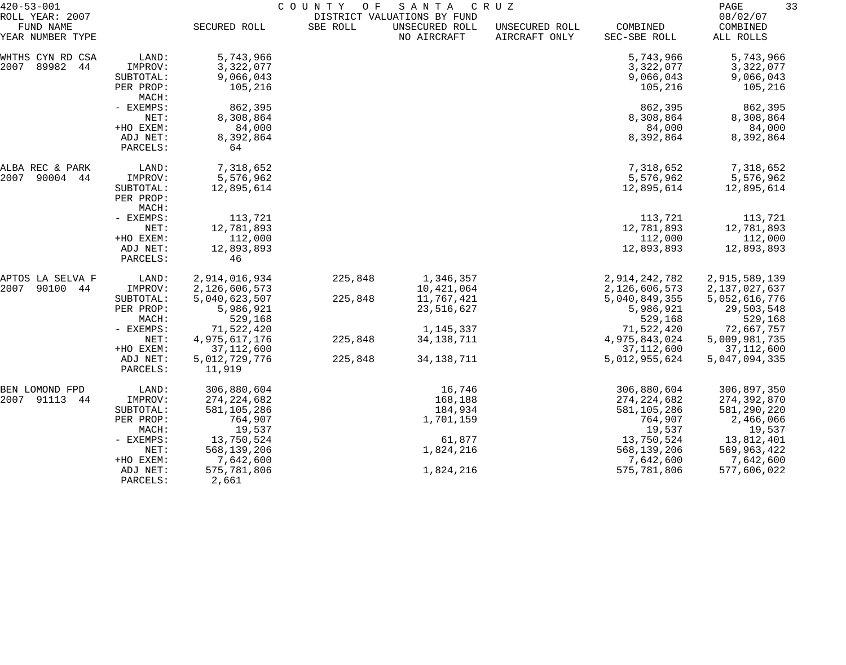| $420 - 53 - 001$<br>ROLL YEAR: 2007 |                        |                               | COUNTY<br>O F | SANTA<br>DISTRICT VALUATIONS BY FUND | C R U Z                         |                             | 33<br>PAGE<br>08/02/07      |
|-------------------------------------|------------------------|-------------------------------|---------------|--------------------------------------|---------------------------------|-----------------------------|-----------------------------|
| FUND NAME<br>YEAR NUMBER TYPE       |                        | SECURED ROLL                  | SBE ROLL      | UNSECURED ROLL<br>NO AIRCRAFT        | UNSECURED ROLL<br>AIRCRAFT ONLY | COMBINED<br>SEC-SBE ROLL    | COMBINED<br>ALL ROLLS       |
| WHTHS CYN RD CSA                    | LAND:                  | 5,743,966                     |               |                                      |                                 | 5,743,966                   | 5,743,966                   |
| 2007 89982 44                       | IMPROV:                | 3,322,077                     |               |                                      |                                 | 3,322,077                   | 3,322,077                   |
|                                     | SUBTOTAL:              | 9,066,043                     |               |                                      |                                 | 9,066,043                   | 9,066,043                   |
|                                     | PER PROP:<br>MACH:     | 105,216                       |               |                                      |                                 | 105,216                     | 105,216                     |
|                                     | - EXEMPS:              | 862,395                       |               |                                      |                                 | 862,395                     | 862,395                     |
|                                     | NET:                   | 8,308,864                     |               |                                      |                                 | 8,308,864                   | 8,308,864                   |
|                                     | +HO EXEM:              | 84,000                        |               |                                      |                                 | 84,000                      | 84,000                      |
|                                     | ADJ NET:<br>PARCELS:   | 8,392,864<br>64               |               |                                      |                                 | 8,392,864                   | 8,392,864                   |
| ALBA REC & PARK                     | LAND:                  | 7,318,652                     |               |                                      |                                 | 7,318,652                   | 7,318,652                   |
| 2007 90004 44                       | IMPROV:                | 5,576,962                     |               |                                      |                                 | 5,576,962                   | 5,576,962                   |
|                                     | SUBTOTAL:<br>PER PROP: | 12,895,614                    |               |                                      |                                 | 12,895,614                  | 12,895,614                  |
|                                     | MACH:                  |                               |               |                                      |                                 |                             |                             |
|                                     | - EXEMPS:              | 113,721                       |               |                                      |                                 | 113,721                     | 113,721                     |
|                                     | NET:                   | 12,781,893                    |               |                                      |                                 | 12,781,893                  | 12,781,893                  |
|                                     | +HO EXEM:              | 112,000                       |               |                                      |                                 | 112,000                     | 112,000                     |
|                                     | ADJ NET:               | 12,893,893                    |               |                                      |                                 | 12,893,893                  | 12,893,893                  |
|                                     | PARCELS:               | 46                            |               |                                      |                                 |                             |                             |
| APTOS LA SELVA F                    | LAND:                  | 2,914,016,934                 | 225,848       | 1,346,357                            |                                 | 2,914,242,782               | 2,915,589,139               |
| 2007<br>90100 44                    | IMPROV:                | 2,126,606,573                 |               | 10,421,064                           |                                 | 2,126,606,573               | 2,137,027,637               |
|                                     | SUBTOTAL:              | 5,040,623,507                 | 225,848       | 11,767,421                           |                                 | 5,040,849,355               | 5,052,616,776               |
|                                     | PER PROP:              | 5,986,921                     |               | 23,516,627                           |                                 | 5,986,921                   | 29,503,548                  |
|                                     | MACH:                  | 529,168                       |               |                                      |                                 | 529,168                     | 529,168                     |
|                                     | - EXEMPS:              | 71,522,420                    |               | 1,145,337                            |                                 | 71,522,420                  | 72,667,757                  |
|                                     | NET:                   | 4,975,617,176                 | 225,848       | 34, 138, 711                         |                                 | 4,975,843,024               | 5,009,981,735               |
|                                     | +HO EXEM:<br>ADJ NET:  | 37, 112, 600<br>5,012,729,776 | 225,848       | 34, 138, 711                         |                                 | 37,112,600<br>5,012,955,624 | 37,112,600<br>5,047,094,335 |
|                                     | PARCELS:               | 11,919                        |               |                                      |                                 |                             |                             |
| BEN LOMOND FPD                      | LAND:                  | 306,880,604                   |               | 16,746                               |                                 | 306,880,604                 | 306,897,350                 |
| 2007 91113 44                       | IMPROV:                | 274, 224, 682                 |               | 168,188                              |                                 | 274, 224, 682               | 274,392,870                 |
|                                     | SUBTOTAL:              | 581,105,286                   |               | 184,934                              |                                 | 581,105,286                 | 581,290,220                 |
|                                     | PER PROP:              | 764,907                       |               | 1,701,159                            |                                 | 764,907                     | 2,466,066                   |
|                                     | MACH:                  | 19,537                        |               |                                      |                                 | 19,537                      | 19,537                      |
|                                     | - EXEMPS:              | 13,750,524                    |               | 61,877                               |                                 | 13,750,524                  | 13,812,401                  |
|                                     | NET:                   | 568,139,206                   |               | 1,824,216                            |                                 | 568,139,206                 | 569,963,422                 |
|                                     | +HO EXEM:              | 7,642,600                     |               |                                      |                                 | 7,642,600                   | 7,642,600                   |
|                                     | ADJ NET:               | 575,781,806                   |               | 1,824,216                            |                                 | 575,781,806                 | 577,606,022                 |
|                                     | PARCELS:               | 2,661                         |               |                                      |                                 |                             |                             |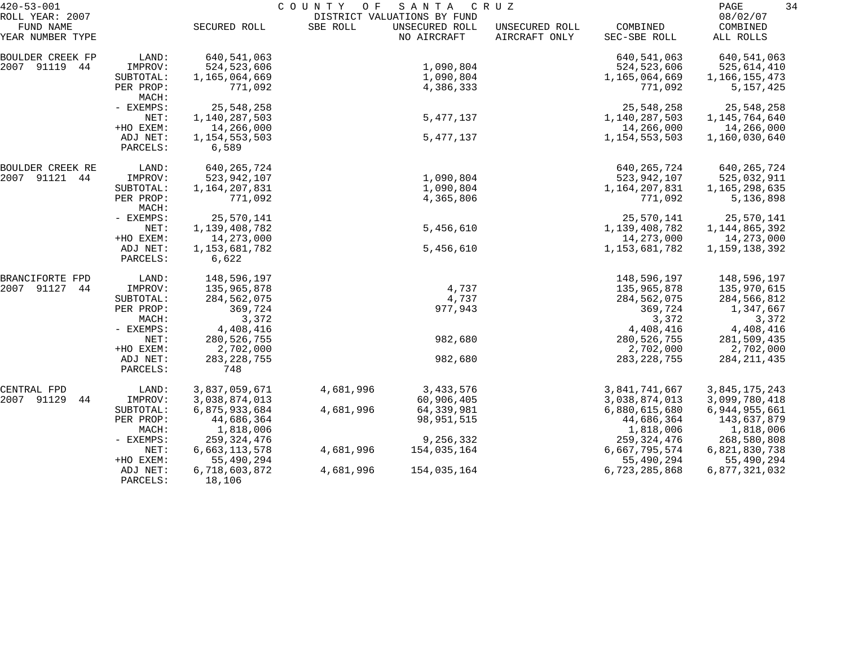| $420 - 53 - 001$              |                      | SANTA<br>COUNTY OF<br>C R U Z |           |                               |                                 |                          |                       |  |
|-------------------------------|----------------------|-------------------------------|-----------|-------------------------------|---------------------------------|--------------------------|-----------------------|--|
| ROLL YEAR: 2007               |                      |                               |           | DISTRICT VALUATIONS BY FUND   |                                 |                          | 08/02/07              |  |
| FUND NAME<br>YEAR NUMBER TYPE |                      | SECURED ROLL                  | SBE ROLL  | UNSECURED ROLL<br>NO AIRCRAFT | UNSECURED ROLL<br>AIRCRAFT ONLY | COMBINED<br>SEC-SBE ROLL | COMBINED<br>ALL ROLLS |  |
| <b>BOULDER CREEK FP</b>       | LAND:                | 640,541,063                   |           |                               |                                 | 640, 541, 063            | 640,541,063           |  |
| 2007 91119 44                 | IMPROV:              | 524, 523, 606                 |           | 1,090,804                     |                                 | 524, 523, 606            | 525,614,410           |  |
|                               | SUBTOTAL:            | 1,165,064,669                 |           | 1,090,804                     |                                 | 1,165,064,669            | 1,166,155,473         |  |
|                               | PER PROP:<br>MACH:   | 771,092                       |           | 4,386,333                     |                                 | 771,092                  | 5,157,425             |  |
|                               | - EXEMPS:            | 25, 548, 258                  |           |                               |                                 | 25, 548, 258             | 25,548,258            |  |
|                               | NET:                 | 1,140,287,503                 |           | 5, 477, 137                   |                                 | 1,140,287,503            | 1, 145, 764, 640      |  |
|                               | +HO EXEM:            | 14,266,000                    |           |                               |                                 | 14,266,000               | 14,266,000            |  |
|                               | ADJ NET:             | 1, 154, 553, 503              |           | 5, 477, 137                   |                                 | 1, 154, 553, 503         | 1,160,030,640         |  |
|                               | PARCELS:             | 6,589                         |           |                               |                                 |                          |                       |  |
| BOULDER CREEK RE              | LAND:                | 640, 265, 724                 |           |                               |                                 | 640, 265, 724            | 640,265,724           |  |
| 2007 91121 44                 | IMPROV:              | 523,942,107                   |           | 1,090,804                     |                                 | 523,942,107              | 525,032,911           |  |
|                               | SUBTOTAL:            | 1,164,207,831                 |           | 1,090,804                     |                                 | 1,164,207,831            | 1,165,298,635         |  |
|                               | PER PROP:<br>MACH:   | 771,092                       |           | 4,365,806                     |                                 | 771,092                  | 5,136,898             |  |
|                               | - EXEMPS:            | 25,570,141                    |           |                               |                                 | 25,570,141               | 25,570,141            |  |
|                               | NET:                 | 1,139,408,782                 |           | 5,456,610                     |                                 | 1,139,408,782            | 1, 144, 865, 392      |  |
|                               | +HO EXEM:            | 14,273,000                    |           |                               |                                 | 14,273,000               | 14,273,000            |  |
|                               | ADJ NET:<br>PARCELS: | 1, 153, 681, 782<br>6,622     |           | 5,456,610                     |                                 | 1, 153, 681, 782         | 1, 159, 138, 392      |  |
| BRANCIFORTE FPD               | LAND:                | 148,596,197                   |           |                               |                                 | 148,596,197              | 148,596,197           |  |
| 2007 91127<br>44              | IMPROV:              | 135,965,878                   |           | 4,737                         |                                 | 135,965,878              | 135,970,615           |  |
|                               | SUBTOTAL:            | 284,562,075                   |           | 4,737                         |                                 | 284,562,075              | 284,566,812           |  |
|                               | PER PROP:            | 369,724                       |           | 977,943                       |                                 | 369,724                  | 1,347,667             |  |
|                               | MACH:                | 3,372                         |           |                               |                                 | 3,372                    | 3,372                 |  |
|                               | - EXEMPS:            | 4,408,416                     |           |                               |                                 | 4,408,416                | 4,408,416             |  |
|                               | NET:                 | 280, 526, 755                 |           | 982,680                       |                                 | 280, 526, 755            | 281,509,435           |  |
|                               | +HO EXEM:            | 2,702,000                     |           |                               |                                 | 2,702,000                | 2,702,000             |  |
|                               | ADJ NET:             | 283, 228, 755                 |           | 982,680                       |                                 | 283, 228, 755            | 284, 211, 435         |  |
|                               | PARCELS:             | 748                           |           |                               |                                 |                          |                       |  |
| CENTRAL FPD                   | LAND:                | 3,837,059,671                 | 4,681,996 | 3,433,576                     |                                 | 3,841,741,667            | 3,845,175,243         |  |
| 2007 91129<br>44              | IMPROV:              | 3,038,874,013                 |           | 60,906,405                    |                                 | 3,038,874,013            | 3,099,780,418         |  |
|                               | SUBTOTAL:            | 6,875,933,684                 | 4,681,996 | 64,339,981                    |                                 | 6,880,615,680            | 6,944,955,661         |  |
|                               | PER PROP:            | 44,686,364                    |           | 98, 951, 515                  |                                 | 44,686,364               | 143,637,879           |  |
|                               | MACH:                | 1,818,006                     |           |                               |                                 | 1,818,006                | 1,818,006             |  |
|                               | $-$ EXEMPS:          | 259, 324, 476                 |           | 9,256,332                     |                                 | 259, 324, 476            | 268,580,808           |  |
|                               | NET:                 | 6,663,113,578                 | 4,681,996 | 154,035,164                   |                                 | 6,667,795,574            | 6,821,830,738         |  |
|                               | +HO EXEM:            | 55,490,294                    |           |                               |                                 | 55,490,294               | 55,490,294            |  |
|                               | ADJ NET:<br>PARCELS: | 6,718,603,872<br>18,106       | 4,681,996 | 154,035,164                   |                                 | 6,723,285,868            | 6,877,321,032         |  |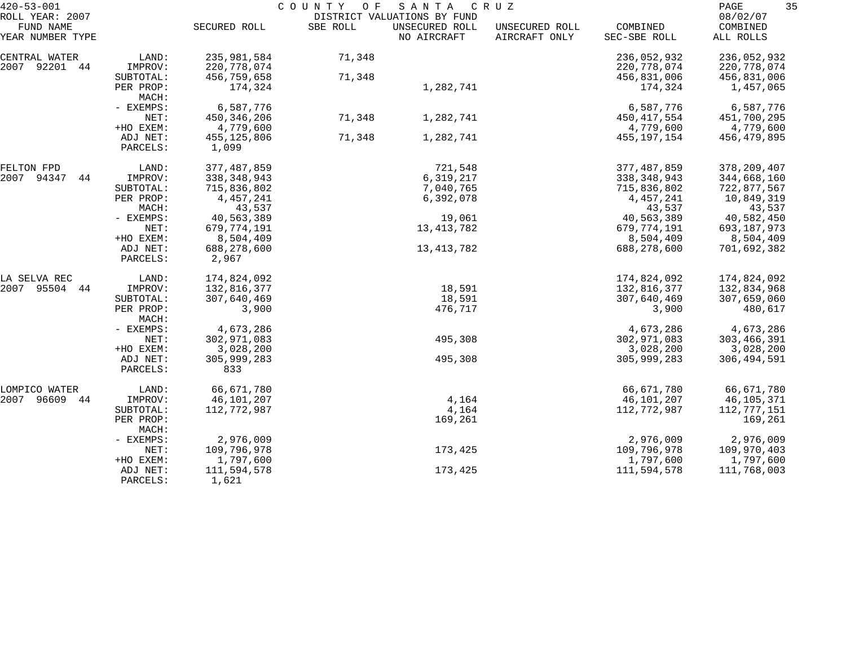| $420 - 53 - 001$                                 |                       | COUNTY OF<br>SANTA<br>C R U Z<br>DISTRICT VALUATIONS BY FUND |          |                               |                                 |                              |                                   |
|--------------------------------------------------|-----------------------|--------------------------------------------------------------|----------|-------------------------------|---------------------------------|------------------------------|-----------------------------------|
| ROLL YEAR: 2007<br>FUND NAME<br>YEAR NUMBER TYPE |                       | SECURED ROLL                                                 | SBE ROLL | UNSECURED ROLL<br>NO AIRCRAFT | UNSECURED ROLL<br>AIRCRAFT ONLY | COMBINED<br>SEC-SBE ROLL     | 08/02/07<br>COMBINED<br>ALL ROLLS |
| CENTRAL WATER<br>2007 92201 44                   | LAND:<br>IMPROV:      | 235,981,584<br>220, 778, 074                                 | 71,348   |                               |                                 | 236,052,932<br>220, 778, 074 | 236,052,932<br>220,778,074        |
|                                                  | SUBTOTAL:             | 456,759,658                                                  | 71,348   |                               |                                 | 456,831,006                  | 456,831,006                       |
|                                                  | PER PROP:<br>MACH:    | 174,324                                                      |          | 1,282,741                     |                                 | 174,324                      | 1,457,065                         |
|                                                  | - EXEMPS:             | 6,587,776                                                    |          |                               |                                 | 6,587,776                    | 6,587,776                         |
|                                                  | NET:                  | 450, 346, 206                                                | 71,348   | 1,282,741                     |                                 | 450, 417, 554                | 451,700,295                       |
|                                                  | +HO EXEM:             | 4,779,600                                                    |          |                               |                                 | 4,779,600                    | 4,779,600                         |
|                                                  | ADJ NET:<br>PARCELS:  | 455,125,806<br>1,099                                         | 71,348   | 1,282,741                     |                                 | 455,197,154                  | 456,479,895                       |
| FELTON FPD                                       | LAND:                 | 377,487,859                                                  |          | 721,548                       |                                 | 377,487,859                  | 378, 209, 407                     |
| 2007 94347<br>44                                 | IMPROV:               | 338, 348, 943                                                |          | 6,319,217                     |                                 | 338,348,943                  | 344,668,160                       |
|                                                  | SUBTOTAL:             | 715,836,802                                                  |          | 7,040,765                     |                                 | 715,836,802                  | 722,877,567                       |
|                                                  | PER PROP:             | 4,457,241                                                    |          | 6,392,078                     |                                 | 4,457,241                    | 10,849,319                        |
|                                                  | MACH:                 | 43,537                                                       |          |                               |                                 | 43,537                       | 43,537                            |
|                                                  | - EXEMPS:             | 40,563,389                                                   |          | 19,061                        |                                 | 40,563,389                   | 40,582,450                        |
|                                                  | NET:                  | 679,774,191                                                  |          | 13, 413, 782                  |                                 | 679,774,191                  | 693,187,973                       |
|                                                  | +HO EXEM:<br>ADJ NET: | 8,504,409                                                    |          |                               |                                 | 8,504,409<br>688,278,600     | 8,504,409                         |
|                                                  | PARCELS:              | 688,278,600<br>2,967                                         |          | 13, 413, 782                  |                                 |                              | 701,692,382                       |
| LA SELVA REC                                     | LAND:                 | 174,824,092                                                  |          |                               |                                 | 174,824,092                  | 174,824,092                       |
| 2007 95504 44                                    | IMPROV:               | 132,816,377                                                  |          | 18,591                        |                                 | 132,816,377                  | 132,834,968                       |
|                                                  | SUBTOTAL:             | 307,640,469                                                  |          | 18,591                        |                                 | 307,640,469                  | 307,659,060                       |
|                                                  | PER PROP:<br>MACH:    | 3,900                                                        |          | 476,717                       |                                 | 3,900                        | 480,617                           |
|                                                  | - EXEMPS:             | 4,673,286                                                    |          |                               |                                 | 4,673,286                    | 4,673,286                         |
|                                                  | NET:                  | 302,971,083                                                  |          | 495,308                       |                                 | 302,971,083                  | 303,466,391                       |
|                                                  | +HO EXEM:             | 3,028,200                                                    |          |                               |                                 | 3,028,200                    | 3,028,200                         |
|                                                  | ADJ NET:<br>PARCELS:  | 305,999,283<br>833                                           |          | 495,308                       |                                 | 305,999,283                  | 306, 494, 591                     |
| LOMPICO WATER                                    | LAND:                 | 66,671,780                                                   |          |                               |                                 | 66,671,780                   | 66,671,780                        |
| 2007 96609 44                                    | IMPROV:               | 46,101,207                                                   |          | 4,164                         |                                 | 46,101,207                   | 46,105,371                        |
|                                                  | SUBTOTAL:             | 112,772,987                                                  |          | 4,164                         |                                 | 112,772,987                  | 112,777,151                       |
|                                                  | PER PROP:<br>MACH:    |                                                              |          | 169,261                       |                                 |                              | 169,261                           |
|                                                  | - EXEMPS:             | 2,976,009                                                    |          |                               |                                 | 2,976,009                    | 2,976,009                         |
|                                                  | NET:                  | 109,796,978                                                  |          | 173,425                       |                                 | 109,796,978                  | 109,970,403                       |
|                                                  | +HO EXEM:             | 1,797,600                                                    |          |                               |                                 | 1,797,600                    | 1,797,600                         |
|                                                  | ADJ NET:<br>PARCELS:  | 111,594,578<br>1,621                                         |          | 173,425                       |                                 | 111,594,578                  | 111,768,003                       |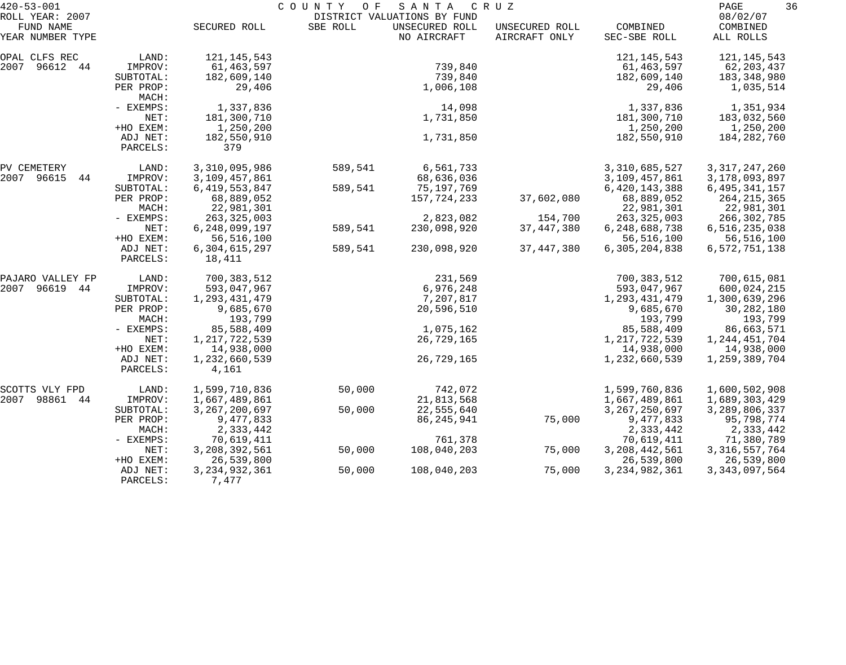| $420 - 53 - 001$             |                      | COUNTY<br>O F<br>SANTA<br>C R U Z |          |                                               |                |                  |                      |  |
|------------------------------|----------------------|-----------------------------------|----------|-----------------------------------------------|----------------|------------------|----------------------|--|
| ROLL YEAR: 2007<br>FUND NAME |                      | SECURED ROLL                      | SBE ROLL | DISTRICT VALUATIONS BY FUND<br>UNSECURED ROLL | UNSECURED ROLL | COMBINED         | 08/02/07<br>COMBINED |  |
| YEAR NUMBER TYPE             |                      |                                   |          | NO AIRCRAFT                                   | AIRCRAFT ONLY  | SEC-SBE ROLL     | ALL ROLLS            |  |
| OPAL CLFS REC                | LAND:                | 121, 145, 543                     |          |                                               |                | 121, 145, 543    | 121, 145, 543        |  |
| 2007<br>96612<br>44          | IMPROV:              | 61,463,597                        |          | 739,840                                       |                | 61, 463, 597     | 62, 203, 437         |  |
|                              | SUBTOTAL:            | 182,609,140                       |          | 739,840                                       |                | 182,609,140      | 183,348,980          |  |
|                              | PER PROP:<br>MACH:   | 29,406                            |          | 1,006,108                                     |                | 29,406           | 1,035,514            |  |
|                              | - EXEMPS:            | 1,337,836                         |          | 14,098                                        |                | 1,337,836        | 1,351,934            |  |
|                              | NET:                 | 181,300,710                       |          | 1,731,850                                     |                | 181,300,710      | 183,032,560          |  |
|                              | +HO EXEM:            | 1,250,200                         |          |                                               |                | 1,250,200        | 1,250,200            |  |
|                              | ADJ NET:<br>PARCELS: | 182,550,910<br>379                |          | 1,731,850                                     |                | 182,550,910      | 184,282,760          |  |
| PV CEMETERY                  | LAND:                | 3,310,095,986                     | 589,541  | 6,561,733                                     |                | 3,310,685,527    | 3, 317, 247, 260     |  |
| 2007<br>96615<br>44          | IMPROV:              | 3,109,457,861                     |          | 68,636,036                                    |                | 3,109,457,861    | 3,178,093,897        |  |
|                              | SUBTOTAL:            | 6, 419, 553, 847                  | 589,541  | 75,197,769                                    |                | 6,420,143,388    | 6, 495, 341, 157     |  |
|                              | PER PROP:            | 68,889,052                        |          | 157,724,233                                   | 37,602,080     | 68,889,052       | 264, 215, 365        |  |
|                              | MACH:                | 22,981,301                        |          |                                               |                | 22,981,301       | 22,981,301           |  |
|                              | - EXEMPS:            | 263, 325, 003                     |          | 2,823,082                                     | 154,700        | 263, 325, 003    | 266,302,785          |  |
|                              | NET:                 | 6, 248, 099, 197                  | 589,541  | 230,098,920                                   | 37, 447, 380   | 6,248,688,738    | 6,516,235,038        |  |
|                              | +HO EXEM:            | 56, 516, 100                      |          |                                               |                | 56,516,100       | 56,516,100           |  |
|                              | ADJ NET:<br>PARCELS: | 6,304,615,297<br>18,411           | 589,541  | 230,098,920                                   | 37, 447, 380   | 6,305,204,838    | 6,572,751,138        |  |
| PAJARO VALLEY FP             | LAND:                | 700,383,512                       |          | 231,569                                       |                | 700,383,512      | 700,615,081          |  |
| 96619<br>2007<br>44          | IMPROV:              | 593,047,967                       |          | 6,976,248                                     |                | 593,047,967      | 600,024,215          |  |
|                              | SUBTOTAL:            | 1, 293, 431, 479                  |          | 7,207,817                                     |                | 1,293,431,479    | 1,300,639,296        |  |
|                              | PER PROP:            | 9,685,670                         |          | 20,596,510                                    |                | 9,685,670        | 30,282,180           |  |
|                              | MACH:                | 193,799                           |          |                                               |                | 193,799          | 193,799              |  |
|                              | - EXEMPS:            | 85,588,409                        |          | 1,075,162                                     |                | 85,588,409       | 86,663,571           |  |
|                              | NET:                 | 1, 217, 722, 539                  |          | 26,729,165                                    |                | 1, 217, 722, 539 | 1, 244, 451, 704     |  |
|                              | +HO EXEM:            | 14,938,000                        |          |                                               |                | 14,938,000       | 14,938,000           |  |
|                              | ADJ NET:<br>PARCELS: | 1,232,660,539<br>4,161            |          | 26,729,165                                    |                | 1,232,660,539    | 1,259,389,704        |  |
| SCOTTS VLY FPD               | LAND:                | 1,599,710,836                     | 50,000   | 742,072                                       |                | 1,599,760,836    | 1,600,502,908        |  |
| 2007<br>98861<br>44          | IMPROV:              | 1,667,489,861                     |          | 21,813,568                                    |                | 1,667,489,861    | 1,689,303,429        |  |
|                              | SUBTOTAL:            | 3, 267, 200, 697                  | 50,000   | 22,555,640                                    |                | 3, 267, 250, 697 | 3, 289, 806, 337     |  |
|                              | PER PROP:            | 9,477,833                         |          | 86, 245, 941                                  | 75,000         | 9,477,833        | 95,798,774           |  |
|                              | MACH:                | 2,333,442                         |          |                                               |                | 2,333,442        | 2,333,442            |  |
|                              | - EXEMPS:            | 70,619,411                        |          | 761,378                                       |                | 70,619,411       | 71,380,789           |  |
|                              | NET:                 | 3, 208, 392, 561                  | 50,000   | 108,040,203                                   | 75,000         | 3, 208, 442, 561 | 3, 316, 557, 764     |  |
|                              | +HO EXEM:            | 26,539,800                        |          |                                               |                | 26,539,800       | 26,539,800           |  |
|                              | ADJ NET:<br>PARCELS: | 3, 234, 932, 361<br>7,477         | 50,000   | 108,040,203                                   | 75,000         | 3, 234, 982, 361 | 3, 343, 097, 564     |  |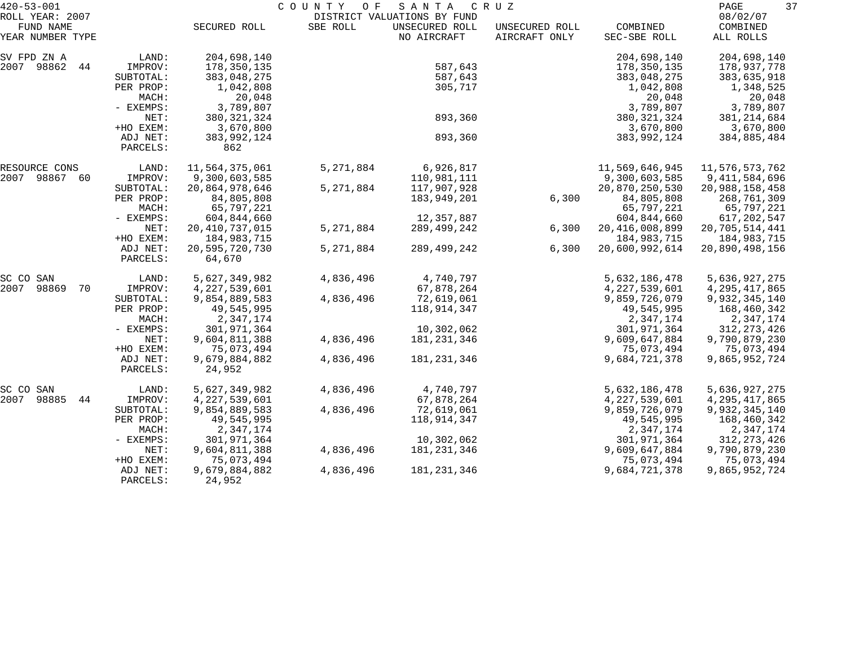| $420 - 53 - 001$             |                      |                         | COUNTY<br>O F | SANTA                                         | C R U Z        |                   | 37<br>PAGE           |
|------------------------------|----------------------|-------------------------|---------------|-----------------------------------------------|----------------|-------------------|----------------------|
| ROLL YEAR: 2007<br>FUND NAME |                      | SECURED ROLL            | SBE ROLL      | DISTRICT VALUATIONS BY FUND<br>UNSECURED ROLL | UNSECURED ROLL | COMBINED          | 08/02/07<br>COMBINED |
| YEAR NUMBER TYPE             |                      |                         |               | NO AIRCRAFT                                   | AIRCRAFT ONLY  | SEC-SBE ROLL      | ALL ROLLS            |
| SV FPD ZN A                  | LAND:                | 204,698,140             |               |                                               |                | 204,698,140       | 204,698,140          |
| 2007 98862<br>44             | IMPROV:              | 178,350,135             |               | 587,643                                       |                | 178,350,135       | 178,937,778          |
|                              | SUBTOTAL:            | 383,048,275             |               | 587,643                                       |                | 383,048,275       | 383,635,918          |
|                              | PER PROP:            | 1,042,808               |               | 305,717                                       |                | 1,042,808         | 1,348,525            |
|                              | MACH:                | 20,048                  |               |                                               |                | 20,048            | 20,048               |
|                              | - EXEMPS:            | 3,789,807               |               |                                               |                | 3,789,807         | 3,789,807            |
|                              | NET:                 | 380, 321, 324           |               | 893,360                                       |                | 380, 321, 324     | 381, 214, 684        |
|                              | +HO EXEM:            | 3,670,800               |               |                                               |                | 3,670,800         | 3,670,800            |
|                              | ADJ NET:<br>PARCELS: | 383,992,124<br>862      |               | 893,360                                       |                | 383,992,124       | 384,885,484          |
| RESOURCE CONS                | LAND:                | 11,564,375,061          | 5, 271, 884   | 6,926,817                                     |                | 11,569,646,945    | 11,576,573,762       |
| 2007<br>98867 60             | IMPROV:              | 9,300,603,585           |               | 110,981,111                                   |                | 9,300,603,585     | 9, 411, 584, 696     |
|                              | SUBTOTAL:            | 20,864,978,646          | 5, 271, 884   | 117,907,928                                   |                | 20,870,250,530    | 20,988,158,458       |
|                              | PER PROP:            | 84,805,808              |               | 183,949,201                                   | 6,300          | 84,805,808        | 268,761,309          |
|                              | MACH:                | 65,797,221              |               |                                               |                | 65,797,221        | 65,797,221           |
|                              | - EXEMPS:            | 604,844,660             |               | 12,357,887                                    |                | 604,844,660       | 617,202,547          |
|                              | NET:                 | 20, 410, 737, 015       | 5, 271, 884   | 289,499,242                                   | 6,300          | 20, 416, 008, 899 | 20,705,514,441       |
|                              | +HO EXEM:            | 184,983,715             |               |                                               |                | 184,983,715       | 184,983,715          |
|                              | ADJ NET:             | 20,595,720,730          | 5,271,884     | 289,499,242                                   | 6,300          | 20,600,992,614    | 20,890,498,156       |
|                              | PARCELS:             | 64,670                  |               |                                               |                |                   |                      |
| SC CO SAN                    | LAND:                | 5,627,349,982           | 4,836,496     | 4,740,797                                     |                | 5,632,186,478     | 5,636,927,275        |
| 2007<br>98869<br>70          | IMPROV:              | 4, 227, 539, 601        |               | 67,878,264                                    |                | 4,227,539,601     | 4, 295, 417, 865     |
|                              | SUBTOTAL:            | 9,854,889,583           | 4,836,496     | 72,619,061                                    |                | 9,859,726,079     | 9,932,345,140        |
|                              | PER PROP:            | 49,545,995              |               | 118,914,347                                   |                | 49,545,995        | 168,460,342          |
|                              | MACH:                | 2,347,174               |               |                                               |                | 2,347,174         | 2,347,174            |
|                              | - EXEMPS:            | 301,971,364             |               | 10,302,062                                    |                | 301,971,364       | 312, 273, 426        |
|                              | NET:                 | 9,604,811,388           | 4,836,496     | 181, 231, 346                                 |                | 9,609,647,884     | 9,790,879,230        |
|                              | +HO EXEM:            | 75,073,494              |               |                                               |                | 75,073,494        | 75,073,494           |
|                              | ADJ NET:<br>PARCELS: | 9,679,884,882<br>24,952 | 4,836,496     | 181, 231, 346                                 |                | 9,684,721,378     | 9,865,952,724        |
| SC CO<br>SAN                 | LAND:                | 5,627,349,982           | 4,836,496     | 4,740,797                                     |                | 5,632,186,478     | 5,636,927,275        |
| 98885<br>2007<br>44          | IMPROV:              | 4, 227, 539, 601        |               | 67,878,264                                    |                | 4, 227, 539, 601  | 4,295,417,865        |
|                              | SUBTOTAL:            | 9,854,889,583           | 4,836,496     | 72,619,061                                    |                | 9,859,726,079     | 9,932,345,140        |
|                              | PER PROP:            | 49,545,995              |               | 118,914,347                                   |                | 49,545,995        | 168,460,342          |
|                              | MACH:                | 2,347,174               |               |                                               |                | 2,347,174         | 2,347,174            |
|                              | - EXEMPS:            | 301,971,364             |               | 10,302,062                                    |                | 301,971,364       | 312, 273, 426        |
|                              | NET:                 | 9,604,811,388           | 4,836,496     | 181,231,346                                   |                | 9,609,647,884     | 9,790,879,230        |
|                              | +HO EXEM:            | 75,073,494              |               |                                               |                | 75,073,494        | 75,073,494           |
|                              | ADJ NET:             | 9,679,884,882           | 4,836,496     | 181, 231, 346                                 |                | 9,684,721,378     | 9,865,952,724        |
|                              | PARCELS:             | 24,952                  |               |                                               |                |                   |                      |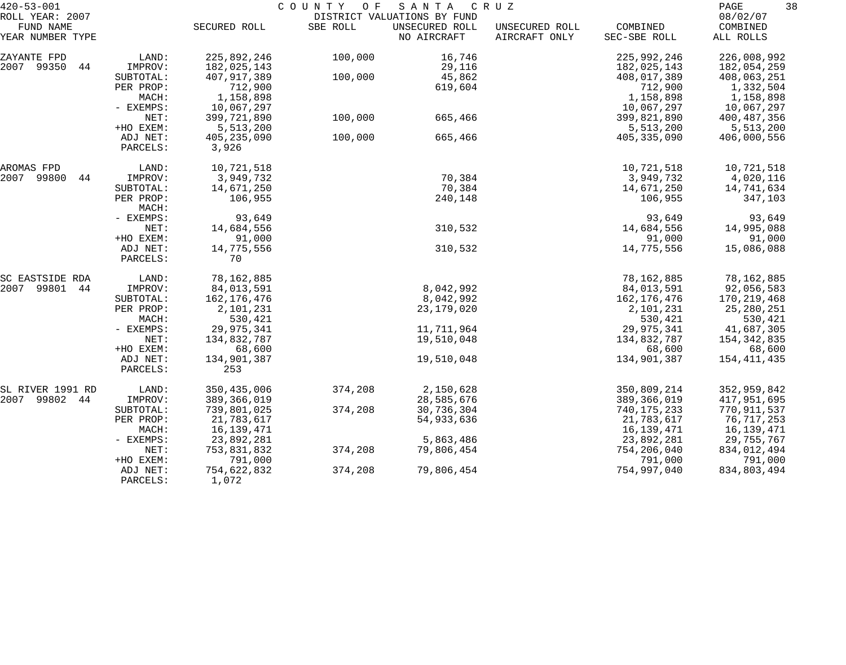| $420 - 53 - 001$    |           |               | COUNTY OF | SANTA                       | C R U Z        |               | 38<br>PAGE    |
|---------------------|-----------|---------------|-----------|-----------------------------|----------------|---------------|---------------|
| ROLL YEAR: 2007     |           |               |           | DISTRICT VALUATIONS BY FUND |                |               | 08/02/07      |
| FUND NAME           |           | SECURED ROLL  | SBE ROLL  | UNSECURED ROLL              | UNSECURED ROLL | COMBINED      | COMBINED      |
| YEAR NUMBER TYPE    |           |               |           | NO AIRCRAFT                 | AIRCRAFT ONLY  | SEC-SBE ROLL  | ALL ROLLS     |
| ZAYANTE FPD         | LAND:     | 225,892,246   | 100,000   | 16,746                      |                | 225,992,246   | 226,008,992   |
| 2007 99350<br>44    | IMPROV:   | 182,025,143   |           | 29,116                      |                | 182,025,143   | 182,054,259   |
|                     | SUBTOTAL: | 407,917,389   | 100,000   | 45,862                      |                | 408,017,389   | 408,063,251   |
|                     | PER PROP: | 712,900       |           | 619,604                     |                | 712,900       | 1,332,504     |
|                     | MACH:     | 1,158,898     |           |                             |                | 1,158,898     | 1,158,898     |
|                     | - EXEMPS: | 10,067,297    |           |                             |                | 10,067,297    | 10,067,297    |
|                     | NET:      | 399,721,890   | 100,000   | 665,466                     |                | 399,821,890   | 400,487,356   |
|                     | +HO EXEM: | 5,513,200     |           |                             |                | 5,513,200     | 5,513,200     |
|                     | ADJ NET:  | 405,235,090   | 100,000   | 665,466                     |                | 405, 335, 090 | 406,000,556   |
|                     | PARCELS:  | 3,926         |           |                             |                |               |               |
| AROMAS FPD          | LAND:     | 10,721,518    |           |                             |                | 10,721,518    | 10,721,518    |
| 2007<br>99800<br>44 | IMPROV:   | 3,949,732     |           | 70,384                      |                | 3,949,732     | 4,020,116     |
|                     | SUBTOTAL: | 14,671,250    |           | 70,384                      |                | 14,671,250    | 14,741,634    |
|                     | PER PROP: | 106,955       |           | 240,148                     |                | 106,955       | 347,103       |
|                     | MACH:     |               |           |                             |                |               |               |
|                     | - EXEMPS: | 93,649        |           |                             |                | 93,649        | 93,649        |
|                     | NET:      | 14,684,556    |           | 310,532                     |                | 14,684,556    | 14,995,088    |
|                     | +HO EXEM: | 91,000        |           |                             |                | 91,000        | 91,000        |
|                     | ADJ NET:  | 14,775,556    |           | 310,532                     |                | 14,775,556    | 15,086,088    |
|                     | PARCELS:  | 70            |           |                             |                |               |               |
| SC EASTSIDE RDA     | LAND:     | 78,162,885    |           |                             |                | 78,162,885    | 78,162,885    |
| 99801<br>2007<br>44 | IMPROV:   | 84,013,591    |           | 8,042,992                   |                | 84,013,591    | 92,056,583    |
|                     | SUBTOTAL: | 162, 176, 476 |           | 8,042,992                   |                | 162,176,476   | 170,219,468   |
|                     | PER PROP: | 2,101,231     |           | 23,179,020                  |                | 2,101,231     | 25,280,251    |
|                     | MACH:     | 530,421       |           |                             |                | 530,421       | 530,421       |
|                     | - EXEMPS: | 29,975,341    |           | 11,711,964                  |                | 29,975,341    | 41,687,305    |
|                     | NET:      | 134,832,787   |           | 19,510,048                  |                | 134,832,787   | 154, 342, 835 |
|                     | +HO EXEM: | 68,600        |           |                             |                | 68,600        | 68,600        |
|                     | ADJ NET:  | 134,901,387   |           | 19,510,048                  |                | 134,901,387   | 154,411,435   |
|                     | PARCELS:  | 253           |           |                             |                |               |               |
| SL RIVER 1991 RD    | LAND:     | 350, 435, 006 | 374,208   | 2,150,628                   |                | 350,809,214   | 352,959,842   |
| 2007 99802<br>44    | IMPROV:   | 389, 366, 019 |           | 28,585,676                  |                | 389,366,019   | 417,951,695   |
|                     | SUBTOTAL: | 739,801,025   | 374,208   | 30,736,304                  |                | 740, 175, 233 | 770,911,537   |
|                     | PER PROP: | 21,783,617    |           | 54,933,636                  |                | 21,783,617    | 76,717,253    |
|                     | MACH:     | 16, 139, 471  |           |                             |                | 16, 139, 471  | 16,139,471    |
|                     | - EXEMPS: | 23,892,281    |           | 5,863,486                   |                | 23,892,281    | 29,755,767    |
|                     | NET:      | 753,831,832   | 374,208   | 79,806,454                  |                | 754,206,040   | 834,012,494   |
|                     | +HO EXEM: | 791,000       |           |                             |                | 791,000       | 791,000       |
|                     | ADJ NET:  | 754,622,832   | 374,208   | 79,806,454                  |                | 754,997,040   | 834,803,494   |
|                     | PARCELS:  | 1,072         |           |                             |                |               |               |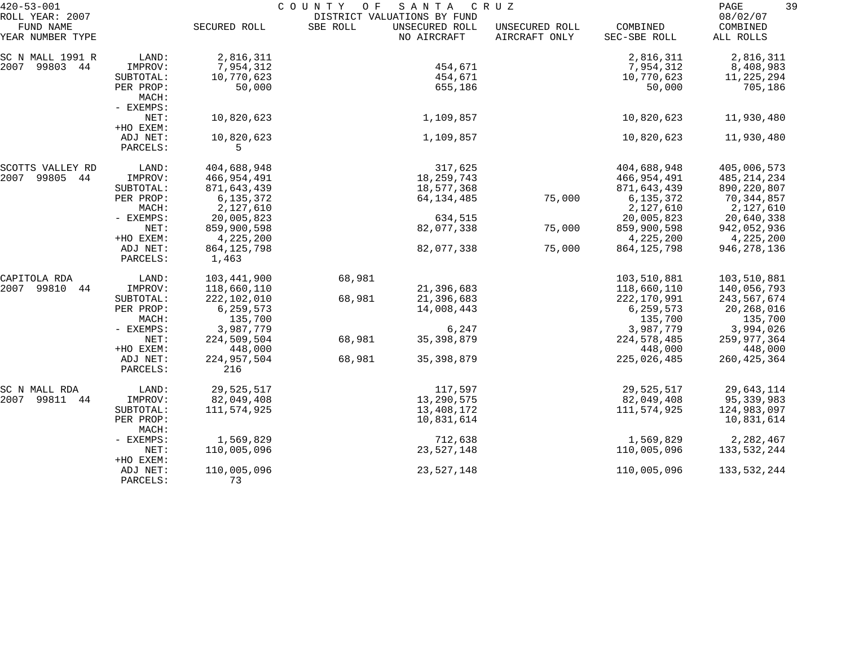| $420 - 53 - 001$                                 |                                 | COUNTY<br>O F<br>SANTA<br>CRUZ<br>DISTRICT VALUATIONS BY FUND |          |                               |                                 |                                      |                                      | 39 |
|--------------------------------------------------|---------------------------------|---------------------------------------------------------------|----------|-------------------------------|---------------------------------|--------------------------------------|--------------------------------------|----|
| ROLL YEAR: 2007<br>FUND NAME<br>YEAR NUMBER TYPE |                                 | SECURED ROLL                                                  | SBE ROLL | UNSECURED ROLL<br>NO AIRCRAFT | UNSECURED ROLL<br>AIRCRAFT ONLY | COMBINED<br>SEC-SBE ROLL             | 08/02/07<br>COMBINED<br>ALL ROLLS    |    |
| SC N MALL 1991 R<br>2007<br>99803 44             | LAND:<br>IMPROV:<br>SUBTOTAL:   | 2,816,311<br>7,954,312<br>10,770,623                          |          | 454,671<br>454,671            |                                 | 2,816,311<br>7,954,312<br>10,770,623 | 2,816,311<br>8,408,983<br>11,225,294 |    |
|                                                  | PER PROP:<br>MACH:<br>- EXEMPS: | 50,000                                                        |          | 655,186                       |                                 | 50,000                               | 705,186                              |    |
|                                                  | NET:<br>+HO EXEM:               | 10,820,623                                                    |          | 1,109,857                     |                                 | 10,820,623                           | 11,930,480                           |    |
|                                                  | ADJ NET:<br>PARCELS:            | 10,820,623<br>5                                               |          | 1,109,857                     |                                 | 10,820,623                           | 11,930,480                           |    |
| SCOTTS VALLEY RD                                 | LAND:                           | 404,688,948                                                   |          | 317,625                       |                                 | 404,688,948                          | 405,006,573                          |    |
| 2007<br>99805<br>44                              | IMPROV:                         | 466,954,491                                                   |          | 18, 259, 743                  |                                 | 466,954,491                          | 485,214,234                          |    |
|                                                  | SUBTOTAL:                       | 871,643,439                                                   |          | 18,577,368                    |                                 | 871,643,439                          | 890, 220, 807                        |    |
|                                                  | PER PROP:                       | 6,135,372                                                     |          | 64, 134, 485                  | 75,000                          | 6,135,372                            | 70,344,857                           |    |
|                                                  | MACH:                           | 2,127,610                                                     |          |                               |                                 | 2,127,610                            | 2,127,610                            |    |
|                                                  | - EXEMPS:                       | 20,005,823                                                    |          | 634,515                       |                                 | 20,005,823                           | 20,640,338                           |    |
|                                                  | NET:                            | 859,900,598                                                   |          | 82,077,338                    | 75,000                          | 859,900,598                          | 942,052,936                          |    |
|                                                  | +HO EXEM:                       | 4,225,200                                                     |          |                               |                                 | 4,225,200                            | 4,225,200                            |    |
|                                                  | ADJ NET:<br>PARCELS:            | 864, 125, 798<br>1,463                                        |          | 82,077,338                    | 75,000                          | 864, 125, 798                        | 946, 278, 136                        |    |
| CAPITOLA RDA                                     | LAND:                           | 103,441,900                                                   | 68,981   |                               |                                 | 103,510,881                          | 103,510,881                          |    |
| 2007 99810<br>44                                 | IMPROV:                         | 118,660,110                                                   |          | 21,396,683                    |                                 | 118,660,110                          | 140,056,793                          |    |
|                                                  | SUBTOTAL:                       | 222,102,010                                                   | 68,981   | 21,396,683                    |                                 | 222,170,991                          | 243,567,674                          |    |
|                                                  | PER PROP:                       | 6, 259, 573                                                   |          | 14,008,443                    |                                 | 6, 259, 573                          | 20,268,016                           |    |
|                                                  | MACH:                           | 135,700                                                       |          |                               |                                 | 135,700                              | 135,700                              |    |
|                                                  | - EXEMPS:                       | 3,987,779                                                     |          | 6,247                         |                                 | 3,987,779                            | 3,994,026                            |    |
|                                                  | NET:                            | 224,509,504                                                   | 68,981   | 35, 398, 879                  |                                 | 224,578,485                          | 259,977,364                          |    |
|                                                  | +HO EXEM:                       | 448,000                                                       |          |                               |                                 | 448,000                              | 448,000                              |    |
|                                                  | ADJ NET:<br>PARCELS:            | 224,957,504<br>216                                            | 68,981   | 35, 398, 879                  |                                 | 225,026,485                          | 260, 425, 364                        |    |
| SC N MALL RDA                                    | LAND:                           | 29,525,517                                                    |          | 117,597                       |                                 | 29,525,517                           | 29,643,114                           |    |
| 2007<br>99811<br>44                              | IMPROV:                         | 82,049,408                                                    |          | 13,290,575                    |                                 | 82,049,408                           | 95,339,983                           |    |
|                                                  | SUBTOTAL:                       | 111,574,925                                                   |          | 13,408,172                    |                                 | 111,574,925                          | 124,983,097                          |    |
|                                                  | PER PROP:<br>MACH:              |                                                               |          | 10,831,614                    |                                 |                                      | 10,831,614                           |    |
|                                                  | - EXEMPS:                       | 1,569,829                                                     |          | 712,638                       |                                 | 1,569,829                            | 2,282,467                            |    |
|                                                  | NET:<br>+HO EXEM:               | 110,005,096                                                   |          | 23,527,148                    |                                 | 110,005,096                          | 133,532,244                          |    |
|                                                  | ADJ NET:<br>PARCELS:            | 110,005,096<br>73                                             |          | 23,527,148                    |                                 | 110,005,096                          | 133,532,244                          |    |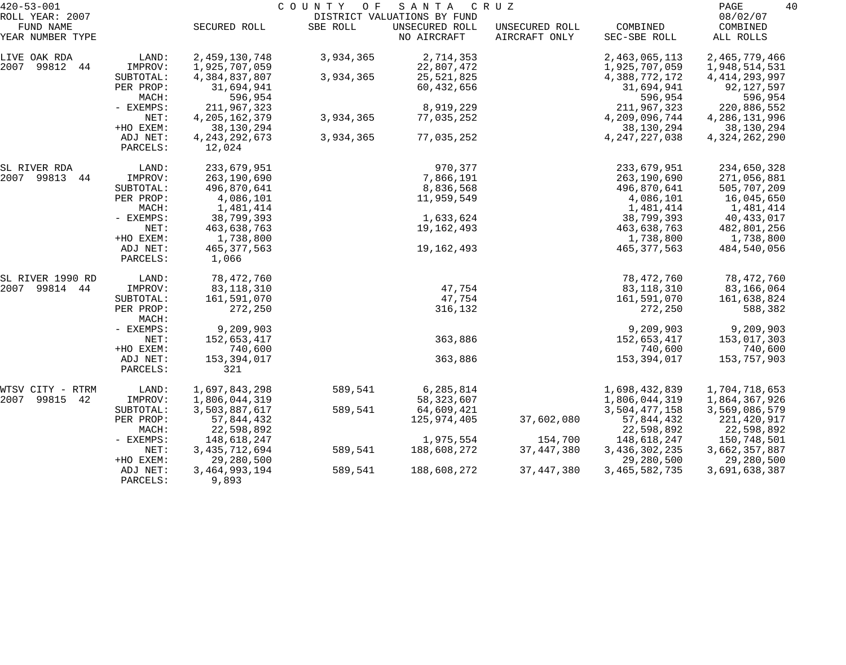| $420 - 53 - 001$             |                    |                  | COUNTY OF | SANTA                                         | CRUZ           |                  | 40<br>PAGE           |
|------------------------------|--------------------|------------------|-----------|-----------------------------------------------|----------------|------------------|----------------------|
| ROLL YEAR: 2007<br>FUND NAME |                    | SECURED ROLL     | SBE ROLL  | DISTRICT VALUATIONS BY FUND<br>UNSECURED ROLL | UNSECURED ROLL | COMBINED         | 08/02/07<br>COMBINED |
| YEAR NUMBER TYPE             |                    |                  |           | NO AIRCRAFT                                   | AIRCRAFT ONLY  | SEC-SBE ROLL     | ALL ROLLS            |
| LIVE OAK RDA                 | LAND:              | 2,459,130,748    | 3,934,365 | 2,714,353                                     |                | 2,463,065,113    | 2,465,779,466        |
| 2007 99812 44                | IMPROV:            | 1,925,707,059    |           | 22,807,472                                    |                | 1,925,707,059    | 1,948,514,531        |
|                              | SUBTOTAL:          | 4,384,837,807    | 3,934,365 | 25, 521, 825                                  |                | 4,388,772,172    | 4, 414, 293, 997     |
|                              | PER PROP:          | 31,694,941       |           | 60,432,656                                    |                | 31,694,941       | 92,127,597           |
|                              | MACH:              | 596,954          |           |                                               |                | 596,954          | 596,954              |
|                              | - EXEMPS:          | 211,967,323      |           | 8,919,229                                     |                | 211,967,323      | 220,886,552          |
|                              | NET:               | 4, 205, 162, 379 | 3,934,365 | 77,035,252                                    |                | 4,209,096,744    | 4, 286, 131, 996     |
|                              | +HO EXEM:          | 38,130,294       |           |                                               |                | 38,130,294       | 38,130,294           |
|                              | ADJ NET:           | 4, 243, 292, 673 | 3,934,365 | 77,035,252                                    |                | 4, 247, 227, 038 | 4,324,262,290        |
|                              | PARCELS:           | 12,024           |           |                                               |                |                  |                      |
| SL RIVER RDA                 | LAND:              | 233,679,951      |           | 970,377                                       |                | 233,679,951      | 234,650,328          |
| 2007 99813<br>44             | IMPROV:            | 263,190,690      |           | 7,866,191                                     |                | 263,190,690      | 271,056,881          |
|                              | SUBTOTAL:          | 496,870,641      |           | 8,836,568                                     |                | 496,870,641      | 505,707,209          |
|                              | PER PROP:          | 4,086,101        |           | 11,959,549                                    |                | 4,086,101        | 16,045,650           |
|                              | MACH:              | 1,481,414        |           |                                               |                | 1,481,414        | 1,481,414            |
|                              | - EXEMPS:          | 38,799,393       |           | 1,633,624                                     |                | 38,799,393       | 40,433,017           |
|                              | NET:               | 463,638,763      |           | 19,162,493                                    |                | 463,638,763      | 482,801,256          |
|                              | +HO EXEM:          | 1,738,800        |           |                                               |                | 1,738,800        | 1,738,800            |
|                              | ADJ NET:           | 465, 377, 563    |           | 19,162,493                                    |                | 465, 377, 563    | 484,540,056          |
|                              | PARCELS:           | 1,066            |           |                                               |                |                  |                      |
| SL RIVER 1990 RD             | LAND:              | 78,472,760       |           |                                               |                | 78,472,760       | 78,472,760           |
| 2007 99814 44                | IMPROV:            | 83, 118, 310     |           | 47,754                                        |                | 83,118,310       | 83,166,064           |
|                              | SUBTOTAL:          | 161,591,070      |           | 47,754                                        |                | 161,591,070      | 161,638,824          |
|                              | PER PROP:<br>MACH: | 272,250          |           | 316,132                                       |                | 272,250          | 588,382              |
|                              | - EXEMPS:          | 9,209,903        |           |                                               |                | 9,209,903        | 9,209,903            |
|                              | NET:               | 152,653,417      |           | 363,886                                       |                | 152,653,417      | 153,017,303          |
|                              | +HO EXEM:          | 740,600          |           |                                               |                | 740,600          | 740,600              |
|                              | ADJ NET:           | 153, 394, 017    |           | 363,886                                       |                | 153, 394, 017    | 153,757,903          |
|                              | PARCELS:           | 321              |           |                                               |                |                  |                      |
| WTSV CITY - RTRM             | LAND:              | 1,697,843,298    | 589,541   | 6,285,814                                     |                | 1,698,432,839    | 1,704,718,653        |
| 99815<br>42<br>2007          | IMPROV:            | 1,806,044,319    |           | 58, 323, 607                                  |                | 1,806,044,319    | 1,864,367,926        |
|                              | SUBTOTAL:          | 3,503,887,617    | 589,541   | 64,609,421                                    |                | 3,504,477,158    | 3,569,086,579        |
|                              | PER PROP:          | 57,844,432       |           | 125,974,405                                   | 37,602,080     | 57,844,432       | 221,420,917          |
|                              | MACH:              | 22,598,892       |           |                                               |                | 22,598,892       | 22,598,892           |
|                              | - EXEMPS:          | 148,618,247      |           | 1,975,554                                     | 154,700        | 148,618,247      | 150,748,501          |
|                              | NET:               | 3, 435, 712, 694 | 589,541   | 188,608,272                                   | 37, 447, 380   | 3,436,302,235    | 3,662,357,887        |
|                              | +HO EXEM:          | 29,280,500       |           |                                               |                | 29,280,500       | 29,280,500           |
|                              | ADJ NET:           | 3,464,993,194    | 589,541   | 188,608,272                                   | 37, 447, 380   | 3,465,582,735    | 3,691,638,387        |
|                              | PARCELS:           | 9,893            |           |                                               |                |                  |                      |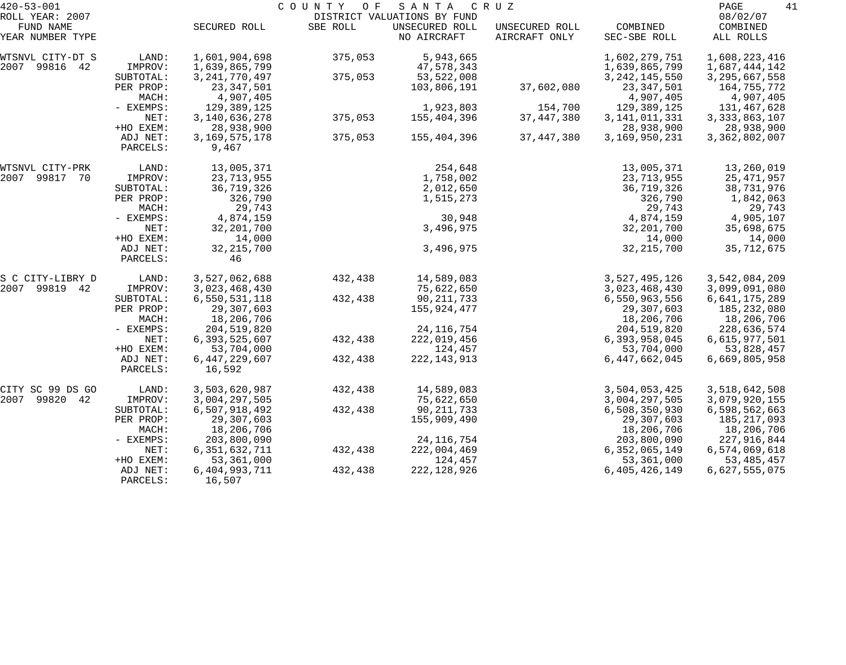| $420 - 53 - 001$    |           |                  | COUNTY OF | SANTA                       | C R U Z        |                  | 41<br>PAGE       |
|---------------------|-----------|------------------|-----------|-----------------------------|----------------|------------------|------------------|
| ROLL YEAR: 2007     |           |                  |           | DISTRICT VALUATIONS BY FUND |                |                  | 08/02/07         |
| FUND NAME           |           | SECURED ROLL     | SBE ROLL  | UNSECURED ROLL              | UNSECURED ROLL | COMBINED         | COMBINED         |
| YEAR NUMBER TYPE    |           |                  |           | NO AIRCRAFT                 | AIRCRAFT ONLY  | SEC-SBE ROLL     | ALL ROLLS        |
| WTSNVL CITY-DT S    | LAND:     | 1,601,904,698    | 375,053   | 5,943,665                   |                | 1,602,279,751    | 1,608,223,416    |
| 99816 42<br>2007    | IMPROV:   | 1,639,865,799    |           | 47,578,343                  |                | 1,639,865,799    | 1,687,444,142    |
|                     | SUBTOTAL: | 3, 241, 770, 497 | 375,053   | 53, 522, 008                |                | 3, 242, 145, 550 | 3, 295, 667, 558 |
|                     | PER PROP: | 23, 347, 501     |           | 103,806,191                 | 37,602,080     | 23, 347, 501     | 164,755,772      |
|                     | MACH:     | 4,907,405        |           |                             |                | 4,907,405        | 4,907,405        |
|                     | - EXEMPS: | 129, 389, 125    |           | 1,923,803                   | 154,700        | 129, 389, 125    | 131,467,628      |
|                     | NET:      | 3, 140, 636, 278 | 375,053   | 155,404,396                 | 37, 447, 380   | 3, 141, 011, 331 | 3, 333, 863, 107 |
|                     | +HO EXEM: | 28,938,900       |           |                             |                | 28,938,900       | 28,938,900       |
|                     | ADJ NET:  | 3, 169, 575, 178 | 375,053   | 155,404,396                 | 37, 447, 380   | 3,169,950,231    | 3,362,802,007    |
|                     | PARCELS:  | 9,467            |           |                             |                |                  |                  |
| WTSNVL CITY-PRK     | LAND:     | 13,005,371       |           | 254,648                     |                | 13,005,371       | 13,260,019       |
| 2007<br>99817<br>70 | IMPROV:   | 23,713,955       |           | 1,758,002                   |                | 23, 713, 955     | 25, 471, 957     |
|                     | SUBTOTAL: | 36,719,326       |           | 2,012,650                   |                | 36,719,326       | 38,731,976       |
|                     | PER PROP: | 326,790          |           | 1,515,273                   |                | 326,790          | 1,842,063        |
|                     | MACH:     | 29,743           |           |                             |                | 29,743           | 29,743           |
|                     | - EXEMPS: | 4,874,159        |           | 30,948                      |                | 4,874,159        | 4,905,107        |
|                     | NET:      | 32, 201, 700     |           | 3,496,975                   |                | 32, 201, 700     | 35,698,675       |
|                     | +HO EXEM: | 14,000           |           |                             |                | 14,000           | 14,000           |
|                     | ADJ NET:  | 32, 215, 700     |           | 3,496,975                   |                | 32, 215, 700     | 35, 712, 675     |
|                     | PARCELS:  | 46               |           |                             |                |                  |                  |
| S C CITY-LIBRY D    | LAND:     | 3,527,062,688    | 432,438   | 14,589,083                  |                | 3,527,495,126    | 3,542,084,209    |
| 2007<br>99819 42    | IMPROV:   | 3,023,468,430    |           | 75,622,650                  |                | 3,023,468,430    | 3,099,091,080    |
|                     | SUBTOTAL: | 6,550,531,118    | 432,438   | 90, 211, 733                |                | 6,550,963,556    | 6,641,175,289    |
|                     | PER PROP: | 29,307,603       |           | 155,924,477                 |                | 29,307,603       | 185,232,080      |
|                     | MACH:     | 18,206,706       |           |                             |                | 18,206,706       | 18,206,706       |
|                     | - EXEMPS: | 204,519,820      |           | 24, 116, 754                |                | 204,519,820      | 228,636,574      |
|                     | NET:      | 6,393,525,607    | 432,438   | 222,019,456                 |                | 6,393,958,045    | 6,615,977,501    |
|                     | +HO EXEM: | 53,704,000       |           | 124,457                     |                | 53,704,000       | 53,828,457       |
|                     | ADJ NET:  | 6, 447, 229, 607 | 432,438   | 222, 143, 913               |                | 6,447,662,045    | 6,669,805,958    |
|                     | PARCELS:  | 16,592           |           |                             |                |                  |                  |
| CITY SC 99 DS GO    | LAND:     | 3,503,620,987    | 432,438   | 14,589,083                  |                | 3,504,053,425    | 3,518,642,508    |
| 2007<br>99820<br>42 | IMPROV:   | 3,004,297,505    |           | 75,622,650                  |                | 3,004,297,505    | 3,079,920,155    |
|                     | SUBTOTAL: | 6,507,918,492    | 432,438   | 90, 211, 733                |                | 6,508,350,930    | 6,598,562,663    |
|                     | PER PROP: | 29,307,603       |           | 155,909,490                 |                | 29,307,603       | 185,217,093      |
|                     | MACH:     | 18,206,706       |           |                             |                | 18,206,706       | 18,206,706       |
|                     | - EXEMPS: | 203,800,090      |           | 24, 116, 754                |                | 203,800,090      | 227,916,844      |
|                     | NET:      | 6, 351, 632, 711 | 432,438   | 222,004,469                 |                | 6,352,065,149    | 6,574,069,618    |
|                     | +HO EXEM: | 53,361,000       |           | 124,457                     |                | 53,361,000       | 53, 485, 457     |
|                     | ADJ NET:  | 6,404,993,711    | 432,438   | 222, 128, 926               |                | 6,405,426,149    | 6,627,555,075    |
|                     | PARCELS:  | 16,507           |           |                             |                |                  |                  |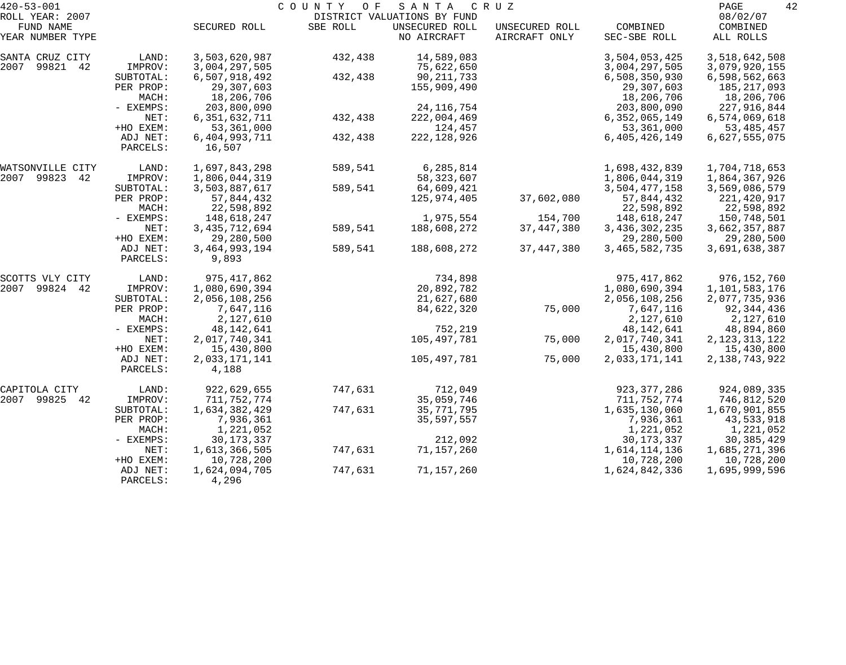| $420 - 53 - 001$              |                      |                           | COUNTY OF | SANTA                         | C R U Z                         |                          | 42<br>PAGE            |
|-------------------------------|----------------------|---------------------------|-----------|-------------------------------|---------------------------------|--------------------------|-----------------------|
| ROLL YEAR: 2007               |                      |                           |           | DISTRICT VALUATIONS BY FUND   |                                 |                          | 08/02/07              |
| FUND NAME<br>YEAR NUMBER TYPE |                      | SECURED ROLL              | SBE ROLL  | UNSECURED ROLL<br>NO AIRCRAFT | UNSECURED ROLL<br>AIRCRAFT ONLY | COMBINED<br>SEC-SBE ROLL | COMBINED<br>ALL ROLLS |
| SANTA CRUZ CITY               | LAND:                | 3,503,620,987             | 432,438   | 14,589,083                    |                                 | 3,504,053,425            | 3,518,642,508         |
| 2007<br>99821 42              | IMPROV:              | 3,004,297,505             |           | 75,622,650                    |                                 | 3,004,297,505            | 3,079,920,155         |
|                               | SUBTOTAL:            | 6,507,918,492             | 432,438   | 90, 211, 733                  |                                 | 6,508,350,930            | 6,598,562,663         |
|                               | PER PROP:            | 29,307,603                |           | 155,909,490                   |                                 | 29,307,603               | 185, 217, 093         |
|                               | MACH:                | 18,206,706                |           |                               |                                 | 18,206,706               | 18,206,706            |
|                               | - EXEMPS:            | 203,800,090               |           | 24, 116, 754                  |                                 | 203,800,090              | 227,916,844           |
|                               | NET:                 | 6, 351, 632, 711          | 432,438   | 222,004,469                   |                                 | 6,352,065,149            | 6,574,069,618         |
|                               | +HO EXEM:            | 53, 361, 000              |           | 124,457                       |                                 | 53, 361, 000             | 53, 485, 457          |
|                               | ADJ NET:<br>PARCELS: | 6,404,993,711<br>16,507   | 432,438   | 222, 128, 926                 |                                 | 6,405,426,149            | 6,627,555,075         |
| WATSONVILLE CITY              | LAND:                | 1,697,843,298             | 589,541   | 6,285,814                     |                                 | 1,698,432,839            | 1,704,718,653         |
| 2007 99823<br>42              | IMPROV:              | 1,806,044,319             |           | 58, 323, 607                  |                                 | 1,806,044,319            | 1,864,367,926         |
|                               | SUBTOTAL:            | 3,503,887,617             | 589,541   | 64,609,421                    |                                 | 3,504,477,158            | 3,569,086,579         |
|                               | PER PROP:            | 57,844,432                |           | 125,974,405                   | 37,602,080                      | 57,844,432               | 221,420,917           |
|                               | MACH:                | 22,598,892                |           |                               |                                 | 22,598,892               | 22,598,892            |
|                               | - EXEMPS:            | 148,618,247               |           | 1,975,554                     | 154,700                         | 148,618,247              | 150,748,501           |
|                               | NET:                 | 3, 435, 712, 694          | 589,541   | 188,608,272                   | 37, 447, 380                    | 3, 436, 302, 235         | 3,662,357,887         |
|                               | +HO EXEM:            | 29,280,500                |           |                               |                                 | 29,280,500               | 29,280,500            |
|                               | ADJ NET:<br>PARCELS: | 3, 464, 993, 194<br>9,893 | 589,541   | 188,608,272                   | 37, 447, 380                    | 3,465,582,735            | 3,691,638,387         |
| SCOTTS VLY CITY               | LAND:                | 975, 417, 862             |           | 734,898                       |                                 | 975, 417, 862            | 976, 152, 760         |
| 99824 42<br>2007              | IMPROV:              | 1,080,690,394             |           | 20,892,782                    |                                 | 1,080,690,394            | 1,101,583,176         |
|                               | SUBTOTAL:            | 2,056,108,256             |           | 21,627,680                    |                                 | 2,056,108,256            | 2,077,735,936         |
|                               | PER PROP:            | 7,647,116                 |           | 84,622,320                    | 75,000                          | 7,647,116                | 92,344,436            |
|                               | MACH:                | 2,127,610                 |           |                               |                                 | 2,127,610                | 2,127,610             |
|                               | - EXEMPS:            | 48, 142, 641              |           | 752,219                       |                                 | 48,142,641               | 48,894,860            |
|                               | NET:                 | 2,017,740,341             |           | 105,497,781                   | 75,000                          | 2,017,740,341            | 2, 123, 313, 122      |
|                               | +HO EXEM:            | 15,430,800                |           |                               |                                 | 15,430,800               | 15,430,800            |
|                               | ADJ NET:<br>PARCELS: | 2,033,171,141<br>4,188    |           | 105,497,781                   | 75,000                          | 2,033,171,141            | 2, 138, 743, 922      |
| CAPITOLA CITY                 | LAND:                | 922,629,655               | 747,631   | 712,049                       |                                 | 923, 377, 286            | 924,089,335           |
| 2007 99825<br>-42             | IMPROV:              | 711,752,774               |           | 35,059,746                    |                                 | 711,752,774              | 746,812,520           |
|                               | SUBTOTAL:            | 1,634,382,429             | 747,631   | 35, 771, 795                  |                                 | 1,635,130,060            | 1,670,901,855         |
|                               | PER PROP:            | 7,936,361                 |           | 35, 597, 557                  |                                 | 7,936,361                | 43,533,918            |
|                               | MACH:                | 1,221,052                 |           |                               |                                 | 1,221,052                | 1,221,052             |
|                               | - EXEMPS:            | 30, 173, 337              |           | 212,092                       |                                 | 30, 173, 337             | 30, 385, 429          |
|                               | NET:                 | 1,613,366,505             | 747,631   | 71,157,260                    |                                 | 1,614,114,136            | 1,685,271,396         |
|                               | +HO EXEM:            | 10,728,200                |           |                               |                                 | 10,728,200               | 10,728,200            |
|                               | ADJ NET:             | 1,624,094,705             | 747,631   | 71,157,260                    |                                 | 1,624,842,336            | 1,695,999,596         |
|                               | PARCELS:             | 4,296                     |           |                               |                                 |                          |                       |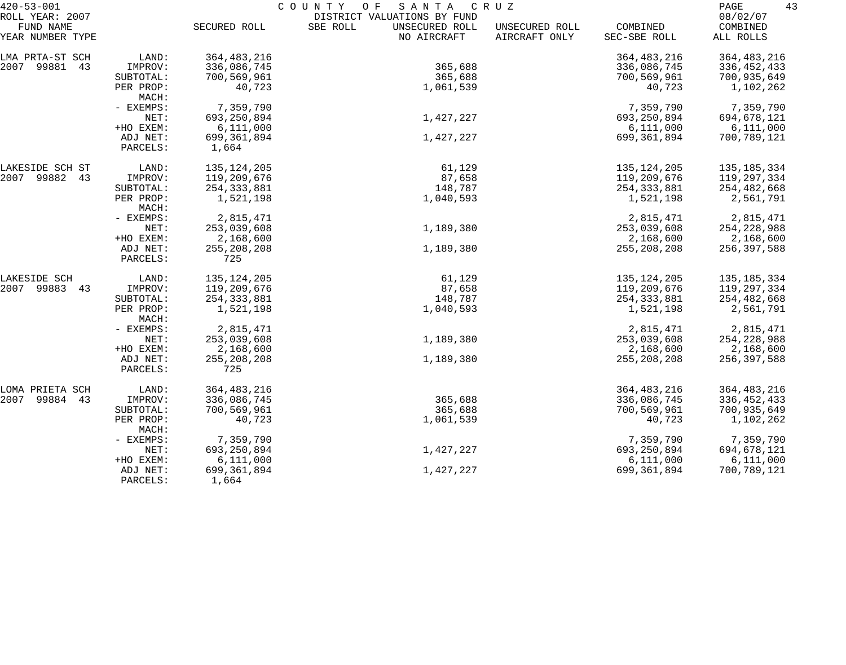| $420 - 53 - 001$              |                      | COUNTY OF<br>SANTA<br>C R U Z |                                           |                                 |                          |                       |  |
|-------------------------------|----------------------|-------------------------------|-------------------------------------------|---------------------------------|--------------------------|-----------------------|--|
| ROLL YEAR: 2007               |                      |                               | DISTRICT VALUATIONS BY FUND               |                                 |                          | 08/02/07              |  |
| FUND NAME<br>YEAR NUMBER TYPE |                      | SECURED ROLL                  | SBE ROLL<br>UNSECURED ROLL<br>NO AIRCRAFT | UNSECURED ROLL<br>AIRCRAFT ONLY | COMBINED<br>SEC-SBE ROLL | COMBINED<br>ALL ROLLS |  |
| LMA PRTA-ST SCH               | LAND:                | 364, 483, 216                 |                                           |                                 | 364, 483, 216            | 364, 483, 216         |  |
| 2007 99881 43                 | IMPROV:              | 336,086,745                   | 365,688                                   |                                 | 336,086,745              | 336, 452, 433         |  |
|                               | SUBTOTAL:            | 700,569,961                   | 365,688                                   |                                 | 700,569,961              | 700,935,649           |  |
|                               | PER PROP:<br>MACH:   | 40,723                        | 1,061,539                                 |                                 | 40,723                   | 1,102,262             |  |
|                               | - EXEMPS:            | 7,359,790                     |                                           |                                 | 7,359,790                | 7,359,790             |  |
|                               | NET:                 | 693, 250, 894                 | 1,427,227                                 |                                 | 693,250,894              | 694,678,121           |  |
|                               | +HO EXEM:            | 6,111,000                     |                                           |                                 | 6,111,000                | 6,111,000             |  |
|                               | ADJ NET:             | 699, 361, 894                 | 1,427,227                                 |                                 | 699,361,894              | 700,789,121           |  |
|                               | PARCELS:             | 1,664                         |                                           |                                 |                          |                       |  |
| LAKESIDE SCH ST               | LAND:                | 135, 124, 205                 | 61,129                                    |                                 | 135, 124, 205            | 135, 185, 334         |  |
| 2007 99882<br>43              | IMPROV:              | 119,209,676                   | 87,658                                    |                                 | 119,209,676              | 119,297,334           |  |
|                               | SUBTOTAL:            | 254, 333, 881                 | 148,787                                   |                                 | 254, 333, 881            | 254,482,668           |  |
|                               | PER PROP:<br>MACH:   | 1,521,198                     | 1,040,593                                 |                                 | 1,521,198                | 2,561,791             |  |
|                               | - EXEMPS:            | 2,815,471                     |                                           |                                 | 2,815,471                | 2,815,471             |  |
|                               | NET:                 | 253,039,608                   | 1,189,380                                 |                                 | 253,039,608              | 254, 228, 988         |  |
|                               | +HO EXEM:            | 2,168,600                     |                                           |                                 | 2,168,600                | 2,168,600             |  |
|                               | ADJ NET:<br>PARCELS: | 255, 208, 208<br>725          | 1,189,380                                 |                                 | 255, 208, 208            | 256,397,588           |  |
| LAKESIDE SCH                  | LAND:                | 135, 124, 205                 | 61,129                                    |                                 | 135, 124, 205            | 135, 185, 334         |  |
| 2007 99883<br>43              | IMPROV:              | 119,209,676                   | 87,658                                    |                                 | 119,209,676              | 119,297,334           |  |
|                               | SUBTOTAL:            | 254, 333, 881                 | 148,787                                   |                                 | 254, 333, 881            | 254,482,668           |  |
|                               | PER PROP:<br>MACH:   | 1,521,198                     | 1,040,593                                 |                                 | 1,521,198                | 2,561,791             |  |
|                               | - EXEMPS:            | 2,815,471                     |                                           |                                 | 2,815,471                | 2,815,471             |  |
|                               | NET:                 | 253,039,608                   | 1,189,380                                 |                                 | 253,039,608              | 254,228,988           |  |
|                               | +HO EXEM:            | 2,168,600                     |                                           |                                 | 2,168,600                | 2,168,600             |  |
|                               | ADJ NET:             | 255, 208, 208                 | 1,189,380                                 |                                 | 255, 208, 208            | 256,397,588           |  |
|                               | PARCELS:             | 725                           |                                           |                                 |                          |                       |  |
| LOMA PRIETA SCH               | LAND:                | 364, 483, 216                 |                                           |                                 | 364, 483, 216            | 364, 483, 216         |  |
| 2007<br>99884<br>43           | IMPROV:              | 336,086,745                   | 365,688                                   |                                 | 336,086,745              | 336, 452, 433         |  |
|                               | SUBTOTAL:            | 700,569,961                   | 365,688                                   |                                 | 700,569,961              | 700,935,649           |  |
|                               | PER PROP:<br>MACH:   | 40,723                        | 1,061,539                                 |                                 | 40,723                   | 1,102,262             |  |
|                               | - EXEMPS:            | 7,359,790                     |                                           |                                 | 7,359,790                | 7,359,790             |  |
|                               | NET:                 | 693, 250, 894                 | 1,427,227                                 |                                 | 693,250,894              | 694,678,121           |  |
|                               | +HO EXEM:            | 6,111,000                     |                                           |                                 | 6,111,000                | 6,111,000             |  |
|                               | ADJ NET:<br>PARCELS: | 699,361,894<br>1,664          | 1,427,227                                 |                                 | 699,361,894              | 700,789,121           |  |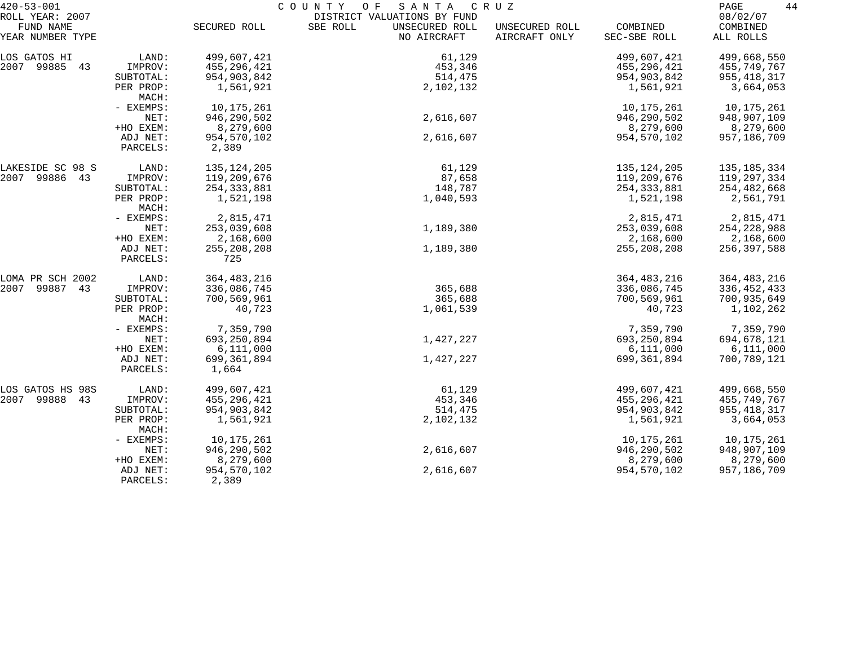| $420 - 53 - 001$                                 |                      | COUNTY<br>O F<br>SANTA<br>C R U Z |                                                                          |                                 |                          |                                   |
|--------------------------------------------------|----------------------|-----------------------------------|--------------------------------------------------------------------------|---------------------------------|--------------------------|-----------------------------------|
| ROLL YEAR: 2007<br>FUND NAME<br>YEAR NUMBER TYPE |                      | SECURED ROLL                      | DISTRICT VALUATIONS BY FUND<br>SBE ROLL<br>UNSECURED ROLL<br>NO AIRCRAFT | UNSECURED ROLL<br>AIRCRAFT ONLY | COMBINED<br>SEC-SBE ROLL | 08/02/07<br>COMBINED<br>ALL ROLLS |
| LOS GATOS HI                                     | LAND:                | 499,607,421                       | 61,129                                                                   |                                 | 499,607,421              | 499,668,550                       |
| 2007 99885 43                                    | IMPROV:              | 455,296,421                       | 453,346                                                                  |                                 | 455,296,421              | 455,749,767                       |
|                                                  | SUBTOTAL:            | 954,903,842                       | 514,475                                                                  |                                 | 954,903,842              | 955,418,317                       |
|                                                  | PER PROP:<br>MACH:   | 1,561,921                         | 2,102,132                                                                |                                 | 1,561,921                | 3,664,053                         |
|                                                  | - EXEMPS:            | 10,175,261                        |                                                                          |                                 | 10,175,261               | 10,175,261                        |
|                                                  | NET:                 | 946,290,502                       | 2,616,607                                                                |                                 | 946,290,502              | 948,907,109                       |
|                                                  | +HO EXEM:            | 8,279,600                         |                                                                          |                                 | 8,279,600                | 8,279,600                         |
|                                                  | ADJ NET:             | 954,570,102                       | 2,616,607                                                                |                                 | 954,570,102              | 957,186,709                       |
|                                                  | PARCELS:             | 2,389                             |                                                                          |                                 |                          |                                   |
| LAKESIDE SC 98 S                                 | LAND:                | 135, 124, 205                     | 61,129                                                                   |                                 | 135,124,205              | 135, 185, 334                     |
| 2007 99886 43                                    | IMPROV:              | 119,209,676                       | 87,658                                                                   |                                 | 119,209,676              | 119,297,334                       |
|                                                  | SUBTOTAL:            | 254, 333, 881                     | 148,787                                                                  |                                 | 254, 333, 881            | 254,482,668                       |
|                                                  | PER PROP:<br>MACH:   | 1,521,198                         | 1,040,593                                                                |                                 | 1,521,198                | 2,561,791                         |
|                                                  | - EXEMPS:            | 2,815,471                         |                                                                          |                                 | 2,815,471                | 2,815,471                         |
|                                                  | NET:                 | 253,039,608                       | 1,189,380                                                                |                                 | 253,039,608              | 254,228,988                       |
|                                                  | +HO EXEM:            | 2,168,600                         |                                                                          |                                 | 2,168,600                | 2,168,600                         |
|                                                  | ADJ NET:<br>PARCELS: | 255, 208, 208<br>725              | 1,189,380                                                                |                                 | 255, 208, 208            | 256,397,588                       |
| LOMA PR SCH 2002                                 | LAND:                | 364, 483, 216                     |                                                                          |                                 | 364,483,216              | 364, 483, 216                     |
| 2007<br>99887 43                                 | IMPROV:              | 336,086,745                       | 365,688                                                                  |                                 | 336,086,745              | 336, 452, 433                     |
|                                                  | SUBTOTAL:            | 700,569,961                       | 365,688                                                                  |                                 | 700,569,961              | 700,935,649                       |
|                                                  | PER PROP:<br>MACH:   | 40,723                            | 1,061,539                                                                |                                 | 40,723                   | 1,102,262                         |
|                                                  | - EXEMPS:            | 7,359,790                         |                                                                          |                                 | 7,359,790                | 7,359,790                         |
|                                                  | NET:                 | 693, 250, 894                     | 1,427,227                                                                |                                 | 693,250,894              | 694,678,121                       |
|                                                  | +HO EXEM:            | 6,111,000                         |                                                                          |                                 | 6,111,000                | 6,111,000                         |
|                                                  | ADJ NET:             | 699,361,894                       | 1,427,227                                                                |                                 | 699,361,894              | 700,789,121                       |
|                                                  | PARCELS:             | 1,664                             |                                                                          |                                 |                          |                                   |
| LOS GATOS HS 98S                                 | LAND:                | 499,607,421                       | 61,129                                                                   |                                 | 499,607,421              | 499,668,550                       |
| 2007 99888 43                                    | IMPROV:              | 455,296,421                       | 453,346                                                                  |                                 | 455,296,421              | 455,749,767                       |
|                                                  | SUBTOTAL:            | 954,903,842                       | 514,475                                                                  |                                 | 954,903,842              | 955, 418, 317                     |
|                                                  | PER PROP:<br>MACH:   | 1,561,921                         | 2,102,132                                                                |                                 | 1,561,921                | 3,664,053                         |
|                                                  | - EXEMPS:            | 10,175,261                        |                                                                          |                                 | 10,175,261               | 10,175,261                        |
|                                                  | NET:                 | 946,290,502                       | 2,616,607                                                                |                                 | 946,290,502              | 948,907,109                       |
|                                                  | +HO EXEM:            | 8,279,600                         |                                                                          |                                 | 8,279,600                | 8,279,600                         |
|                                                  | ADJ NET:<br>PARCELS: | 954,570,102<br>2,389              | 2,616,607                                                                |                                 | 954,570,102              | 957,186,709                       |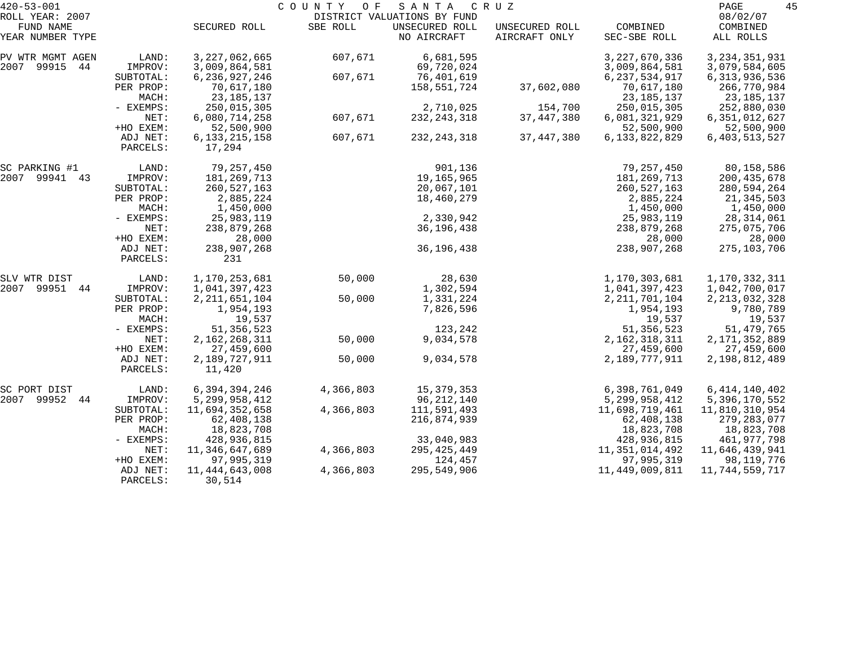| $420 - 53 - 001$<br>ROLL YEAR: 2007 |                      |                             | COUNTY<br>O F | SANTA<br>DISTRICT VALUATIONS BY FUND | C R U Z                         |                          | 45<br>PAGE<br>08/02/07 |
|-------------------------------------|----------------------|-----------------------------|---------------|--------------------------------------|---------------------------------|--------------------------|------------------------|
| FUND NAME<br>YEAR NUMBER TYPE       |                      | SECURED ROLL                | SBE ROLL      | UNSECURED ROLL<br>NO AIRCRAFT        | UNSECURED ROLL<br>AIRCRAFT ONLY | COMBINED<br>SEC-SBE ROLL | COMBINED<br>ALL ROLLS  |
| PV WTR MGMT AGEN                    | LAND:                | 3, 227, 062, 665            | 607,671       | 6,681,595                            |                                 | 3, 227, 670, 336         | 3, 234, 351, 931       |
| 99915<br>2007<br>44                 | IMPROV:              | 3,009,864,581               |               | 69,720,024                           |                                 | 3,009,864,581            | 3,079,584,605          |
|                                     | SUBTOTAL:            | 6, 236, 927, 246            | 607,671       | 76,401,619                           |                                 | 6, 237, 534, 917         | 6, 313, 936, 536       |
|                                     | PER PROP:            | 70,617,180                  |               | 158,551,724                          | 37,602,080                      | 70,617,180               | 266,770,984            |
|                                     | MACH:                | 23, 185, 137                |               |                                      |                                 | 23, 185, 137             | 23,185,137             |
|                                     | - EXEMPS:            | 250,015,305                 |               | 2,710,025                            | 154,700                         | 250,015,305              | 252,880,030            |
|                                     | NET:                 | 6,080,714,258               | 607,671       | 232, 243, 318                        | 37, 447, 380                    | 6,081,321,929            | 6,351,012,627          |
|                                     | +HO EXEM:            | 52,500,900                  |               |                                      |                                 | 52,500,900               | 52,500,900             |
|                                     | ADJ NET:<br>PARCELS: | 6, 133, 215, 158<br>17,294  | 607,671       | 232, 243, 318                        | 37, 447, 380                    | 6,133,822,829            | 6, 403, 513, 527       |
| SC PARKING #1                       | LAND:                | 79,257,450                  |               | 901,136                              |                                 | 79,257,450               | 80,158,586             |
| 2007 99941 43                       | IMPROV:              | 181, 269, 713               |               | 19,165,965                           |                                 | 181,269,713              | 200, 435, 678          |
|                                     | SUBTOTAL:            | 260,527,163                 |               | 20,067,101                           |                                 | 260,527,163              | 280,594,264            |
|                                     | PER PROP:            | 2,885,224                   |               | 18,460,279                           |                                 | 2,885,224                | 21,345,503             |
|                                     | MACH:                | 1,450,000                   |               |                                      |                                 | 1,450,000                | 1,450,000              |
|                                     | - EXEMPS:            | 25,983,119                  |               | 2,330,942                            |                                 | 25,983,119               | 28,314,061             |
|                                     | NET:                 | 238,879,268                 |               | 36,196,438                           |                                 | 238,879,268              | 275,075,706            |
|                                     | +HO EXEM:            | 28,000                      |               |                                      |                                 | 28,000                   | 28,000                 |
|                                     | ADJ NET:<br>PARCELS: | 238,907,268<br>231          |               | 36, 196, 438                         |                                 | 238,907,268              | 275,103,706            |
| SLV WTR DIST                        | LAND:                | 1,170,253,681               | 50,000        | 28,630                               |                                 | 1,170,303,681            | 1,170,332,311          |
| 2007<br>99951<br>44                 | IMPROV:              | 1,041,397,423               |               | 1,302,594                            |                                 | 1,041,397,423            | 1,042,700,017          |
|                                     | SUBTOTAL:            | 2, 211, 651, 104            | 50,000        | 1,331,224                            |                                 | 2, 211, 701, 104         | 2, 213, 032, 328       |
|                                     | PER PROP:            | 1,954,193                   |               | 7,826,596                            |                                 | 1,954,193                | 9,780,789              |
|                                     | MACH:                | 19,537                      |               |                                      |                                 | 19,537                   | 19,537                 |
|                                     | - EXEMPS:            | 51, 356, 523                |               | 123,242                              |                                 | 51, 356, 523             | 51, 479, 765           |
|                                     | NET:                 | 2,162,268,311               | 50,000        | 9,034,578                            |                                 | 2, 162, 318, 311         | 2, 171, 352, 889       |
|                                     | +HO EXEM:            | 27,459,600                  |               |                                      |                                 | 27,459,600               | 27,459,600             |
|                                     | ADJ NET:<br>PARCELS: | 2,189,727,911<br>11,420     | 50,000        | 9,034,578                            |                                 | 2,189,777,911            | 2,198,812,489          |
| SC PORT DIST                        | LAND:                | 6,394,394,246               | 4,366,803     | 15, 379, 353                         |                                 | 6,398,761,049            | 6, 414, 140, 402       |
| 2007 99952 44                       | IMPROV:              | 5, 299, 958, 412            |               | 96,212,140                           |                                 | 5, 299, 958, 412         | 5,396,170,552          |
|                                     | SUBTOTAL:            | 11,694,352,658              | 4,366,803     | 111,591,493                          |                                 | 11,698,719,461           | 11,810,310,954         |
|                                     | PER PROP:            | 62,408,138                  |               | 216,874,939                          |                                 | 62,408,138               | 279,283,077            |
|                                     | MACH:                | 18,823,708                  |               |                                      |                                 | 18,823,708               | 18,823,708             |
|                                     | - EXEMPS:            | 428,936,815                 |               | 33,040,983                           |                                 | 428,936,815              | 461,977,798            |
|                                     | NET:                 | 11,346,647,689              | 4,366,803     | 295,425,449                          |                                 | 11,351,014,492           | 11,646,439,941         |
|                                     | +HO EXEM:            | 97,995,319                  |               | 124,457                              |                                 | 97,995,319               | 98,119,776             |
|                                     | ADJ NET:<br>PARCELS: | 11, 444, 643, 008<br>30,514 | 4,366,803     | 295,549,906                          |                                 | 11,449,009,811           | 11,744,559,717         |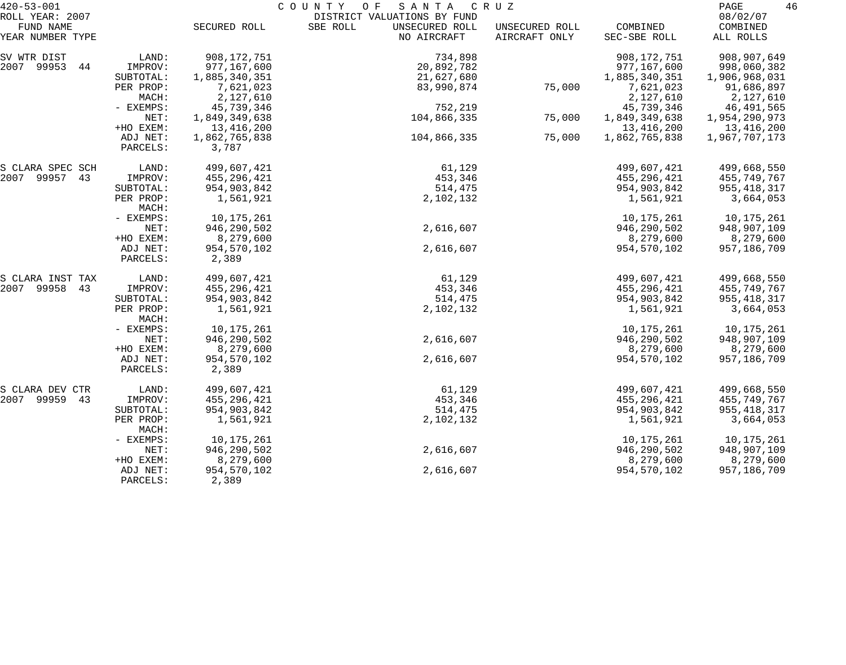| $420 - 53 - 001$<br>ROLL YEAR: 2007 |                      | 46<br>PAGE<br>08/02/07 |                                           |                                 |                          |                       |
|-------------------------------------|----------------------|------------------------|-------------------------------------------|---------------------------------|--------------------------|-----------------------|
| FUND NAME<br>YEAR NUMBER TYPE       |                      | SECURED ROLL           | SBE ROLL<br>UNSECURED ROLL<br>NO AIRCRAFT | UNSECURED ROLL<br>AIRCRAFT ONLY | COMBINED<br>SEC-SBE ROLL | COMBINED<br>ALL ROLLS |
| SV WTR DIST                         | LAND:                | 908,172,751            | 734,898                                   |                                 | 908, 172, 751            | 908,907,649           |
| 2007 99953<br>44                    | IMPROV:              | 977,167,600            | 20,892,782                                |                                 | 977,167,600              | 998,060,382           |
|                                     | SUBTOTAL:            | 1,885,340,351          | 21,627,680                                |                                 | 1,885,340,351            | 1,906,968,031         |
|                                     | PER PROP:            | 7,621,023              | 83,990,874                                | 75,000                          | 7,621,023                | 91,686,897            |
|                                     | MACH:                | 2,127,610              |                                           |                                 | 2,127,610                | 2,127,610             |
|                                     | - EXEMPS:            | 45,739,346             | 752,219                                   |                                 | 45,739,346               | 46,491,565            |
|                                     | NET:                 | 1,849,349,638          | 104,866,335                               | 75,000                          | 1,849,349,638            | 1,954,290,973         |
|                                     | +HO EXEM:            | 13,416,200             |                                           |                                 | 13,416,200               | 13,416,200            |
|                                     | ADJ NET:<br>PARCELS: | 1,862,765,838<br>3,787 | 104,866,335                               | 75,000                          | 1,862,765,838            | 1,967,707,173         |
| S CLARA SPEC SCH                    | LAND:                | 499,607,421            | 61,129                                    |                                 | 499,607,421              | 499,668,550           |
| 2007 99957 43                       | IMPROV:              | 455,296,421            | 453,346                                   |                                 | 455,296,421              | 455,749,767           |
|                                     | SUBTOTAL:            | 954,903,842            | 514,475                                   |                                 | 954,903,842              | 955,418,317           |
|                                     | PER PROP:<br>MACH:   | 1,561,921              | 2,102,132                                 |                                 | 1,561,921                | 3,664,053             |
|                                     | - EXEMPS:            | 10,175,261             |                                           |                                 | 10,175,261               | 10,175,261            |
|                                     | NET:                 | 946, 290, 502          | 2,616,607                                 |                                 | 946, 290, 502            | 948,907,109           |
|                                     | +HO EXEM:            | 8,279,600              |                                           |                                 | 8,279,600                | 8,279,600             |
|                                     | ADJ NET:<br>PARCELS: | 954,570,102<br>2,389   | 2,616,607                                 |                                 | 954,570,102              | 957,186,709           |
| S CLARA INST TAX                    | LAND:                | 499,607,421            | 61,129                                    |                                 | 499,607,421              | 499,668,550           |
| 2007 99958 43                       | IMPROV:              | 455,296,421            | 453,346                                   |                                 | 455,296,421              | 455,749,767           |
|                                     | SUBTOTAL:            | 954,903,842            | 514,475                                   |                                 | 954,903,842              | 955, 418, 317         |
|                                     | PER PROP:<br>MACH:   | 1,561,921              | 2,102,132                                 |                                 | 1,561,921                | 3,664,053             |
|                                     | - EXEMPS:            | 10,175,261             |                                           |                                 | 10,175,261               | 10,175,261            |
|                                     | NET:                 | 946, 290, 502          | 2,616,607                                 |                                 | 946, 290, 502            | 948,907,109           |
|                                     | +HO EXEM:            | 8,279,600              |                                           |                                 | 8,279,600                | 8,279,600             |
|                                     | ADJ NET:             | 954,570,102            | 2,616,607                                 |                                 | 954,570,102              | 957,186,709           |
|                                     | PARCELS:             | 2,389                  |                                           |                                 |                          |                       |
| S CLARA DEV CTR                     | LAND:                | 499,607,421            | 61,129                                    |                                 | 499,607,421              | 499,668,550           |
| 2007 99959 43                       | IMPROV:              | 455,296,421            | 453,346                                   |                                 | 455,296,421              | 455,749,767           |
|                                     | SUBTOTAL:            | 954,903,842            | 514,475                                   |                                 | 954,903,842              | 955, 418, 317         |
|                                     | PER PROP:<br>MACH:   | 1,561,921              | 2,102,132                                 |                                 | 1,561,921                | 3,664,053             |
|                                     | - EXEMPS:            | 10,175,261             |                                           |                                 | 10,175,261               | 10,175,261            |
|                                     | NET:                 | 946,290,502            | 2,616,607                                 |                                 | 946,290,502              | 948,907,109           |
|                                     | +HO EXEM:            | 8,279,600              |                                           |                                 | 8,279,600                | 8,279,600             |
|                                     | ADJ NET:<br>PARCELS: | 954,570,102<br>2,389   | 2,616,607                                 |                                 | 954,570,102              | 957,186,709           |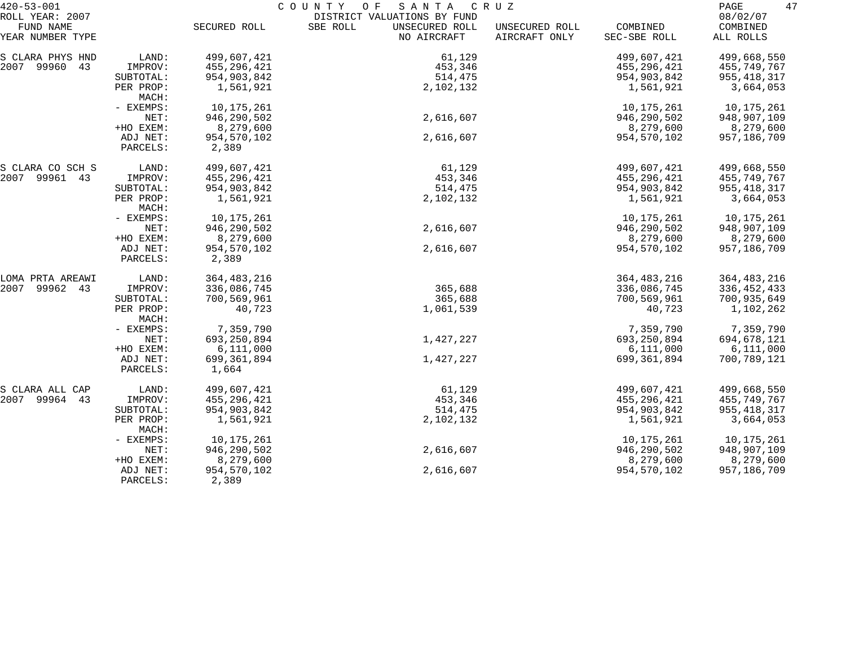| $420 - 53 - 001$              |                      | COUNTY<br>O F<br>S A N T A<br>C R U Z |                                           |                                 |                          |                       |
|-------------------------------|----------------------|---------------------------------------|-------------------------------------------|---------------------------------|--------------------------|-----------------------|
| ROLL YEAR: 2007               |                      |                                       | DISTRICT VALUATIONS BY FUND               |                                 |                          | 08/02/07              |
| FUND NAME<br>YEAR NUMBER TYPE |                      | SECURED ROLL                          | SBE ROLL<br>UNSECURED ROLL<br>NO AIRCRAFT | UNSECURED ROLL<br>AIRCRAFT ONLY | COMBINED<br>SEC-SBE ROLL | COMBINED<br>ALL ROLLS |
| S CLARA PHYS HND              | LAND:                | 499,607,421                           | 61,129                                    |                                 | 499,607,421              | 499,668,550           |
| 2007 99960 43                 | IMPROV:              | 455,296,421                           | 453,346                                   |                                 | 455,296,421              | 455,749,767           |
|                               | SUBTOTAL:            | 954,903,842                           | 514,475                                   |                                 | 954,903,842              | 955, 418, 317         |
|                               | PER PROP:<br>MACH:   | 1,561,921                             | 2,102,132                                 |                                 | 1,561,921                | 3,664,053             |
|                               | - EXEMPS:            | 10,175,261                            |                                           |                                 | 10, 175, 261             | 10,175,261            |
|                               | NET:                 | 946, 290, 502                         | 2,616,607                                 |                                 | 946,290,502              | 948,907,109           |
|                               | +HO EXEM:            | 8,279,600                             |                                           |                                 | 8,279,600                | 8,279,600             |
|                               | ADJ NET:             | 954,570,102                           | 2,616,607                                 |                                 | 954,570,102              | 957,186,709           |
|                               | PARCELS:             | 2,389                                 |                                           |                                 |                          |                       |
| S CLARA CO SCH S              | LAND:                | 499,607,421                           | 61,129                                    |                                 | 499,607,421              | 499,668,550           |
| 2007 99961 43                 | IMPROV:              | 455,296,421                           | 453,346                                   |                                 | 455,296,421              | 455,749,767           |
|                               | SUBTOTAL:            | 954,903,842                           | 514,475                                   |                                 | 954,903,842              | 955,418,317           |
|                               | PER PROP:<br>MACH:   | 1,561,921                             | 2,102,132                                 |                                 | 1,561,921                | 3,664,053             |
|                               | - EXEMPS:            | 10,175,261                            |                                           |                                 | 10, 175, 261             | 10,175,261            |
|                               | NET:                 | 946, 290, 502                         | 2,616,607                                 |                                 | 946, 290, 502            | 948,907,109           |
|                               | +HO EXEM:            | 8,279,600                             |                                           |                                 | 8,279,600                | 8,279,600             |
|                               | ADJ NET:<br>PARCELS: | 954,570,102<br>2,389                  | 2,616,607                                 |                                 | 954,570,102              | 957,186,709           |
| LOMA PRTA AREAWI              | LAND:                | 364, 483, 216                         |                                           |                                 | 364, 483, 216            | 364, 483, 216         |
| 2007<br>99962 43              | IMPROV:              | 336,086,745                           | 365,688                                   |                                 | 336,086,745              | 336,452,433           |
|                               | SUBTOTAL:            | 700,569,961                           | 365,688                                   |                                 | 700,569,961              | 700,935,649           |
|                               | PER PROP:<br>MACH:   | 40,723                                | 1,061,539                                 |                                 | 40,723                   | 1,102,262             |
|                               | - EXEMPS:            | 7,359,790                             |                                           |                                 | 7,359,790                | 7,359,790             |
|                               | NET:                 | 693, 250, 894                         | 1,427,227                                 |                                 | 693,250,894              | 694,678,121           |
|                               | +HO EXEM:            | 6,111,000                             |                                           |                                 | 6,111,000                | 6,111,000             |
|                               | ADJ NET:             | 699,361,894                           | 1,427,227                                 |                                 | 699,361,894              | 700,789,121           |
|                               | PARCELS:             | 1,664                                 |                                           |                                 |                          |                       |
| S CLARA ALL CAP               | LAND:                | 499,607,421                           | 61,129                                    |                                 | 499,607,421              | 499,668,550           |
| 2007 99964<br>43              | IMPROV:              | 455,296,421                           | 453,346                                   |                                 | 455,296,421              | 455,749,767           |
|                               | SUBTOTAL:            | 954,903,842                           | 514,475                                   |                                 | 954,903,842              | 955, 418, 317         |
|                               | PER PROP:<br>MACH:   | 1,561,921                             | 2,102,132                                 |                                 | 1,561,921                | 3,664,053             |
|                               | - EXEMPS:            | 10,175,261                            |                                           |                                 | 10,175,261               | 10,175,261            |
|                               | NET:                 | 946,290,502                           | 2,616,607                                 |                                 | 946,290,502              | 948,907,109           |
|                               | +HO EXEM:            | 8,279,600                             |                                           |                                 | 8,279,600                | 8,279,600             |
|                               | ADJ NET:<br>PARCELS: | 954,570,102<br>2,389                  | 2,616,607                                 |                                 | 954,570,102              | 957,186,709           |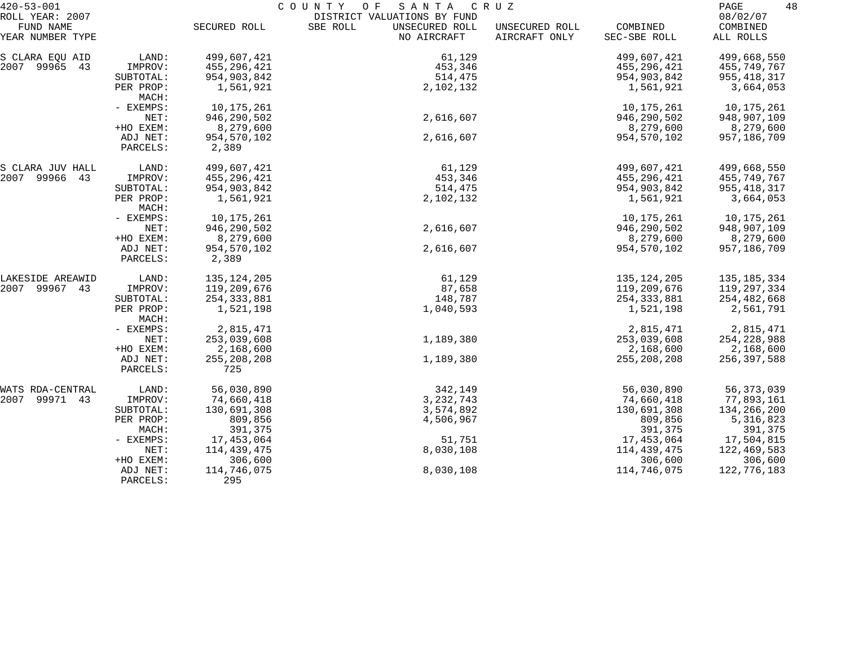| $420 - 53 - 001$             |                      | COUNTY<br>SANTA<br>O F<br>C R U Z |                                                           |                                 |               |                      |
|------------------------------|----------------------|-----------------------------------|-----------------------------------------------------------|---------------------------------|---------------|----------------------|
| ROLL YEAR: 2007<br>FUND NAME |                      |                                   | DISTRICT VALUATIONS BY FUND<br>SBE ROLL<br>UNSECURED ROLL |                                 | COMBINED      | 08/02/07<br>COMBINED |
| YEAR NUMBER TYPE             |                      | SECURED ROLL                      | NO AIRCRAFT                                               | UNSECURED ROLL<br>AIRCRAFT ONLY | SEC-SBE ROLL  | ALL ROLLS            |
| S CLARA EQU AID              | LAND:                | 499,607,421                       | 61,129                                                    |                                 | 499,607,421   | 499,668,550          |
| 2007 99965 43                | IMPROV:              | 455,296,421                       | 453,346                                                   |                                 | 455,296,421   | 455,749,767          |
|                              | SUBTOTAL:            | 954,903,842                       | 514,475                                                   |                                 | 954,903,842   | 955, 418, 317        |
|                              | PER PROP:<br>MACH:   | 1,561,921                         | 2,102,132                                                 |                                 | 1,561,921     | 3,664,053            |
|                              | - EXEMPS:            | 10,175,261                        |                                                           |                                 | 10, 175, 261  | 10,175,261           |
|                              | NET:                 | 946,290,502                       | 2,616,607                                                 |                                 | 946,290,502   | 948,907,109          |
|                              | +HO EXEM:            | 8,279,600                         |                                                           |                                 | 8,279,600     | 8,279,600            |
|                              | ADJ NET:<br>PARCELS: | 954,570,102<br>2,389              | 2,616,607                                                 |                                 | 954,570,102   | 957,186,709          |
| S CLARA JUV HALL             | LAND:                | 499,607,421                       | 61,129                                                    |                                 | 499,607,421   | 499,668,550          |
| 2007 99966 43                | IMPROV:              | 455,296,421                       | 453,346                                                   |                                 | 455,296,421   | 455,749,767          |
|                              | SUBTOTAL:            | 954,903,842                       | 514,475                                                   |                                 | 954,903,842   | 955, 418, 317        |
|                              | PER PROP:<br>MACH:   | 1,561,921                         | 2,102,132                                                 |                                 | 1,561,921     | 3,664,053            |
|                              | - EXEMPS:            | 10,175,261                        |                                                           |                                 | 10,175,261    | 10,175,261           |
|                              | NET:                 | 946,290,502                       | 2,616,607                                                 |                                 | 946,290,502   | 948,907,109          |
|                              | +HO EXEM:            | 8,279,600                         |                                                           |                                 | 8,279,600     | 8,279,600            |
|                              | ADJ NET:<br>PARCELS: | 954,570,102<br>2,389              | 2,616,607                                                 |                                 | 954,570,102   | 957,186,709          |
| LAKESIDE AREAWID             | LAND:                | 135, 124, 205                     | 61,129                                                    |                                 | 135,124,205   | 135, 185, 334        |
| 2007 99967 43                | IMPROV:              | 119,209,676                       | 87,658                                                    |                                 | 119,209,676   | 119,297,334          |
|                              | SUBTOTAL:            | 254, 333, 881                     | 148,787                                                   |                                 | 254, 333, 881 | 254,482,668          |
|                              | PER PROP:<br>MACH:   | 1,521,198                         | 1,040,593                                                 |                                 | 1,521,198     | 2,561,791            |
|                              | - EXEMPS:            | 2,815,471                         |                                                           |                                 | 2,815,471     | 2,815,471            |
|                              | NET:                 | 253,039,608                       | 1,189,380                                                 |                                 | 253,039,608   | 254, 228, 988        |
|                              | +HO EXEM:            | 2,168,600                         |                                                           |                                 | 2,168,600     | 2,168,600            |
|                              | ADJ NET:<br>PARCELS: | 255, 208, 208<br>725              | 1,189,380                                                 |                                 | 255, 208, 208 | 256,397,588          |
| WATS RDA-CENTRAL             | LAND:                | 56,030,890                        | 342,149                                                   |                                 | 56,030,890    | 56, 373, 039         |
| 2007 99971 43                | IMPROV:              | 74,660,418                        | 3, 232, 743                                               |                                 | 74,660,418    | 77,893,161           |
|                              | SUBTOTAL:            | 130,691,308                       | 3,574,892                                                 |                                 | 130,691,308   | 134,266,200          |
|                              | PER PROP:            | 809,856                           | 4,506,967                                                 |                                 | 809,856       | 5,316,823            |
|                              | MACH:                | 391,375                           |                                                           |                                 | 391,375       | 391,375              |
|                              | - EXEMPS:            | 17,453,064                        | 51,751                                                    |                                 | 17,453,064    | 17,504,815           |
|                              | NET:                 | 114,439,475                       | 8,030,108                                                 |                                 | 114,439,475   | 122,469,583          |
|                              | +HO EXEM:            | 306,600                           |                                                           |                                 | 306,600       | 306,600              |
|                              | ADJ NET:             | 114,746,075                       | 8,030,108                                                 |                                 | 114,746,075   | 122,776,183          |
|                              | PARCELS:             | 295                               |                                                           |                                 |               |                      |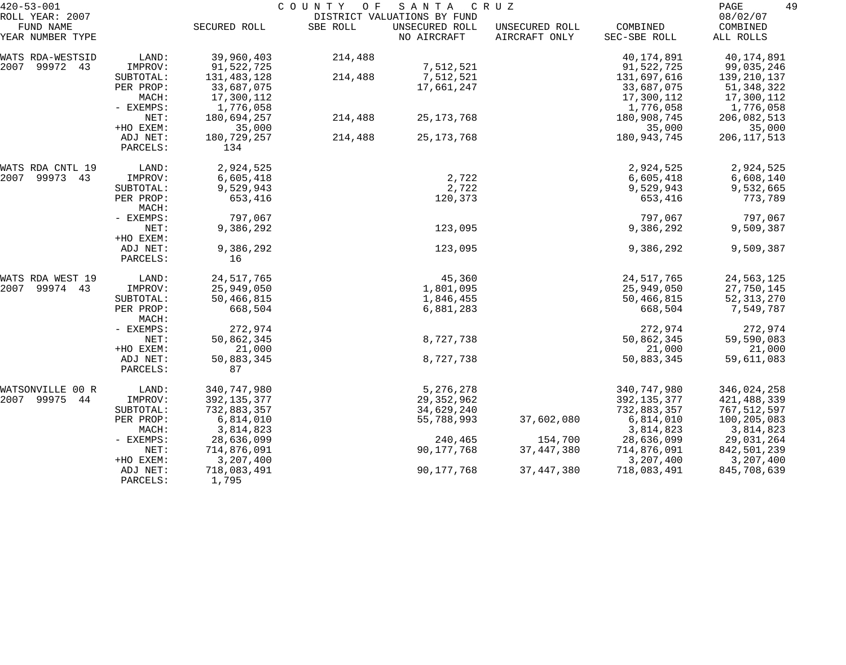| $420 - 53 - 001$             | COUNTY<br>O F<br>SANTA<br>C R U Z |               |          |                                               |                |               |                      |
|------------------------------|-----------------------------------|---------------|----------|-----------------------------------------------|----------------|---------------|----------------------|
| ROLL YEAR: 2007<br>FUND NAME |                                   | SECURED ROLL  | SBE ROLL | DISTRICT VALUATIONS BY FUND<br>UNSECURED ROLL | UNSECURED ROLL | COMBINED      | 08/02/07<br>COMBINED |
| YEAR NUMBER TYPE             |                                   |               |          | NO AIRCRAFT                                   | AIRCRAFT ONLY  | SEC-SBE ROLL  | ALL ROLLS            |
| WATS RDA-WESTSID             | LAND:                             | 39,960,403    | 214,488  |                                               |                | 40,174,891    | 40,174,891           |
| 99972 43<br>2007             | IMPROV:                           | 91,522,725    |          | 7,512,521                                     |                | 91,522,725    | 99,035,246           |
|                              | SUBTOTAL:                         | 131,483,128   | 214,488  | 7,512,521                                     |                | 131,697,616   | 139,210,137          |
|                              | PER PROP:                         | 33,687,075    |          | 17,661,247                                    |                | 33,687,075    | 51, 348, 322         |
|                              | MACH:                             | 17,300,112    |          |                                               |                | 17,300,112    | 17,300,112           |
|                              | - EXEMPS:                         | 1,776,058     |          |                                               |                | 1,776,058     | 1,776,058            |
|                              | NET:                              | 180,694,257   | 214,488  | 25, 173, 768                                  |                | 180,908,745   | 206,082,513          |
|                              | +HO EXEM:                         | 35,000        |          |                                               |                | 35,000        | 35,000               |
|                              | ADJ NET:                          | 180,729,257   | 214,488  | 25, 173, 768                                  |                | 180,943,745   | 206, 117, 513        |
|                              | PARCELS:                          | 134           |          |                                               |                |               |                      |
| WATS RDA CNTL 19             | LAND:                             | 2,924,525     |          |                                               |                | 2,924,525     | 2,924,525            |
| 2007<br>99973 43             | IMPROV:                           | 6,605,418     |          | 2,722                                         |                | 6,605,418     | 6,608,140            |
|                              | SUBTOTAL:                         | 9,529,943     |          | 2,722                                         |                | 9,529,943     | 9,532,665            |
|                              | PER PROP:                         | 653,416       |          | 120,373                                       |                | 653,416       | 773,789              |
|                              | MACH:                             |               |          |                                               |                |               |                      |
|                              | - EXEMPS:                         | 797,067       |          |                                               |                | 797,067       | 797,067              |
|                              | NET:                              | 9,386,292     |          | 123,095                                       |                | 9,386,292     | 9,509,387            |
|                              | +HO EXEM:                         |               |          |                                               |                |               |                      |
|                              | ADJ NET:                          | 9,386,292     |          | 123,095                                       |                | 9,386,292     | 9,509,387            |
|                              | PARCELS:                          | 16            |          |                                               |                |               |                      |
| WATS RDA WEST 19             | LAND:                             | 24, 517, 765  |          | 45,360                                        |                | 24,517,765    | 24,563,125           |
| 2007<br>99974 43             | IMPROV:                           | 25,949,050    |          | 1,801,095                                     |                | 25,949,050    | 27,750,145           |
|                              | SUBTOTAL:                         | 50,466,815    |          | 1,846,455                                     |                | 50,466,815    | 52, 313, 270         |
|                              | PER PROP:                         | 668,504       |          | 6,881,283                                     |                | 668,504       | 7,549,787            |
|                              | MACH:                             |               |          |                                               |                |               |                      |
|                              | - EXEMPS:                         | 272,974       |          |                                               |                | 272,974       | 272,974              |
|                              | NET:                              | 50,862,345    |          | 8,727,738                                     |                | 50,862,345    | 59,590,083           |
|                              | +HO EXEM:                         | 21,000        |          |                                               |                | 21,000        | 21,000               |
|                              | ADJ NET:                          | 50,883,345    |          | 8,727,738                                     |                | 50,883,345    | 59,611,083           |
|                              | PARCELS:                          | 87            |          |                                               |                |               |                      |
| WATSONVILLE<br>00 R          | LAND:                             | 340,747,980   |          | 5,276,278                                     |                | 340,747,980   | 346,024,258          |
| 2007 99975<br>44             | IMPROV:                           | 392, 135, 377 |          | 29, 352, 962                                  |                | 392, 135, 377 | 421, 488, 339        |
|                              | SUBTOTAL:                         | 732,883,357   |          | 34,629,240                                    |                | 732,883,357   | 767,512,597          |
|                              | PER PROP:                         | 6,814,010     |          | 55,788,993                                    | 37,602,080     | 6,814,010     | 100,205,083          |
|                              | MACH:                             | 3,814,823     |          |                                               |                | 3,814,823     | 3,814,823            |
|                              | $-$ EXEMPS:                       | 28,636,099    |          | 240,465                                       | 154,700        | 28,636,099    | 29,031,264           |
|                              | NET:                              | 714,876,091   |          | 90,177,768                                    | 37, 447, 380   | 714,876,091   | 842,501,239          |
|                              | +HO EXEM:                         | 3,207,400     |          |                                               |                | 3,207,400     | 3,207,400            |
|                              | ADJ NET:                          | 718,083,491   |          | 90,177,768                                    | 37, 447, 380   | 718,083,491   | 845,708,639          |
|                              | PARCELS:                          | 1,795         |          |                                               |                |               |                      |
|                              |                                   |               |          |                                               |                |               |                      |